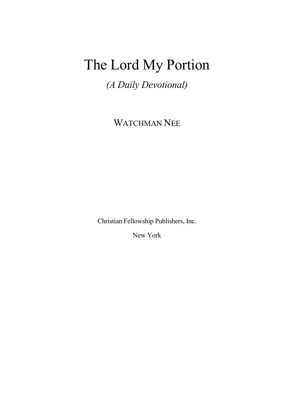# The Lord My Portion *(A Daily Devotional)*

WATCHMAN NEE

Christian Fellowship Publishers, Inc.

New York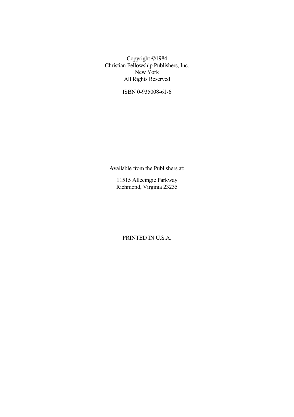Copyright ©1984 Christian Fellowship Publishers, Inc. New York All Rights Reserved

ISBN 0-935008-61-6

Available from the Publishers at:

11515 Allecingie Parkway Richmond, Virginia 23235

PRINTED IN U.S.A.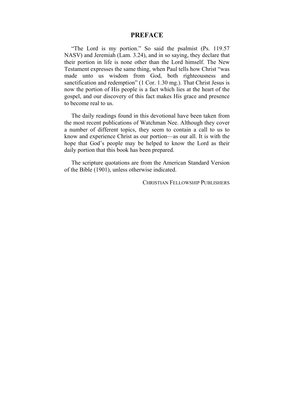#### **PREFACE**

"The Lord is my portion." So said the psalmist (Ps. 119.57 NASV) and Jeremiah (Lam. 3.24), and in so saying, they declare that their portion in life is none other than the Lord himself. The New Testament expresses the same thing, when Paul tells how Christ "was made unto us wisdom from God, both righteousness and sanctification and redemption" (1 Cor. 1.30 mg.). That Christ Jesus is now the portion of His people is a fact which lies at the heart of the gospel, and our discovery of this fact makes His grace and presence to become real to us.

The daily readings found in this devotional have been taken from the most recent publications of Watchman Nee. Although they cover a number of different topics, they seem to contain a call to us to know and experience Christ as our portion—as our all. It is with the hope that God's people may be helped to know the Lord as their daily portion that this book has been prepared.

The scripture quotations are from the American Standard Version of the Bible (1901), unless otherwise indicated.

CHRISTIAN FELLOWSHIP PUBLISHERS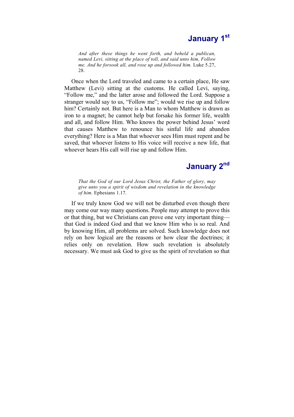#### January 1st

*And after these things he went forth, and beheld a publican, named Levi, sitting at the place of toll, and said unto him, Follow me. And he forsook all, and rose up and followed him.* Luke 5.27, 28.

Once when the Lord traveled and came to a certain place, He saw Matthew (Levi) sitting at the customs. He called Levi, saying, "Follow me," and the latter arose and followed the Lord. Suppose a stranger would say to us, "Follow me"; would we rise up and follow him? Certainly not. But here is a Man to whom Matthew is drawn as iron to a magnet; he cannot help but forsake his former life, wealth and all, and follow Him. Who knows the power behind Jesus' word that causes Matthew to renounce his sinful life and abandon everything? Here is a Man that whoever sees Him must repent and be saved, that whoever listens to His voice will receive a new life, that whoever hears His call will rise up and follow Him.

# January 2<sup>nd</sup>

*That the God of our Lord Jesus Christ, the Father of glory, may give unto you a spirit of wisdom and revelation in the knowledge of him.* Ephesians 1.17.

If we truly know God we will not be disturbed even though there may come our way many questions. People may attempt to prove this or that thing, but we Christians can prove one very important thing that God is indeed God and that we know Him who is so real. And by knowing Him, all problems are solved. Such knowledge does not rely on how logical are the reasons or how clear the doctrines; it relies only on revelation. How such revelation is absolutely necessary. We must ask God to give us the spirit of revelation so that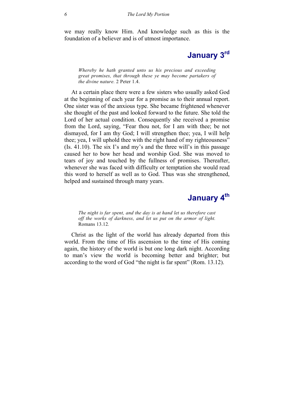we may really know Him. And knowledge such as this is the foundation of a believer and is of utmost importance.

### **January 3rd**

*Whereby he hath granted unto us his precious and exceeding great promises, that through these ye may become partakers of the divine nature.* 2 Peter 1.4.

At a certain place there were a few sisters who usually asked God at the beginning of each year for a promise as to their annual report. One sister was of the anxious type. She became frightened whenever she thought of the past and looked forward to the future. She told the Lord of her actual condition. Consequently she received a promise from the Lord, saying, "Fear thou not, for I am with thee; be not dismayed, for I am thy God; I will strengthen thee; yea, I will help thee; yea, I will uphold thee with the right hand of my righteousness" (Is. 41.10). The six I's and my's and the three will's in this passage caused her to bow her head and worship God. She was moved to tears of joy and touched by the fullness of promises. Thereafter, whenever she was faced with difficulty or temptation she would read this word to herself as well as to God. Thus was she strengthened, helped and sustained through many years.

### January 4<sup>th</sup>

*The night is far spent, and the day is at hand let us therefore cast off the works of darkness, and let us put on the armor of light.*  Romans 13.12*.* 

Christ as the light of the world has already departed from this world. From the time of His ascension to the time of His coming again, the history of the world is but one long dark night. According to man's view the world is becoming better and brighter; but according to the word of God "the night is far spent" (Rom. 13.12).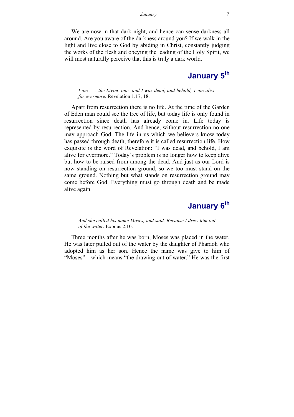We are now in that dark night, and hence can sense darkness all around. Are you aware of the darkness around you? If we walk in the light and live close to God by abiding in Christ, constantly judging the works of the flesh and obeying the leading of the Holy Spirit, we will most naturally perceive that this is truly a dark world.

#### January 5<sup>th</sup>

*I am . . . the Living one; and I was dead, and behold, 1 am alive for evermore.* Revelation 1.17, 18.

Apart from resurrection there is no life. At the time of the Garden of Eden man could see the tree of life, but today life is only found in resurrection since death has already come in. Life today is represented by resurrection. And hence, without resurrection no one may approach God. The life in us which we believers know today has passed through death, therefore it is called resurrection life. How exquisite is the word of Revelation: "I was dead, and behold, I am alive for evermore." Today's problem is no longer how to keep alive but how to be raised from among the dead. And just as our Lord is now standing on resurrection ground, so we too must stand on the same ground. Nothing but what stands on resurrection ground may come before God. Everything must go through death and be made alive again.

#### January 6<sup>th</sup>

#### *And she called his name Moses, and said, Because I drew him out of the water.* Exodus 2.10.

Three months after he was born, Moses was placed in the water. He was later pulled out of the water by the daughter of Pharaoh who adopted him as her son. Hence the name was give to him of "Moses"—which means "the drawing out of water." He was the first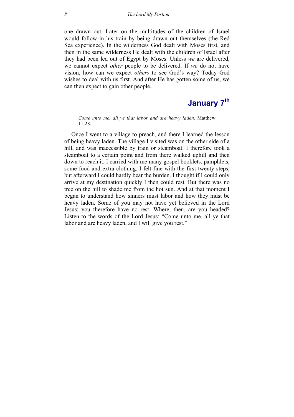one drawn out. Later on the multitudes of the children of Israel would follow in his train by being drawn out themselves (the Red Sea experience). In the wilderness God dealt with Moses first, and then in the same wilderness He dealt with the children of Israel after they had been led out of Egypt by Moses. Unless *we* are delivered, we cannot expect *other* people to be delivered. If *we* do not have vision, how can we expect *others* to see God's way? Today God wishes to deal with us first. And after He has gotten some of us, we can then expect to gain other people.

# January 7<sup>th</sup>

#### *Come unto me, all ye that labor and are heavy laden.* Matthew 11.28.

Once I went to a village to preach, and there I learned the lesson of being heavy laden. The village I visited was on the other side of a hill, and was inaccessible by train or steamboat. I therefore took a steamboat to a certain point and from there walked uphill and then down to reach it. I carried with me many gospel booklets, pamphlets, some food and extra clothing. I felt fine with the first twenty steps, but afterward I could hardly bear the burden. I thought if I could only arrive at my destination quickly I then could rest. But there was no tree on the hill to shade me from the hot sun. And at that moment I began to understand how sinners must labor and how they must be heavy laden. Some of you may not have yet believed in the Lord Jesus; you therefore have no rest. Where, then, are you headed? Listen to the words of the Lord Jesus: "Come unto me, all ye that labor and are heavy laden, and I will give you rest."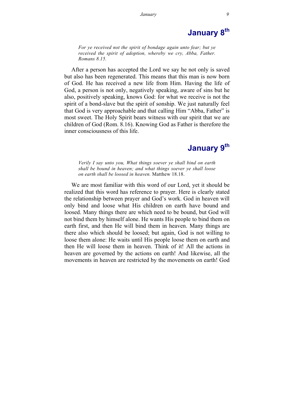

*For ye received not the spirit of bondage again unto fear; but ye received the spirit of adoption, whereby we cry, Abba, Father. Romans 8.15.* 

After a person has accepted the Lord we say he not only is saved but also has been regenerated. This means that this man is now born of God. He has received a new life from Him. Having the life of God, a person is not only, negatively speaking, aware of sins but he also, positively speaking, knows God: for what we receive is not the spirit of a bond-slave but the spirit of sonship. We just naturally feel that God is very approachable and that calling Him "Abba, Father" is most sweet. The Holy Spirit bears witness with our spirit that we are children of God (Rom. 8.16). Knowing God as Father is therefore the inner consciousness of this life.

# **January 9th**

*Verily I say unto you, What things soever ye shall bind on earth shall be bound in heaven; and what things soever ye shall loose on earth shall be loosed in heaven.* Matthew 18.18.

We are most familiar with this word of our Lord, yet it should be realized that this word has reference to prayer. Here is clearly stated the relationship between prayer and God's work. God in heaven will only bind and loose what His children on earth have bound and loosed. Many things there are which need to be bound, but God will not bind them by himself alone. He wants His people to bind them on earth first, and then He will bind them in heaven. Many things are there also which should be loosed; but again, God is not willing to loose them alone: He waits until His people loose them on earth and then He will loose them in heaven. Think of it! All the actions in heaven are governed by the actions on earth! And likewise, all the movements in heaven are restricted by the movements on earth! God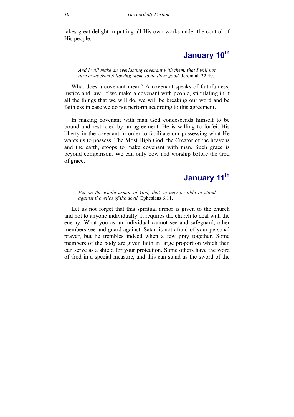takes great delight in putting all His own works under the control of His people.

# January 10<sup>th</sup>

*And I will make an everlasting covenant with them, that I will not turn away from following them, to do them good.* Jeremiah 32.40.

What does a covenant mean? A covenant speaks of faithfulness, justice and law. If we make a covenant with people, stipulating in it all the things that we will do, we will be breaking our word and be faithless in case we do not perform according to this agreement.

In making covenant with man God condescends himself to be bound and restricted by an agreement. He is willing to forfeit His liberty in the covenant in order to facilitate our possessing what He wants us to possess. The Most High God, the Creator of the heavens and the earth, stoops to make covenant with man. Such grace is beyond comparison. We can only bow and worship before the God of grace.

### January 11<sup>th</sup>

*Put on the whole armor of God, that ye may be able to stand against the wiles of the devil.* Ephesians 6.11.

Let us not forget that this spiritual armor is given to the church and not to anyone individually. It requires the church to deal with the enemy. What you as an individual cannot see and safeguard, other members see and guard against. Satan is not afraid of your personal prayer, but he trembles indeed when a few pray together. Some members of the body are given faith in large proportion which then can serve as a shield for your protection. Some others have the word of God in a special measure, and this can stand as the sword of the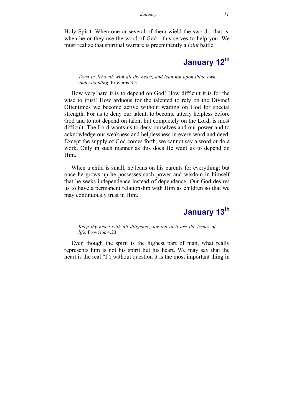Holy Spirit. When one or several of them wield the sword—that is, when he or they use the word of God—this serves to help you. We must realize that spiritual warfare is preeminently a *joint* battle.

#### January 12<sup>th</sup>

*Trust in Jehovah with all thy heart, and lean not upon thine own understanding.* Proverbs 3.5.

How very hard it is to depend on God! How difficult it is for the wise to trust! How arduous for the talented to rely on the Divine! Oftentimes we become active without waiting on God for special strength. For us to deny our talent, to become utterly helpless before God and to not depend on talent but completely on the Lord, is most difficult. The Lord wants us to deny ourselves and our power and to acknowledge our weakness and helplessness in every word and deed. Except the supply of God comes forth, we cannot say a word or do a work. Only in such manner as this does He want us to depend on Him.

When a child is small, he leans on his parents for everything; but once he grows up he possesses such power and wisdom in himself that he seeks independence instead of dependence. Our God desires us to have a permanent relationship with Him as children so that we may continuously trust in Him.

### January 13<sup>th</sup>

*Keep thy heart with all diligence; for out of it are the issues of life.* Proverbs 4.23.

Even though the spirit is the highest part of man, what really represents him is not his spirit but his heart. We may say that the heart is the real "I"; without question it is the most important thing in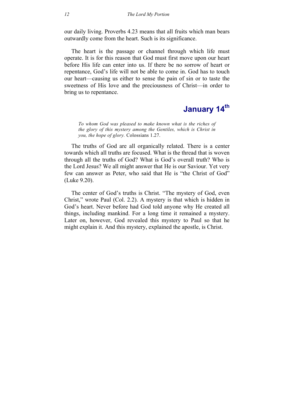our daily living. Proverbs 4.23 means that all fruits which man bears outwardly come from the heart. Such is its significance.

The heart is the passage or channel through which life must operate. It is for this reason that God must first move upon our heart before His life can enter into us. If there be no sorrow of heart or repentance, God's life will not be able to come in. God has to touch our heart—causing us either to sense the pain of sin or to taste the sweetness of His love and the preciousness of Christ—in order to bring us to repentance.

# January 14<sup>th</sup>

*To whom God was pleased to make known what is the riches of the glory of this mystery among the Gentiles, which is Christ in you, the hope of glory.* Colossians 1.27.

The truths of God are all organically related. There is a center towards which all truths are focused. What is the thread that is woven through all the truths of God? What is God's overall truth? Who is the Lord Jesus? We all might answer that He is our Saviour. Yet very few can answer as Peter, who said that He is "the Christ of God" (Luke 9.20).

The center of God's truths is Christ. "The mystery of God, even Christ," wrote Paul (Col. 2.2). A mystery is that which is hidden in God's heart. Never before had God told anyone why He created all things, including mankind. For a long time it remained a mystery. Later on, however, God revealed this mystery to Paul so that he might explain it. And this mystery, explained the apostle, is Christ.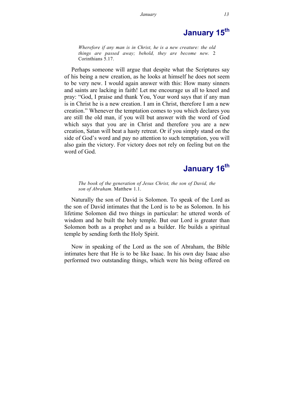# January 15<sup>th</sup>

*Wherefore if any man is in Christ, he is a new creature: the old things are passed away; behold, they are become new.* 2 Corinthians 5.17.

Perhaps someone will argue that despite what the Scriptures say of his being a new creation, as he looks at himself he does not seem to be very new. I would again answer with this: How many sinners and saints are lacking in faith! Let me encourage us all to kneel and pray: "God, I praise and thank You, Your word says that if any man is in Christ he is a new creation. I am in Christ, therefore I am a new creation." Whenever the temptation comes to you which declares you are still the old man, if you will but answer with the word of God which says that you are in Christ and therefore you are a new creation, Satan will beat a hasty retreat. Or if you simply stand on the side of God's word and pay no attention to such temptation, you will also gain the victory. For victory does not rely on feeling but on the word of God.

#### January 16<sup>th</sup>

*The book of the generation of Jesus Christ, the son of David, the son of Abraham.* Matthew 1.1.

Naturally the son of David is Solomon. To speak of the Lord as the son of David intimates that the Lord is to be as Solomon. In his lifetime Solomon did two things in particular: he uttered words of wisdom and he built the holy temple. But our Lord is greater than Solomon both as a prophet and as a builder. He builds a spiritual temple by sending forth the Holy Spirit.

Now in speaking of the Lord as the son of Abraham, the Bible intimates here that He is to be like Isaac. In his own day Isaac also performed two outstanding things, which were his being offered on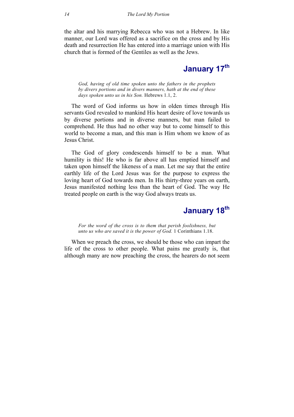the altar and his marrying Rebecca who was not a Hebrew. In like manner, our Lord was offered as a sacrifice on the cross and by His death and resurrection He has entered into a marriage union with His church that is formed of the Gentiles as well as the Jews.

### January 17<sup>th</sup>

*God, having of old time spoken unto the fathers in the prophets by divers portions and in divers manners, hath at the end of these days spoken unto us in his Son.* Hebrews 1.1, 2.

The word of God informs us how in olden times through His servants God revealed to mankind His heart desire of love towards us by diverse portions and in diverse manners, but man failed to comprehend. He thus had no other way but to come himself to this world to become a man, and this man is Him whom we know of as Jesus Christ.

The God of glory condescends himself to be a man. What humility is this! He who is far above all has emptied himself and taken upon himself the likeness of a man. Let me say that the entire earthly life of the Lord Jesus was for the purpose to express the loving heart of God towards men. In His thirty-three years on earth, Jesus manifested nothing less than the heart of God. The way He treated people on earth is the way God always treats us.

#### January 18<sup>th</sup>

*For the word of the cross is to them that perish foolishness, but unto us who are saved it is the power of God.* 1 Corinthians 1.18.

When we preach the cross, we should be those who can impart the life of the cross to other people. What pains me greatly is, that although many are now preaching the cross, the hearers do not seem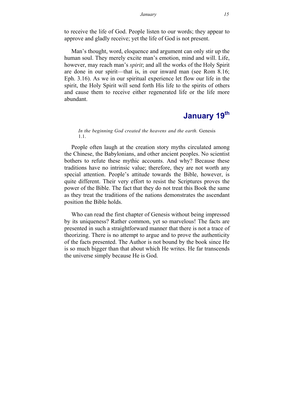to receive the life of God. People listen to our words; they appear to approve and gladly receive; yet the life of God is not present.

Man's thought, word, eloquence and argument can only stir up the human soul. They merely excite man's emotion, mind and will. Life, however, may reach man's *spirit*; and all the works of the Holy Spirit are done in our spirit—that is, in our inward man (see Rom 8.16; Eph. 3.16). As we in our spiritual experience let flow our life in the spirit, the Holy Spirit will send forth His life to the spirits of others and cause them to receive either regenerated life or the life more abundant.

# January 19<sup>th</sup>

#### *In the beginning God created the heavens and the earth.* Genesis 1.1.

People often laugh at the creation story myths circulated among the Chinese, the Babylonians, and other ancient peoples. No scientist bothers to refute these mythic accounts. And why? Because these traditions have no intrinsic value; therefore, they are not worth any special attention. People's attitude towards the Bible, however, is quite different. Their very effort to resist the Scriptures proves the power of the Bible. The fact that they do not treat this Book the same as they treat the traditions of the nations demonstrates the ascendant position the Bible holds.

Who can read the first chapter of Genesis without being impressed by its uniqueness? Rather common, yet so marvelous! The facts are presented in such a straightforward manner that there is not a trace of theorizing. There is no attempt to argue and to prove the authenticity of the facts presented. The Author is not bound by the book since He is so much bigger than that about which He writes. He far transcends the universe simply because He is God.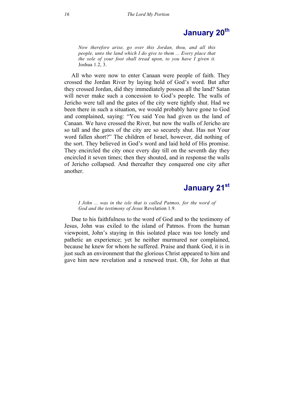# January 20<sup>th</sup>

*Now therefore arise, go over this Jordan, thou, and all this people, unto the land which I do give to them ... Every place that the sole of your foot shall tread upon, to you have I given it.*  Joshua 1.2, 3.

All who were now to enter Canaan were people of faith. They crossed the Jordan River by laying hold of God's word. But after they crossed Jordan, did they immediately possess all the land? Satan will never make such a concession to God's people. The walls of Jericho were tall and the gates of the city were tightly shut. Had we been there in such a situation, we would probably have gone to God and complained, saying: "You said You had given us the land of Canaan. We have crossed the River, but now the walls of Jericho are so tall and the gates of the city are so securely shut. Has not Your word fallen short?" The children of Israel, however, did nothing of the sort. They believed in God's word and laid hold of His promise. They encircled the city once every day till on the seventh day they encircled it seven times; then they shouted, and in response the walls of Jericho collapsed. And thereafter they conquered one city after another.

### January 21st

*I John* ... was in the isle that is called Patmos, for the word of *God and the testimony of Jesus* Revelation 1.9.

Due to his faithfulness to the word of God and to the testimony of Jesus, John was exiled to the island of Patmos. From the human viewpoint, John's staying in this isolated place was too lonely and pathetic an experience; yet he neither murmured nor complained, because he knew for whom he suffered. Praise and thank God, it is in just such an environment that the glorious Christ appeared to him and gave him new revelation and a renewed trust. Oh, for John at that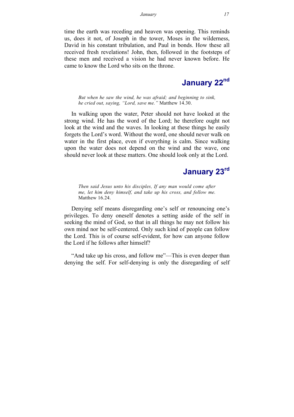time the earth was receding and heaven was opening. This reminds us, does it not, of Joseph in the tower, Moses in the wilderness, David in his constant tribulation, and Paul in bonds. How these all received fresh revelations! John, then, followed in the footsteps of these men and received a vision he had never known before. He came to know the Lord who sits on the throne.

### January 22<sup>nd</sup>

*But when he saw the wind, he was afraid; and beginning to sink, he cried out, saying, "Lord, save me."* Matthew 14.30.

In walking upon the water, Peter should not have looked at the strong wind. He has the word of the Lord; he therefore ought not look at the wind and the waves. In looking at these things he easily forgets the Lord's word. Without the word, one should never walk on water in the first place, even if everything is calm. Since walking upon the water does not depend on the wind and the wave, one should never look at these matters. One should look only at the Lord.

### **January 23rd**

*Then said Jesus unto his disciples, If any man would come after me, let him deny himself, and take up his cross, and follow me.*  Matthew 16.24

Denying self means disregarding one's self or renouncing one's privileges. To deny oneself denotes a setting aside of the self in seeking the mind of God, so that in all things he may not follow his own mind nor be self-centered. Only such kind of people can follow the Lord. This is of course self-evident, for how can anyone follow the Lord if he follows after himself?

"And take up his cross, and follow me"—This is even deeper than denying the self. For self-denying is only the disregarding of self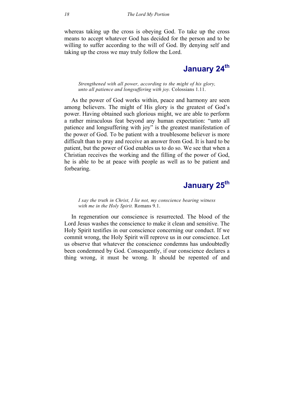whereas taking up the cross is obeying God. To take up the cross means to accept whatever God has decided for the person and to be willing to suffer according to the will of God. By denying self and taking up the cross we may truly follow the Lord.

# January 24<sup>th</sup>

*Strengthened with all power, according to the might of his glory, unto all patience and longsuffering with joy.* Colossians 1.11.

As the power of God works within, peace and harmony are seen among believers. The might of His glory is the greatest of God's power. Having obtained such glorious might, we are able to perform a rather miraculous feat beyond any human expectation: "unto all patience and longsuffering with joy" is the greatest manifestation of the power of God. To be patient with a troublesome believer is more difficult than to pray and receive an answer from God. It is hard to be patient, but the power of God enables us to do so. We see that when a Christian receives the working and the filling of the power of God, he is able to be at peace with people as well as to be patient and forbearing.

#### January 25<sup>th</sup>

*I say the truth in Christ, I lie not, my conscience bearing witness with me in the Holy Spirit.* Romans 9.1.

In regeneration our conscience is resurrected. The blood of the Lord Jesus washes the conscience to make it clean and sensitive. The Holy Spirit testifies in our conscience concerning our conduct. If we commit wrong, the Holy Spirit will reprove us in our conscience. Let us observe that whatever the conscience condemns has undoubtedly been condemned by God. Consequently, if our conscience declares a thing wrong, it must be wrong. It should be repented of and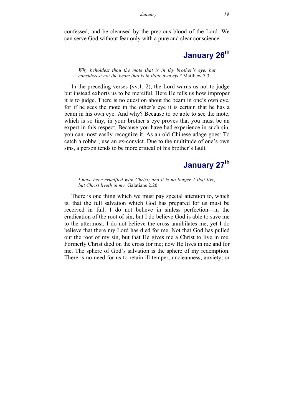confessed, and be cleansed by the precious blood of the Lord. We can serve God without fear only with a pure and clear conscience.

#### January 26<sup>th</sup>

*Why beholdest thou the mote that is in thy brother's eye, but considerest not the beam that is in thine own eye?* Matthew 7.3.

In the preceding verses  $(vv.1, 2)$ , the Lord warns us not to judge but instead exhorts us to be merciful. Here He tells us how improper it is to judge. There is no question about the beam in one's own eye, for if he sees the mote in the other's eye it is certain that he has a beam in his own eye. And why? Because to be able to see the mote, which is so tiny, in your brother's eye proves that you must be an expert in this respect. Because you have had experience in such sin, you can most easily recognize it. As an old Chinese adage goes: To catch a robber, use an ex-convict. Due to the multitude of one's own sins, a person tends to be more critical of his brother's fault.

#### January 27<sup>th</sup>

*I have been crucified with Christ; and it is no longer 1 that live, but Christ liveth in me.* Galatians 2.20.

There is one thing which we must pay special attention to, which is, that the full salvation which God has prepared for us must be received in full. I do not believe in sinless perfection—in the eradication of the root of sin; but I do believe God is able to save me to the uttermost. I do not believe the cross annihilates me, yet I do believe that there my Lord has died for me. Not that God has pulled out the root of my sin, but that He gives me a Christ to live in me. Formerly Christ died on the cross for me; now He lives in me and for me. The sphere of God's salvation is the sphere of my redemption. There is no need for us to retain ill-temper, uncleanness, anxiety, or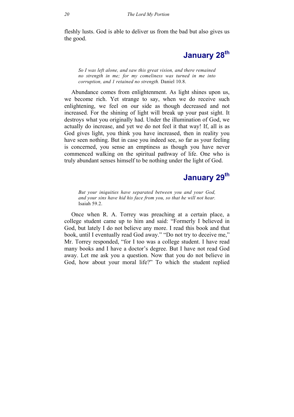fleshly lusts. God is able to deliver us from the bad but also gives us the good.

# January 28<sup>th</sup>

*So I was left alone, and saw this great vision, and there remained no strength in me; for my comeliness was turned in me into corruption, and 1 retained no strength.* Daniel 10.8.

Abundance comes from enlightenment. As light shines upon us, we become rich. Yet strange to say, when we do receive such enlightening, we feel on our side as though decreased and not increased. For the shining of light will break up your past sight. It destroys what you originally had. Under the illumination of God, we actually do increase, and yet we do not feel it that way! If, all is as God gives light, you think you have increased, then in reality you have seen nothing. But in case you indeed see, so far as your feeling is concerned, you sense an emptiness as though you have never commenced walking on the spiritual pathway of life. One who is truly abundant senses himself to be nothing under the light of God.

### January 29<sup>th</sup>

*But your iniquities have separated between you and your God, and your sins have hid his face from you, so that he will not hear.*  Isaiah 59.2.

Once when R. A. Torrey was preaching at a certain place, a college student came up to him and said: "Formerly I believed in God, but lately I do not believe any more. I read this book and that book, until I eventually read God away." "Do not try to deceive me," Mr. Torrey responded, "for I too was a college student. I have read many books and I have a doctor's degree. But I have not read God away. Let me ask you a question. Now that you do not believe in God, how about your moral life?" To which the student replied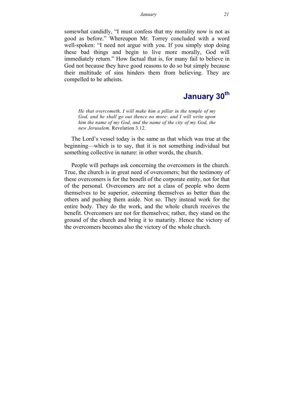somewhat candidly, "I must confess that my morality now is not as good as before." Whereupon Mr. Torrey concluded with a word well-spoken: "I need not argue with you. If you simply stop doing these bad things and begin to live more morally, God will immediately return." How factual that is, for many fail to believe in God not because they have good reasons to do so but simply because their multitude of sins hinders them from believing. They are compelled to be atheists.

# January 30<sup>th</sup>

*He that overcometh, I will make him a pillar in the temple of my God, and he shall go out thence no more: and I will write upon him the name of my God, and the name of the city of my God, the new Jerusalem.* Revelation 3.12.

The Lord's vessel today is the same as that which was true at the beginning—which is to say, that it is not something individual but something collective in nature: in other words, the church.

People will perhaps ask concerning the overcomers in the church. True, the church is in great need of overcomers; but the testimony of these overcomers is for the benefit of the corporate entity, not for that of the personal. Overcomers are not a class of people who deem themselves to be superior, esteeming themselves as better than the others and pushing them aside. Not so. They instead work for the entire body. They do the work, and the whole church receives the benefit. Overcomers are not for themselves; rather, they stand on the ground of the church and bring it to maturity. Hence the victory of the overcomers becomes also the victory of the whole church.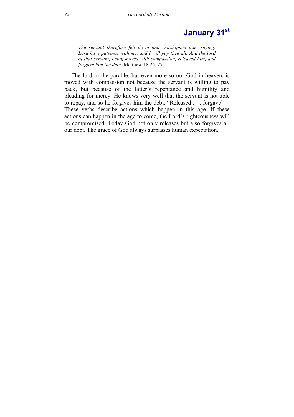#### January 31st

*The servant therefore fell down and worshipped him, saying, Lord have patience with me, and I will pay thee all. And the lord of that servant, being moved with compassion, released him, and forgave him the debt.* Matthew 18.26, 27.

The lord in the parable, but even more so our God in heaven, is moved with compassion not because the servant is willing to pay back, but because of the latter's repentance and humility and pleading for mercy. He knows very well that the servant is not able to repay, and so he forgives him the debt. "Released . . . forgave"— These verbs describe actions which happen in this age. If these actions can happen in the age to come, the Lord's righteousness will be compromised. Today God not only releases but also forgives all our debt. The grace of God always surpasses human expectation.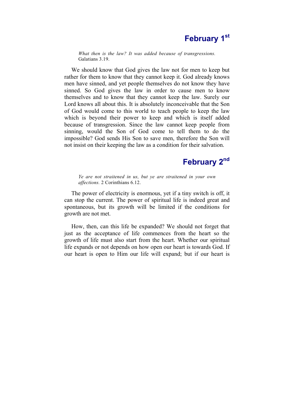#### **February 1st**

*What then is the law? It was added because of transgressions.*  Galatians 3.19.

We should know that God gives the law not for men to keep but rather for them to know that they cannot keep it. God already knows men have sinned, and yet people themselves do not know they have sinned. So God gives the law in order to cause men to know themselves and to know that they cannot keep the law. Surely our Lord knows all about this. It is absolutely inconceivable that the Son of God would come to this world to teach people to keep the law which is beyond their power to keep and which is itself added because of transgression. Since the law cannot keep people from sinning, would the Son of God come to tell them to do the impossible? God sends His Son to save men, therefore the Son will not insist on their keeping the law as a condition for their salvation.

#### **February 2nd**

*Ye are not straitened in us, but ye are straitened in your own affections.* 2 Corinthians 6.12.

The power of electricity is enormous, yet if a tiny switch is off, it can stop the current. The power of spiritual life is indeed great and spontaneous, but its growth will be limited if the conditions for growth are not met.

How, then, can this life be expanded? We should not forget that just as the acceptance of life commences from the heart so the growth of life must also start from the heart. Whether our spiritual life expands or not depends on how open our heart is towards God. If our heart is open to Him our life will expand; but if our heart is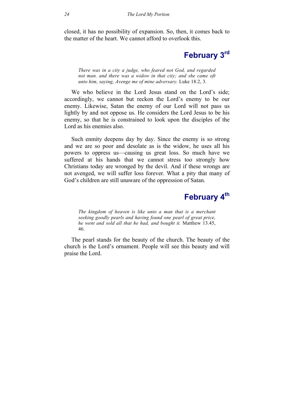closed, it has no possibility of expansion. So, then, it comes back to the matter of the heart. We cannot afford to overlook this.

#### **February 3rd**

*There was in a city a judge, who feared not God, and regarded not man. and there was a widow in that city; and she came oft unto him, saying, Avenge me of mine adversary.* Luke 18.2, 3.

We who believe in the Lord Jesus stand on the Lord's side; accordingly, we cannot but reckon the Lord's enemy to be our enemy. Likewise, Satan the enemy of our Lord will not pass us lightly by and not oppose us. He considers the Lord Jesus to be his enemy, so that he is constrained to look upon the disciples of the Lord as his enemies also.

Such enmity deepens day by day. Since the enemy is so strong and we are so poor and desolate as is the widow, he uses all his powers to oppress us—causing us great loss. So much have we suffered at his hands that we cannot stress too strongly how Christians today are wronged by the devil. And if these wrongs are not avenged, we will suffer loss forever. What a pity that many of God's children are still unaware of the oppression of Satan.

### **February 4th**

*The kingdom of heaven is like unto a man that is a merchant seeking goodly pearls and having found one pearl of great price, he went and sold all that he had, and bought it.* Matthew 13.45, 46.

The pearl stands for the beauty of the church. The beauty of the church is the Lord's ornament. People will see this beauty and will praise the Lord.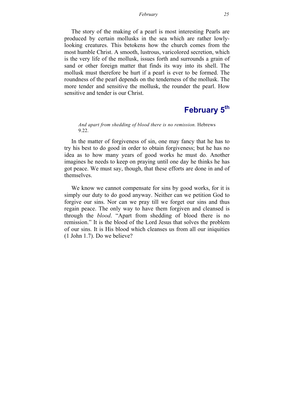The story of the making of a pearl is most interesting Pearls are produced by certain mollusks in the sea which are rather lowlylooking creatures. This betokens how the church comes from the most humble Christ. A smooth, lustrous, varicolored secretion, which is the very life of the mollusk, issues forth and surrounds a grain of sand or other foreign matter that finds its way into its shell. The mollusk must therefore be hurt if a pearl is ever to be formed. The roundness of the pearl depends on the tenderness of the mollusk. The more tender and sensitive the mollusk, the rounder the pearl. How sensitive and tender is our Christ.

### **February 5th**

#### *And apart from shedding of blood there is no remission.* Hebrews 9.22.

In the matter of forgiveness of sin, one may fancy that he has to try his best to do good in order to obtain forgiveness; but he has no idea as to how many years of good works he must do. Another imagines he needs to keep on praying until one day he thinks he has got peace. We must say, though, that these efforts are done in and of themselves.

We know we cannot compensate for sins by good works, for it is simply our duty to do good anyway. Neither can we petition God to forgive our sins. Nor can we pray till we forget our sins and thus regain peace. The only way to have them forgiven and cleansed is through the *blood*. "Apart from shedding of blood there is no remission." It is the blood of the Lord Jesus that solves the problem of our sins. It is His blood which cleanses us from all our iniquities (1 John 1.7). Do we believe?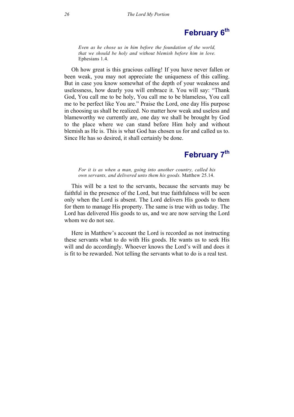# **February 6th**

*Even as he chose us in him before the foundation of the world, that we should be holy and without blemish before him in love.*  Ephesians 1.4.

Oh how great is this gracious calling! If you have never fallen or been weak, you may not appreciate the uniqueness of this calling. But in case you know somewhat of the depth of your weakness and uselessness, how dearly you will embrace it. You will say: "Thank God, You call me to be holy, You call me to be blameless, You call me to be perfect like You are." Praise the Lord, one day His purpose in choosing us shall be realized. No matter how weak and useless and blameworthy we currently are, one day we shall be brought by God to the place where we can stand before Him holy and without blemish as He is. This is what God has chosen us for and called us to. Since He has so desired, it shall certainly be done.

#### **February 7th**

*For it is as when a man, going into another country, called his own servants, and delivered unto them his goods.* Matthew 25.14.

This will be a test to the servants, because the servants may be faithful in the presence of the Lord, but true faithfulness will be seen only when the Lord is absent. The Lord delivers His goods to them for them to manage His property. The same is true with us today. The Lord has delivered His goods to us, and we are now serving the Lord whom we do not see.

Here in Matthew's account the Lord is recorded as not instructing these servants what to do with His goods. He wants us to seek His will and do accordingly. Whoever knows the Lord's will and does it is fit to be rewarded. Not telling the servants what to do is a real test.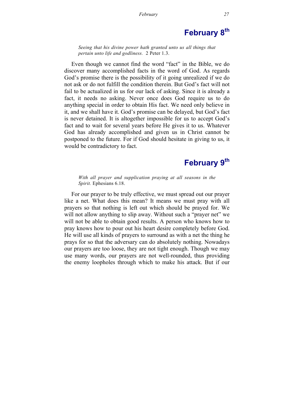# **February 8th**

*Seeing that his divine power hath granted unto us all things that pertain unto life and godliness.* 2 Peter 1.3.

Even though we cannot find the word "fact" in the Bible, we do discover many accomplished facts in the word of God. As regards God's promise there is the possibility of it going unrealized if we do not ask or do not fulfill the condition therein. But God's fact will not fail to be actualized in us for our lack of asking. Since it is already a fact, it needs no asking. Never once does God require us to do anything special in order to obtain His fact. We need only believe in it, and we shall have it. God's promise can be delayed, but God's fact is never detained. It is altogether impossible for us to accept God's fact and to wait for several years before He gives it to us. Whatever God has already accomplished and given us in Christ cannot be postponed to the future. For if God should hesitate in giving to us, it would be contradictory to fact.

#### **February 9th**

*With all prayer and supplication praying at all seasons in the Spirit.* Ephesians 6.18.

For our prayer to be truly effective, we must spread out our prayer like a net. What does this mean? It means we must pray with all prayers so that nothing is left out which should be prayed for. We will not allow anything to slip away. Without such a "prayer net" we will not be able to obtain good results. A person who knows how to pray knows how to pour out his heart desire completely before God. He will use all kinds of prayers to surround as with a net the thing he prays for so that the adversary can do absolutely nothing. Nowadays our prayers are too loose, they are not tight enough. Though we may use many words, our prayers are not well-rounded, thus providing the enemy loopholes through which to make his attack. But if our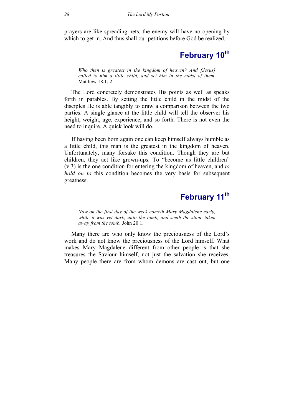prayers are like spreading nets, the enemy will have no opening by which to get in. And thus shall our petitions before God be realized.

#### **February 10th**

*Who then is greatest in the kingdom of heaven? And [Jesus] called to him a little child, and set him in the midst of them.*  Matthew 18.1, 2.

The Lord concretely demonstrates His points as well as speaks forth in parables. By setting the little child in the midst of the disciples He is able tangibly to draw a comparison between the two parties. A single glance at the little child will tell the observer his height, weight, age, experience, and so forth. There is not even the need to inquire. A quick look will do.

If having been born again one can keep himself always humble as a little child, this man is the greatest in the kingdom of heaven. Unfortunately, many forsake this condition. Though they are but children, they act like grown-ups. To "become as little children" (v.3) is the one condition for entering the kingdom of heaven, and *to hold on to* this condition becomes the very basis for subsequent greatness.

# **February 11th**

*Now on the first day of the week cometh Mary Magdalene early, while it was yet dark, unto the tomb, and seeth the stone taken away from the tomb.* John 20.1.

Many there are who only know the preciousness of the Lord's work and do not know the preciousness of the Lord himself. What makes Mary Magdalene different from other people is that she treasures the Saviour himself, not just the salvation she receives. Many people there are from whom demons are cast out, but one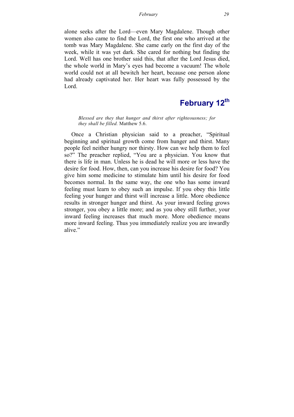alone seeks after the Lord—even Mary Magdalene. Though other women also came to find the Lord, the first one who arrived at the tomb was Mary Magdalene. She came early on the first day of the week, while it was yet dark. She cared for nothing but finding the Lord. Well has one brother said this, that after the Lord Jesus died, the whole world in Mary's eyes had become a vacuum! The whole world could not at all bewitch her heart, because one person alone had already captivated her. Her heart was fully possessed by the Lord.

#### February 12<sup>th</sup>

#### *Blessed are they that hunger and thirst after righteousness; for they shall be filled.* Matthew 5.6.

Once a Christian physician said to a preacher, "Spiritual beginning and spiritual growth come from hunger and thirst. Many people feel neither hungry nor thirsty. How can we help them to feel so?" The preacher replied, "You are a physician. You know that there is life in man. Unless he is dead he will more or less have the desire for food. How, then, can you increase his desire for food? You give him some medicine to stimulate him until his desire for food becomes normal. In the same way, the one who has some inward feeling must learn to obey such an impulse. If you obey this little feeling your hunger and thirst will increase a little. More obedience results in stronger hunger and thirst. As your inward feeling grows stronger, you obey a little more; and as you obey still further, your inward feeling increases that much more. More obedience means more inward feeling. Thus you immediately realize you are inwardly alive"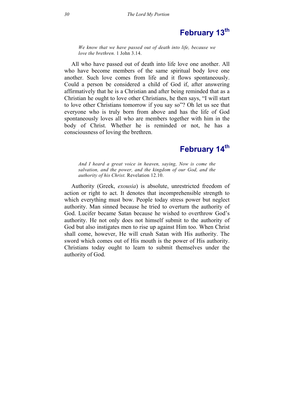# February 13<sup>th</sup>

*We know that we have passed out of death into life, because we love the brethren.* 1 John 3.14.

All who have passed out of death into life love one another. All who have become members of the same spiritual body love one another. Such love comes from life and it flows spontaneously. Could a person be considered a child of God if, after answering affirmatively that he is a Christian and after being reminded that as a Christian he ought to love other Christians, he then says, "I will start to love other Christians tomorrow if you say so"? Oh let us see that everyone who is truly born from above and has the life of God spontaneously loves all who are members together with him in the body of Christ. Whether he is reminded or not, he has a consciousness of loving the brethren.

### **February 14th**

*And I heard a great voice in heaven, saying, Now is come the salvation, and the power, and the kingdom of our God, and the authority of his Christ.* Revelation 12.10.

Authority (Greek, *exousia*) is absolute, unrestricted freedom of action or right to act. It denotes that incomprehensible strength to which everything must bow. People today stress power but neglect authority. Man sinned because he tried to overturn the authority of God. Lucifer became Satan because he wished to overthrow God's authority. He not only does not himself submit to the authority of God but also instigates men to rise up against Him too. When Christ shall come, however, He will crush Satan with His authority. The sword which comes out of His mouth is the power of His authority. Christians today ought to learn to submit themselves under the authority of God.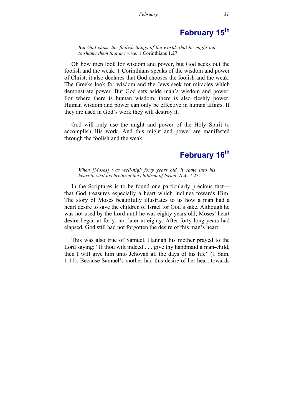### February 15<sup>th</sup>

*But God chose the foolish things of the world, that he might put to shame them that are wise.* 1 Corinthians 1.27.

Oh how men look for wisdom and power, but God seeks out the foolish and the weak. 1 Corinthians speaks of the wisdom and power of Christ; it also declares that God chooses the foolish and the weak. The Greeks look for wisdom and the Jews seek for miracles which demonstrate power. But God sets aside man's wisdom and power. For where there is human wisdom, there is also fleshly power. Human wisdom and power can only be effective in human affairs. If they are used in God's work they will destroy it.

God will only use the might and power of the Holy Spirit to accomplish His work. And this might and power are manifested through the foolish and the weak.

#### **February 16th**

*When [Moses] was well-nigh forty years old, it came into his heart to visit his brethren the children of Israel.* Acts 7.23.

In the Scriptures is to be found one particularly precious fact that God treasures especially a heart which inclines towards Him. The story of Moses beautifully illustrates to us how a man had a heart desire to save the children of Israel for God's sake. Although he was not used by the Lord until he was eighty years old, Moses' heart desire began at forty, not later at eighty. After forty long years had elapsed, God still had not forgotten the desire of this man's heart.

This was also true of Samuel. Hannah his mother prayed to the Lord saying: "If thou wilt indeed . . . give thy handmaid a man-child, then I will give him unto Jehovah all the days of his life" (1 Sam. 1.11). Because Samuel's mother had this desire of her heart towards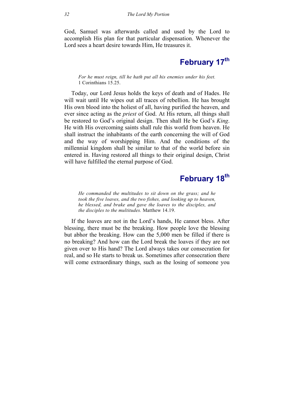God, Samuel was afterwards called and used by the Lord to accomplish His plan for that particular dispensation. Whenever the Lord sees a heart desire towards Him, He treasures it.

### **February 17th**

*For he must reign, till he hath put all his enemies under his feet.*  1 Corinthians 15.25.

Today, our Lord Jesus holds the keys of death and of Hades. He will wait until He wipes out all traces of rebellion. He has brought His own blood into the holiest of all, having purified the heaven, and ever since acting as the *priest* of God. At His return, all things shall be restored to God's original design. Then shall He be God's *King*. He with His overcoming saints shall rule this world from heaven. He shall instruct the inhabitants of the earth concerning the will of God and the way of worshipping Him. And the conditions of the millennial kingdom shall be similar to that of the world before sin entered in. Having restored all things to their original design, Christ will have fulfilled the eternal purpose of God.

#### February 18<sup>th</sup>

*He commanded the multitudes to sit down on the grass; and he took the five loaves, and the two fishes, and looking up to heaven, he blessed, and brake and gave the loaves to the disciples, and the disciples to the multitudes.* Matthew 14.19.

If the loaves are not in the Lord's hands, He cannot bless. After blessing, there must be the breaking. How people love the blessing but abhor the breaking. How can the 5,000 men be filled if there is no breaking? And how can the Lord break the loaves if they are not given over to His hand? The Lord always takes our consecration for real, and so He starts to break us. Sometimes after consecration there will come extraordinary things, such as the losing of someone you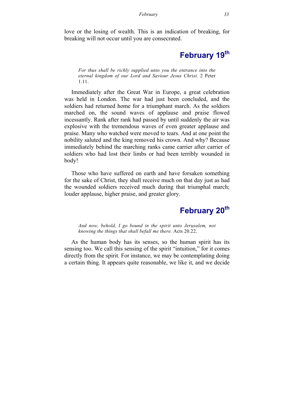love or the losing of wealth. This is an indication of breaking, for breaking will not occur until you are consecrated.

# **February 19th**

*For thus shall be richly supplied unto you the entrance into the eternal kingdom of our Lord and Saviour Jesus Christ.* 2 Peter 1.11.

Immediately after the Great War in Europe, a great celebration was held in London. The war had just been concluded, and the soldiers had returned home for a triumphant march. As the soldiers marched on, the sound waves of applause and praise flowed incessantly. Rank after rank had passed by until suddenly the air was explosive with the tremendous waves of even greater applause and praise. Many who watched were moved to tears. And at one point the nobility saluted and the king removed his crown. And why? Because immediately behind the marching ranks came carrier after carrier of soldiers who had lost their limbs or had been terribly wounded in body!

Those who have suffered on earth and have forsaken something for the sake of Christ, they shall receive much on that day just as had the wounded soldiers received much during that triumphal march; louder applause, higher praise, and greater glory.

#### February 20<sup>th</sup>

*And now, behold, I go bound in the spirit unto Jerusalem, not knowing the things that shall befall me there.* Acts 20.22.

As the human body has its senses, so the human spirit has its sensing too. We call this sensing of the spirit "intuition," for it comes directly from the spirit. For instance, we may be contemplating doing a certain thing. It appears quite reasonable, we like it, and we decide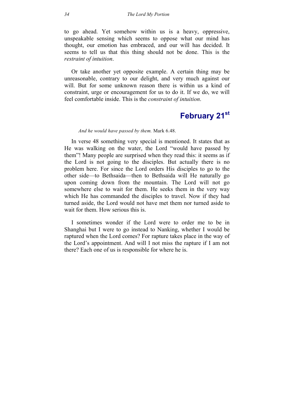to go ahead. Yet somehow within us is a heavy, oppressive, unspeakable sensing which seems to oppose what our mind has thought, our emotion has embraced, and our will has decided. It seems to tell us that this thing should not be done. This is the *restraint of intuition*.

Or take another yet opposite example. A certain thing may be unreasonable, contrary to our delight, and very much against our will. But for some unknown reason there is within us a kind of constraint, urge or encouragement for us to do it. If we do, we will feel comfortable inside. This is the *constraint of intuition*.

#### **February 21st**

#### *And he would have passed by them.* Mark 6.48.

In verse 48 something very special is mentioned. It states that as He was walking on the water, the Lord "would have passed by them"! Many people are surprised when they read this: it seems as if the Lord is not going to the disciples. But actually there is no problem here. For since the Lord orders His disciples to go to the other side—to Bethsaida—then to Bethsaida will He naturally go upon coming down from the mountain. The Lord will not go somewhere else to wait for them. He seeks them in the very way which He has commanded the disciples to travel. Now if they had turned aside, the Lord would not have met them nor turned aside to wait for them. How serious this is.

I sometimes wonder if the Lord were to order me to be in Shanghai but I were to go instead to Nanking, whether I would be raptured when the Lord comes? For rapture takes place in the way of the Lord's appointment. And will I not miss the rapture if I am not there? Each one of us is responsible for where he is.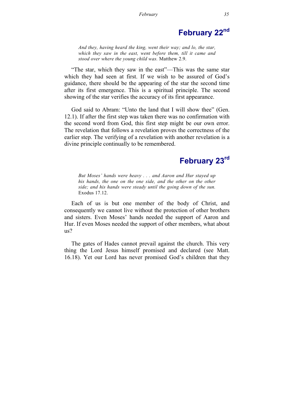

*And they, having heard the king, went their way; and lo, the star, which they saw in the east, went before them, till it came and stood over where the young child was.* Matthew 2.9.

"The star, which they saw in the east"—This was the same star which they had seen at first. If we wish to be assured of God's guidance, there should be the appearing of the star the second time after its first emergence. This is a spiritual principle. The second showing of the star verifies the accuracy of its first appearance.

God said to Abram: "Unto the land that I will show thee" (Gen. 12.1). If after the first step was taken there was no confirmation with the second word from God, this first step might be our own error. The revelation that follows a revelation proves the correctness of the earlier step. The verifying of a revelation with another revelation is a divine principle continually to be remembered.

#### **February 23rd**

*But Moses' hands were heavy . . . and Aaron and Hur stayed up his hands, the one on the one side, and the other on the other side; and his hands were steady until the going down of the sun.*  Exodus 17.12.

Each of us is but one member of the body of Christ, and consequently we cannot live without the protection of other brothers and sisters. Even Moses' hands needed the support of Aaron and Hur. If even Moses needed the support of other members, what about us?

The gates of Hades cannot prevail against the church. This very thing the Lord Jesus himself promised and declared (see Matt. 16.18). Yet our Lord has never promised God's children that they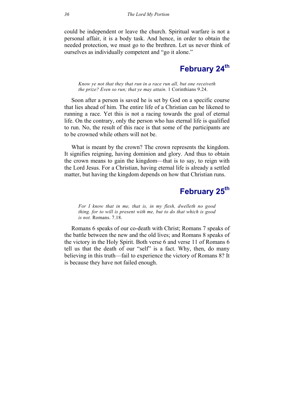could be independent or leave the church. Spiritual warfare is not a personal affair, it is a body task. And hence, in order to obtain the needed protection, we must go to the brethren. Let us never think of ourselves as individually competent and "go it alone."

### **February 24th**

*Know ye not that they that run in a race run all, but one receiveth the prize? Even so run; that ye may attain.* 1 Corinthians 9.24.

Soon after a person is saved he is set by God on a specific course that lies ahead of him. The entire life of a Christian can be likened to running a race. Yet this is not a racing towards the goal of eternal life. On the contrary, only the person who has eternal life is qualified to run. No, the result of this race is that some of the participants are to be crowned while others will not be.

What is meant by the crown? The crown represents the kingdom. It signifies reigning, having dominion and glory. And thus to obtain the crown means to gain the kingdom—that is to say, to reign with the Lord Jesus. For a Christian, having eternal life is already a settled matter, but having the kingdom depends on how that Christian runs.

#### **February 25<sup>th</sup>**

*For I know that in me, that is, in my flesh, dwelleth no good thing. for to will is present with me, but to do that which is good is not.* Romans. 7.18.

Romans 6 speaks of our co-death with Christ; Romans 7 speaks of the battle between the new and the old lives; and Romans 8 speaks of the victory in the Holy Spirit. Both verse 6 and verse 11 of Romans 6 tell us that the death of our "self" is a fact. Why, then, do many believing in this truth—fail to experience the victory of Romans 8? It is because they have not failed enough.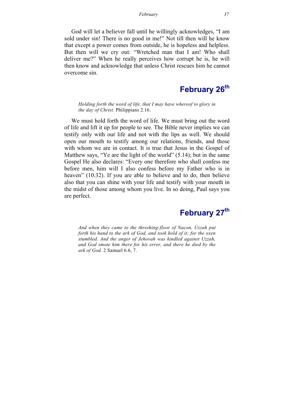God will let a believer fall until he willingly acknowledges, "I am sold under sin! There is no good in me!" Not till then will he know that except a power comes from outside, he is hopeless and helpless. But then will we cry out: "Wretched man that I am! Who shall deliver me?" When he really perceives how corrupt he is, he will then know and acknowledge that unless Christ rescues him he cannot overcome sin.

## **February 26<sup>th</sup>**

#### *Holding forth the word of life, that I may have whereof to glory in the day of Christ.* Philippians 2.16.

We must hold forth the word of life. We must bring out the word of life and lift it up for people to see. The Bible never implies we can testify only with our life and not with the lips as well. We should open our mouth to testify among our relations, friends, and those with whom we are in contact. It is true that Jesus in the Gospel of Matthew says, "Ye are the light of the world" (5.14); but in the same Gospel He also declares: "Every one therefore who shall confess me before men, him will I also confess before my Father who is in heaven" (10.32). If you are able to believe and to do, then believe also that you can shine with your life and testify with your mouth in the midst of those among whom you live. In so doing, Paul says you are perfect.

# **February 27th**

*And when they came to the threshing-floor of Nacon, Uzzah put forth his hand to the ark of God, and took hold of it; for the oxen stumbled. And the anger of Jehovah was kindled against Uzzah, and God smote him there for his error, and there he died by the ark of God.* 2 Samuel 6.6, 7.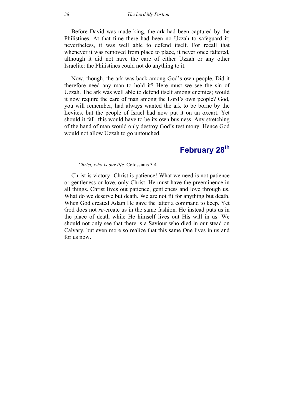Before David was made king, the ark had been captured by the Philistines. At that time there had been no Uzzah to safeguard it; nevertheless, it was well able to defend itself. For recall that whenever it was removed from place to place, it never once faltered, although it did not have the care of either Uzzah or any other Israelite: the Philistines could not do anything to it.

Now, though, the ark was back among God's own people. Did it therefore need any man to hold it? Here must we see the sin of Uzzah. The ark was well able to defend itself among enemies; would it now require the care of man among the Lord's own people? God, you will remember, had always wanted the ark to be borne by the Levites, but the people of Israel had now put it on an oxcart. Yet should it fall, this would have to be its own business. Any stretching of the hand of man would only destroy God's testimony. Hence God would not allow Uzzah to go untouched.

## February 28<sup>th</sup>

#### *Christ, who is our life.* Colossians 3.4.

Christ is victory! Christ is patience! What we need is not patience or gentleness or love, only Christ. He must have the preeminence in all things. Christ lives out patience, gentleness and love through us. What do we deserve but death. We are not fit for anything but death. When God created Adam He gave the latter a command to keep. Yet God does not *re*-create us in the same fashion. He instead puts us in the place of death while He himself lives out His will in us. We should not only see that there is a Saviour who died in our stead on Calvary, but even more so realize that this same One lives in us and for us now.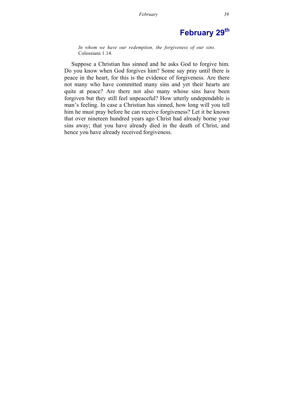## February 29<sup>th</sup>

*In whom we have our redemption, the forgiveness of our sins.*  Colossians 1.14.

Suppose a Christian has sinned and he asks God to forgive him. Do you know when God forgives him? Some say pray until there is peace in the heart, for this is the evidence of forgiveness. Are there not many who have committed many sins and yet their hearts are quite at peace? Are there not also many whose sins have been forgiven but they still feel unpeaceful? How utterly undependable is man's feeling. In case a Christian has sinned, how long will you tell him he must pray before he can receive forgiveness? Let it be known that over nineteen hundred years ago Christ had already borne your sins away; that you have already died in the death of Christ, and hence you have already received forgiveness.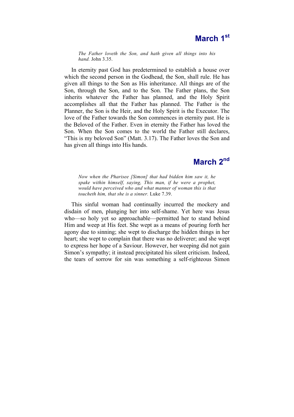## **March 1st**

*The Father loveth the Son, and hath given all things into his hand.* John 3.35.

In eternity past God has predetermined to establish a house over which the second person in the Godhead, the Son, shall rule. He has given all things to the Son as His inheritance. All things are of the Son, through the Son, and to the Son. The Father plans, the Son inherits whatever the Father has planned, and the Holy Spirit accomplishes all that the Father has planned. The Father is the Planner, the Son is the Heir, and the Holy Spirit is the Executor. The love of the Father towards the Son commences in eternity past. He is the Beloved of the Father. Even in eternity the Father has loved the Son. When the Son comes to the world the Father still declares, "This is my beloved Son" (Matt. 3.17). The Father loves the Son and has given all things into His hands.

### **March 2nd**

*Now when the Pharisee [Simon] that had bidden him saw it, he spake within himself, saying, This man, if he were a prophet, would have perceived who and what manner of woman this is that toucheth him, that she is a sinner.* Luke 7.39.

This sinful woman had continually incurred the mockery and disdain of men, plunging her into self-shame. Yet here was Jesus who—so holy yet so approachable—permitted her to stand behind Him and weep at His feet. She wept as a means of pouring forth her agony due to sinning; she wept to discharge the hidden things in her heart; she wept to complain that there was no deliverer; and she wept to express her hope of a Saviour. However, her weeping did not gain Simon's sympathy; it instead precipitated his silent criticism. Indeed, the tears of sorrow for sin was something a self-righteous Simon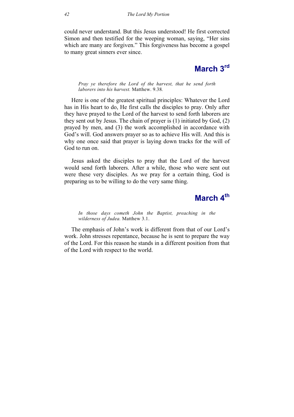could never understand. But this Jesus understood! He first corrected Simon and then testified for the weeping woman, saying, "Her sins which are many are forgiven." This forgiveness has become a gospel to many great sinners ever since.

### **March 3rd**

*Pray ye therefore the Lord of the harvest, that he send forth laborers into his harvest.* Matthew. 9.38*.* 

Here is one of the greatest spiritual principles: Whatever the Lord has in His heart to do, He first calls the disciples to pray. Only after they have prayed to the Lord of the harvest to send forth laborers are they sent out by Jesus. The chain of prayer is (1) initiated by God, (2) prayed by men, and (3) the work accomplished in accordance with God's will. God answers prayer so as to achieve His will. And this is why one once said that prayer is laying down tracks for the will of God to run on.

Jesus asked the disciples to pray that the Lord of the harvest would send forth laborers. After a while, those who were sent out were these very disciples. As we pray for a certain thing, God is preparing us to be willing to do the very same thing.

## **March 4th**

*In those days cometh John the Baptist, preaching in the wilderness of Judea.* Matthew 3.1.

The emphasis of John's work is different from that of our Lord's work. John stresses repentance, because he is sent to prepare the way of the Lord. For this reason he stands in a different position from that of the Lord with respect to the world.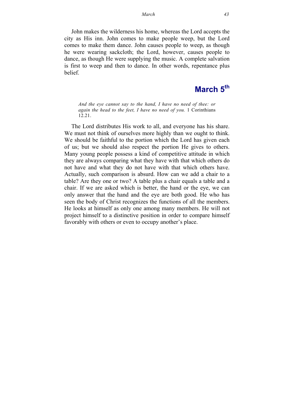John makes the wilderness his home, whereas the Lord accepts the city as His inn. John comes to make people weep, but the Lord comes to make them dance. John causes people to weep, as though he were wearing sackcloth; the Lord, however, causes people to dance, as though He were supplying the music. A complete salvation is first to weep and then to dance. In other words, repentance plus **belief** 

## **March 5th**

*And the eye cannot say to the hand, I have no need of thee: or again the head to the feet, I have no need of you.* 1 Corinthians 12.21.

The Lord distributes His work to all, and everyone has his share. We must not think of ourselves more highly than we ought to think. We should be faithful to the portion which the Lord has given each of us; but we should also respect the portion He gives to others. Many young people possess a kind of competitive attitude in which they are always comparing what they have with that which others do not have and what they do not have with that which others have. Actually, such comparison is absurd. How can we add a chair to a table? Are they one or two? A table plus a chair equals a table and a chair. If we are asked which is better, the hand or the eye, we can only answer that the hand and the eye are both good. He who has seen the body of Christ recognizes the functions of all the members. He looks at himself as only one among many members. He will not project himself to a distinctive position in order to compare himself favorably with others or even to occupy another's place.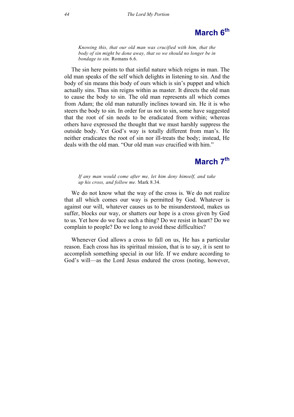## **March 6th**

*Knowing this, that our old man was crucified with him, that the body of sin might be done away, that so we should no longer be in bondage to sin.* Romans 6.6.

The sin here points to that sinful nature which reigns in man. The old man speaks of the self which delights in listening to sin. And the body of sin means this body of ours which is sin's puppet and which actually sins. Thus sin reigns within as master. It directs the old man to cause the body to sin. The old man represents all which comes from Adam; the old man naturally inclines toward sin. He it is who steers the body to sin. In order for us not to sin, some have suggested that the root of sin needs to be eradicated from within; whereas others have expressed the thought that we must harshly suppress the outside body. Yet God's way is totally different from man's. He neither eradicates the root of sin nor ill-treats the body; instead, He deals with the old man. "Our old man *was* crucified with him."

### **March 7th**

*If any man would come after me, let him deny himself, and take up his cross, and follow me.* Mark 8.34.

We do not know what the way of the cross is. We do not realize that all which comes our way is permitted by God. Whatever is against our will, whatever causes us to be misunderstood, makes us suffer, blocks our way, or shatters our hope is a cross given by God to us. Yet how do we face such a thing? Do we resist in heart? Do we complain to people? Do we long to avoid these difficulties?

Whenever God allows a cross to fall on us, He has a particular reason. Each cross has its spiritual mission, that is to say, it is sent to accomplish something special in our life. If we endure according to God's will—as the Lord Jesus endured the cross (noting, however,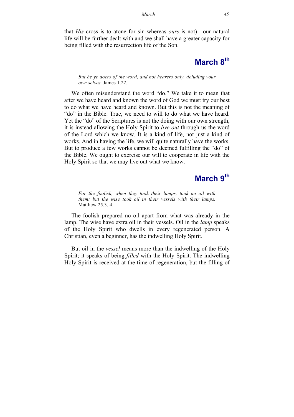that *His* cross is to atone for sin whereas *ours* is not)—our natural life will be further dealt with and we shall have a greater capacity for being filled with the resurrection life of the Son.

## **March 8th**

*But be ye doers of the word, and not hearers only, deluding your own selves.* James 1.22.

We often misunderstand the word "do." We take it to mean that after we have heard and known the word of God we must try our best to do what we have heard and known. But this is not the meaning of "do" in the Bible. True, we need to will to do what we have heard. Yet the "do" of the Scriptures is not the doing with our own strength, it is instead allowing the Holy Spirit to *live out* through us the word of the Lord which we know. It is a kind of life, not just a kind of works. And in having the life, we will quite naturally have the works. But to produce a few works cannot be deemed fulfilling the "do" of the Bible. We ought to exercise our will to cooperate in life with the Holy Spirit so that we may live out what we know.

### **March 9th**

*For the foolish, when they took their lamps, took no oil with them: but the wise took oil in their vessels with their lamps.* Matthew 25.3, 4.

The foolish prepared no oil apart from what was already in the lamp. The wise have extra oil in their vessels. Oil in the *lamp* speaks of the Holy Spirit who dwells in every regenerated person. A Christian, even a beginner, has the indwelling Holy Spirit.

But oil in the *vessel* means more than the indwelling of the Holy Spirit; it speaks of being *filled* with the Holy Spirit. The indwelling Holy Spirit is received at the time of regeneration, but the filling of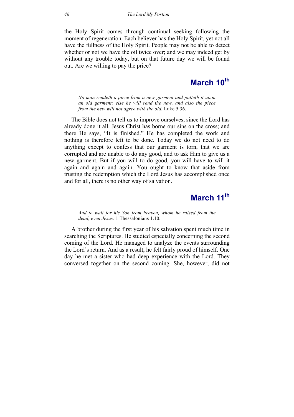the Holy Spirit comes through continual seeking following the moment of regeneration. Each believer has the Holy Spirit, yet not all have the fullness of the Holy Spirit. People may not be able to detect whether or not we have the oil twice over; and we may indeed get by without any trouble today, but on that future day we will be found out. Are we willing to pay the price?

### **March 10th**

*No man rendeth a piece from a new garment and putteth it upon an old garment; else he will rend the new, and also the piece from the new will not agree with the old.* Luke 5.36.

The Bible does not tell us to improve ourselves, since the Lord has already done it all. Jesus Christ has borne our sins on the cross; and there He says, "It is finished." He has completed the work and nothing is therefore left to be done. Today we do not need to do anything except to confess that our garment is torn, that we are corrupted and are unable to do any good, and to ask Him to give us a new garment. But if you will to do good, you will have to will it again and again and again. You ought to know that aside from trusting the redemption which the Lord Jesus has accomplished once and for all, there is no other way of salvation.

## **March 11th**

### *And to wait for his Son from heaven, whom he raised from the dead, even Jesus.* 1 Thessalonians 1.10.

A brother during the first year of his salvation spent much time in searching the Scriptures. He studied especially concerning the second coming of the Lord. He managed to analyze the events surrounding the Lord's return. And as a result, he felt fairly proud of himself. One day he met a sister who had deep experience with the Lord. They conversed together on the second coming. She, however, did not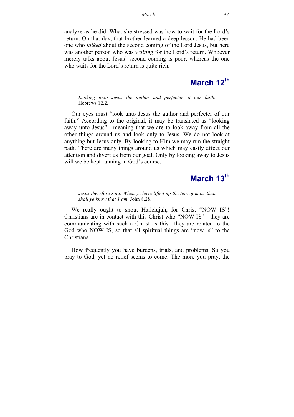analyze as he did. What she stressed was how to wait for the Lord's return. On that day, that brother learned a deep lesson. He had been one who *talked* about the second coming of the Lord Jesus, but here was another person who was *waiting* for the Lord's return. Whoever merely talks about Jesus' second coming is poor, whereas the one who waits for the Lord's return is quite rich.

### **March 12th**

*Looking unto Jesus the author and perfecter of our faith.*  Hebrews 12.2.

Our eyes must "look unto Jesus the author and perfecter of our faith." According to the original, it may be translated as "looking away unto Jesus"—meaning that we are to look away from all the other things around us and look only to Jesus. We do not look at anything but Jesus only. By looking to Him we may run the straight path. There are many things around us which may easily affect our attention and divert us from our goal. Only by looking away to Jesus will we be kept running in God's course.

### **March 13th**

*Jesus therefore said, When ye have lifted up the Son of man, then shall ye know that 1 am.* John 8.28.

We really ought to shout Hallelujah, for Christ "NOW IS"! Christians are in contact with this Christ who "NOW IS"—they are communicating with such a Christ as this—they are related to the God who NOW IS, so that all spiritual things are "now is" to the Christians.

How frequently you have burdens, trials, and problems. So you pray to God, yet no relief seems to come. The more you pray, the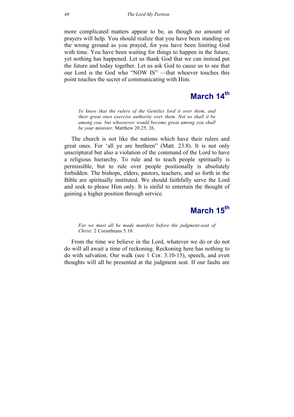more complicated matters appear to be, as though no amount of prayers will help. You should realize that you have been standing on the wrong ground as you prayed, for you have been limiting God with time. You have been waiting for things to happen in the future, yet nothing has happened. Let us thank God that we can instead put the future and today together. Let us ask God to cause us to see that our Lord is the God who "NOW IS" —that whoever touches this point touches the secret of communicating with Him.

## **March 14th**

*Ye know that the rulers of the Gentiles lord it over them, and their great ones exercise authority over them. Not so shall it be among you. but whosoever would become great among you shall be your minister.* Matthew 20.25, 26.

The church is not like the nations which have their rulers and great ones. For 'all ye are brethren" (Matt. 23.8). It is not only unscriptural but also a violation of the command of the Lord to have a religious hierarchy. To rule and to teach people spiritually is permissible, but to rule over people positionally is absolutely forbidden. The bishops, elders, pastors, teachers, and so forth in the Bible are spiritually instituted. We should faithfully serve the Lord and seek to please Him only. It is sinful to entertain the thought of gaining a higher position through service.

## **March 15th**

*For we must all be made manifest before the judgment-seat of Christ.* 2 Corinthians 5.10.

From the time we believe in the Lord, whatever we do or do not do will all await a time of reckoning. Reckoning here has nothing to do with salvation. Our walk (see 1 Cor. 3.10-15), speech, and even thoughts will all be presented at the judgment seat. If our faults are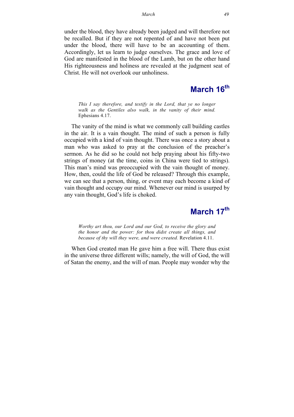under the blood, they have already been judged and will therefore not be recalled. But if they are not repented of and have not been put under the blood, there will have to be an accounting of them. Accordingly, let us learn to judge ourselves. The grace and love of God are manifested in the blood of the Lamb, but on the other hand His righteousness and holiness are revealed at the judgment seat of Christ. He will not overlook our unholiness.

### **March 16th**

*This I say therefore, and testify in the Lord, that ye no longer walk as the Gentiles also walk, in the vanity of their mind.*  Ephesians 4.17.

The vanity of the mind is what we commonly call building castles in the air. It is a vain thought. The mind of such a person is fully occupied with a kind of vain thought. There was once a story about a man who was asked to pray at the conclusion of the preacher's sermon. As he did so he could not help praying about his fifty-two strings of money (at the time, coins in China were tied to strings). This man's mind was preoccupied with the vain thought of money. How, then, could the life of God be released? Through this example, we can see that a person, thing, or event may each become a kind of vain thought and occupy our mind. Whenever our mind is usurped by any vain thought, God's life is choked.

## **March 17th**

*Worthy art thou, our Lord and our God, to receive the glory and the honor and the power: for thou didst create all things, and because of thy will they were, and were created.* Revelation 4.11.

When God created man He gave him a free will. There thus exist in the universe three different wills; namely, the will of God, the will of Satan the enemy, and the will of man. People may wonder why the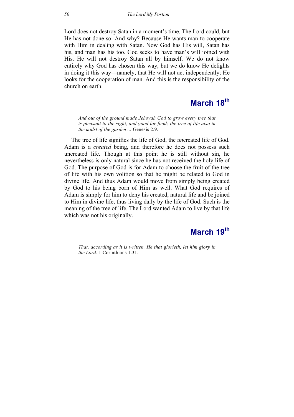Lord does not destroy Satan in a moment's time. The Lord could, but He has not done so. And why? Because He wants man to cooperate with Him in dealing with Satan. Now God has His will, Satan has his, and man has his too. God seeks to have man's will joined with His. He will not destroy Satan all by himself. We do not know entirely why God has chosen this way, but we do know He delights in doing it this way—namely, that He will not act independently; He looks for the cooperation of man. And this is the responsibility of the church on earth.

## **March 18th**

*And out of the ground made Jehovah God to grow every tree that is pleasant to the sight, and good for food; the tree of life also in the midst of the garden ...* Genesis 2.9.

The tree of life signifies the life of God, the *un*created life of God. Adam is a *created* being, and therefore he does not possess such uncreated life. Though at this point he is still without sin, he nevertheless is only natural since he has not received the holy life of God. The purpose of God is for Adam to choose the fruit of the tree of life with his own volition so that he might be related to God in divine life. And thus Adam would move from simply being created by God to his being born of Him as well. What God requires of Adam is simply for him to deny his created, natural life and be joined to Him in divine life, thus living daily by the life of God. Such is the meaning of the tree of life. The Lord wanted Adam to live by that life which was not his originally.

### **March 19th**

*That, according as it is written, He that glorieth, let him glory in the Lord.* 1 Corinthians 1.31.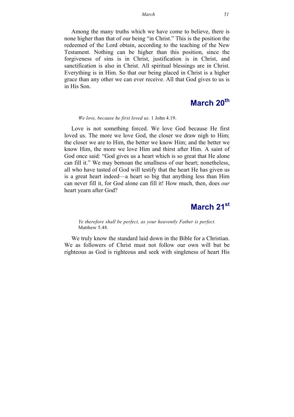Among the many truths which we have come to believe, there is none higher than that of our being "in Christ." This is the position the redeemed of the Lord obtain, according to the teaching of the New Testament. Nothing can be higher than this position, since the forgiveness of sins is in Christ, justification is in Christ, and sanctification is also in Christ. All spiritual blessings are in Christ. Everything is in Him. So that our being placed in Christ is a higher grace than any other we can ever receive. All that God gives to us is in His Son.

## **March 20th**

#### *We love, because he first loved us.* 1 John 4.19.

Love is not something forced. We love God because He first loved us. The more we love God, the closer we draw nigh to Him; the closer we are to Him, the better we know Him; and the better we know Him, the more we love Him and thirst after Him. A saint of God once said: "God gives us a heart which is so great that He alone can fill it." We may bemoan the smallness of our heart; nonetheless, all who have tasted of God will testify that the heart He has given us is a great heart indeed—a heart so big that anything less than Him can never fill it, for God alone can fill it! How much, then, does *our*  heart yearn after God?

### **March 21st**

### *Ye therefore shall be perfect, as your heavently Father is perfect.*  Matthew 5.48.

We truly know the standard laid down in the Bible for a Christian. We as followers of Christ must not follow our own will but be righteous as God is righteous and seek with singleness of heart His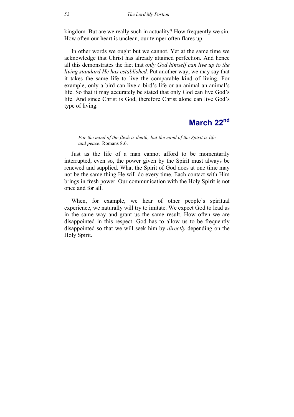kingdom. But are we really such in actuality? How frequently we sin. How often our heart is unclean, our temper often flares up.

In other words we ought but we cannot. Yet at the same time we acknowledge that Christ has already attained perfection. And hence all this demonstrates the fact that *only God himself can live up to the living standard He has established.* Put another way, we may say that it takes the same life to live the comparable kind of living. For example, only a bird can live a bird's life or an animal an animal's life. So that it may accurately be stated that only God can live God's life. And since Christ is God, therefore Christ alone can live God's type of living.

## **March 22nd**

*For the mind of the flesh is death; but the mind of the Spirit is life and peace.* Romans 8.6.

Just as the life of a man cannot afford to be momentarily interrupted, even so, the power given by the Spirit must always be renewed and supplied. What the Spirit of God does at one time may not be the same thing He will do every time. Each contact with Him brings in fresh power. Our communication with the Holy Spirit is not once and for all.

When, for example, we hear of other people's spiritual experience, we naturally will try to imitate. We expect God to lead us in the same way and grant us the same result. How often we are disappointed in this respect. God has to allow us to be frequently disappointed so that we will seek him by *directly* depending on the Holy Spirit.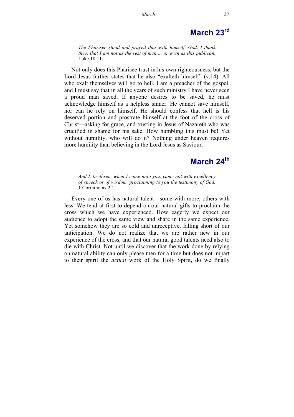## **March 23rd**

*The Pharisee stood and prayed thus with himself, God, I thank thee, that I am not as the rest of men ... or even as this publican.*  Luke 18.11.

Not only does this Pharisee trust in his own righteousness, but the Lord Jesus further states that he also "exalteth himself" (v.14). All who exalt themselves will go to hell. I am a preacher of the gospel, and I must say that in all the years of such ministry I have never seen a proud man saved. If anyone desires to be saved, he must acknowledge himself as a helpless sinner. He cannot save himself, nor can he rely on himself. He should confess that hell is his deserved portion and prostrate himself at the foot of the cross of Christ—asking for grace, and trusting in Jesus of Nazareth who was crucified in shame for his sake. How humbling this must be! Yet without humility, who will do it? Nothing under heaven requires more humility than believing in the Lord Jesus as Saviour.

## **March 24th**

*And I, brethren, when I came unto you, came not with excellency of speech or of wisdom, proclaiming to you the testimony of God.*  1 Corinthians 2.1.

Every one of us has natural talent—some with more, others with less. We tend at first to depend on our natural gifts to proclaim the cross which we have experienced. How eagerly we expect our audience to adopt the same view and share in the same experience. Yet somehow they are so cold and unreceptive, falling short of our anticipation. We do not realize that we are rather new in our experience of the cross, and that our natural good talents need also to die with Christ. Not until we discover that the work done by relying on natural ability can only please men for a time but does not impart to their spirit the *actual* work of the Holy Spirit, do we finally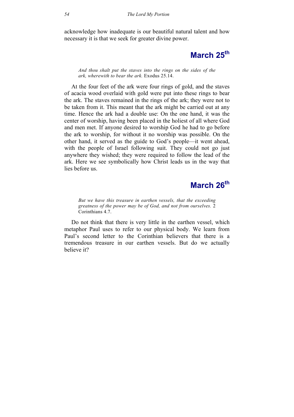acknowledge how inadequate is our beautiful natural talent and how necessary it is that we seek for greater divine power.

### **March 25th**

### *And thou shalt put the staves into the rings on the sides of the ark, wherewith to bear the ark.* Exodus 25.14.

At the four feet of the ark were four rings of gold, and the staves of acacia wood overlaid with gold were put into these rings to bear the ark. The staves remained in the rings of the ark; they were not to be taken from it. This meant that the ark might be carried out at any time. Hence the ark had a double use: On the one hand, it was the center of worship, having been placed in the holiest of all where God and men met. If anyone desired to worship God he had to go before the ark to worship, for without it no worship was possible. On the other hand, it served as the guide to God's people—it went ahead, with the people of Israel following suit. They could not go just anywhere they wished; they were required to follow the lead of the ark. Here we see symbolically how Christ leads us in the way that lies before us.

## **March 26th**

*But we have this treasure in earthen vessels, that the exceeding greatness of the power may be of God, and not from ourselves.* 2 Corinthians 4.7.

Do not think that there is very little in the earthen vessel, which metaphor Paul uses to refer to our physical body. We learn from Paul's second letter to the Corinthian believers that there is a tremendous treasure in our earthen vessels. But do we actually believe it?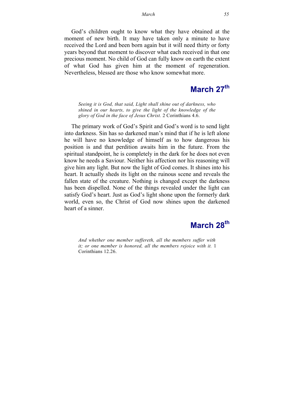God's children ought to know what they have obtained at the moment of new birth. It may have taken only a minute to have received the Lord and been born again but it will need thirty or forty years beyond that moment to discover what each received in that one precious moment. No child of God can fully know on earth the extent of what God has given him at the moment of regeneration. Nevertheless, blessed are those who know somewhat more.

### **March 27th**

*Seeing it is God, that said, Light shall shine out of darkness, who shined in our hearts, to give the light of the knowledge of the glory of God in the face of Jesus Christ.* 2 Corinthians 4.6.

The primary work of God's Spirit and God's word is to send light into darkness. Sin has so darkened man's mind that if he is left alone he will have no knowledge of himself as to how dangerous his position is and that perdition awaits him in the future. From the spiritual standpoint, he is completely in the dark for he does not even know he needs a Saviour. Neither his affection nor his reasoning will give him any light. But now the light of God comes. It shines into his heart. It actually sheds its light on the ruinous scene and reveals the fallen state of the creature. Nothing is changed except the darkness has been dispelled. None of the things revealed under the light can satisfy God's heart. Just as God's light shone upon the formerly dark world, even so, the Christ of God now shines upon the darkened heart of a sinner.

### **March 28th**

*And whether one member suffereth, all the members suffer with it; or one member is honored, all the members rejoice with it.* 1 Corinthians 12.26.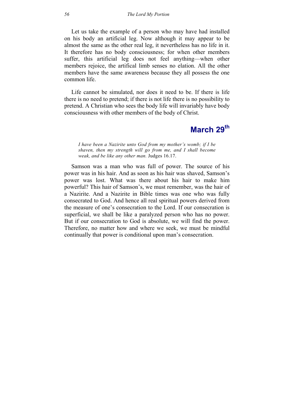Let us take the example of a person who may have had installed on his body an artificial leg. Now although it may appear to be almost the same as the other real leg, it nevertheless has no life in it. It therefore has no body consciousness; for when other members suffer, this artificial leg does not feel anything—when other members rejoice, the artifical limb senses no elation. All the other members have the same awareness because they all possess the one common life.

Life cannot be simulated, nor does it need to be. If there is life there is no need to pretend; if there is not life there is no possibility to pretend. A Christian who sees the body life will invariably have body consciousness with other members of the body of Christ.

### **March 29th**

*I have been a Nazirite unto God from my mother's womb; if I be shaven, then my strength will go from me, and I shall become weak, and be like any other man.* Judges 16.17.

Samson was a man who was full of power. The source of his power was in his hair. And as soon as his hair was shaved, Samson's power was lost. What was there about his hair to make him powerful? This hair of Samson's, we must remember, was the hair of a Nazirite. And a Nazirite in Bible times was one who was fully consecrated to God. And hence all real spiritual powers derived from the measure of one's consecration to the Lord. If our consecration is superficial, we shall be like a paralyzed person who has no power. But if our consecration to God is absolute, we will find the power. Therefore, no matter how and where we seek, we must be mindful continually that power is conditional upon man's consecration.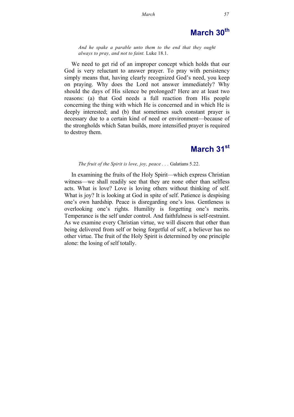## **March 30th**

*And he spake a parable unto them to the end that they ought always to pray, and not to faint.* Luke 18.1.

We need to get rid of an improper concept which holds that our God is very reluctant to answer prayer. To pray with persistency simply means that, having clearly recognized God's need, you keep on praying. Why does the Lord not answer immediately? Why should the days of His silence be prolonged? Here are at least two reasons: (a) that God needs a full reaction from His people concerning the thing with which He is concerned and in which He is deeply interested; and (b) that sometimes such constant prayer is necessary due to a certain kind of need or environment—because of the strongholds which Satan builds, more intensified prayer is required to destroy them.

### **March 31st**

#### *The fruit of the Spirit is love, joy, peace...* Galatians 5.22.

In examining the fruits of the Holy Spirit—which express Christian witness—we shall readily see that they are none other than selfless acts. What is love? Love is loving others without thinking of self. What is joy? It is looking at God in spite of self. Patience is despising one's own hardship. Peace is disregarding one's loss. Gentleness is overlooking one's rights. Humility is forgetting one's merits. Temperance is the self under control. And faithfulness is self-restraint. As we examine every Christian virtue, we will discern that other than being delivered from self or being forgetful of self, a believer has no other virtue. The fruit of the Holy Spirit is determined by one principle alone: the losing of self totally.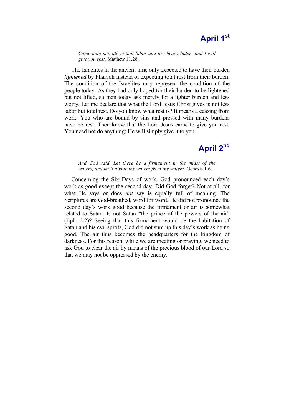# **April 1st**

*Come unto me, all ye that labor and are heavy laden, and I will give you rest.* Matthew 11.28.

The Israelites in the ancient time only expected to have their burden *lightened* by Pharaoh instead of expecting total rest from their burden. The condition of the Israelites may represent the condition of the people today. As they had only hoped for their burden to be lightened but not lifted, so men today ask merely for a lighter burden and less worry. Let me declare that what the Lord Jesus Christ gives is not less labor but total rest. Do you know what rest is? It means a ceasing from work. You who are bound by sins and pressed with many burdens have no rest. Then know that the Lord Jesus came to give you rest. You need not do anything; He will simply give it to you.

# **April 2nd**

### *And God said, Let there be a firmament in the midst of the waters, and let it divide the waters from the waters.* Genesis 1.6.

Concerning the Six Days of work, God pronounced each day's work as good except the second day. Did God forget? Not at all, for what He says or does *not* say is equally full of meaning. The Scriptures are God-breathed, word for word. He did not pronounce the second day's work good because the firmament or air is somewhat related to Satan. Is not Satan "the prince of the powers of the air" (Eph. 2.2)? Seeing that this firmament would be the habitation of Satan and his evil spirits, God did not sum up this day's work as being good. The air thus becomes the headquarters for the kingdom of darkness. For this reason, while we are meeting or praying, we need to ask God to clear the air by means of the precious blood of our Lord so that we may not be oppressed by the enemy.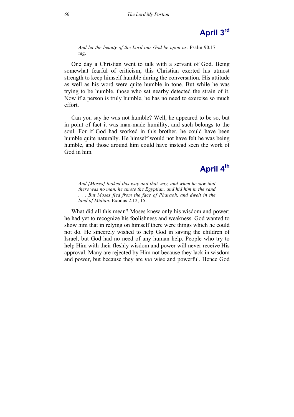## **April 3rd**

*And let the beauty of the Lord our God be upon us.* Psalm 90.17 mg.

One day a Christian went to talk with a servant of God. Being somewhat fearful of criticism, this Christian exerted his utmost strength to keep himself humble during the conversation. His attitude as well as his word were quite humble in tone. But while he was trying to be humble, those who sat nearby detected the strain of it. Now if a person is truly humble, he has no need to exercise so much effort.

Can you say he was not humble? Well, he appeared to be so, but in point of fact it was man-made humility, and such belongs to the soul. For if God had worked in this brother, he could have been humble quite naturally. He himself would not have felt he was being humble, and those around him could have instead seen the work of God in him.

# April 4<sup>th</sup>

*And [Moses] looked this way and that way, and when he saw that there was no man, he smote the Egyptian, and hid him in the sand . . . But Moses fled from the face of Pharaoh, and dwelt in the land of Midian.* Exodus 2.12, 15.

What did all this mean? Moses knew only his wisdom and power; he had yet to recognize his foolishness and weakness. God wanted to show him that in relying on himself there were things which he could not do. He sincerely wished to help God in saving the children of Israel, but God had no need of any human help. People who try to help Him with their fleshly wisdom and power will never receive His approval. Many are rejected by Him not because they lack in wisdom and power, but because they are *too* wise and powerful. Hence God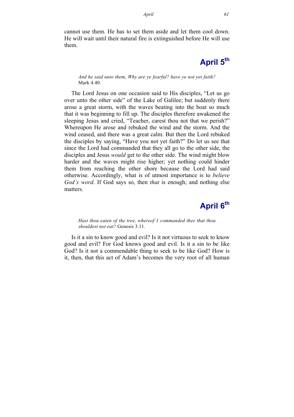cannot use them. He has to set them aside and let them cool down. He will wait until their natural fire is extinguished before He will use them.

# April 5<sup>th</sup>

*And he said unto them, Why are ye fearful? have ye not yet faith?*  Mark 4.40.

The Lord Jesus on one occasion said to His disciples, "Let us go over unto the other side" of the Lake of Galilee; but suddenly there arose a great storm, with the waves beating into the boat so much that it was beginning to fill up. The disciples therefore awakened the sleeping Jesus and cried, "Teacher, carest thou not that we perish?" Whereupon He arose and rebuked the wind and the storm. And the wind ceased, and there was a great calm. But then the Lord rebuked the disciples by saying, "Have you not yet faith?" Do let us see that since the Lord had commanded that they all go to the other side, the disciples and Jesus *would* get to the other side. The wind might blow harder and the waves might rise higher; yet nothing could hinder them from reaching the other shore because the Lord had said otherwise. Accordingly, what is of utmost importance is to *believe God's word*. If God says so, then *that* is enough; and nothing else matters.

## April 6<sup>th</sup>

#### *Hast thou eaten of the tree, whereof 1 commanded thee that thou shouldest not eat?* Genesis 3.11*.*

Is it a sin to know good and evil? Is it not virtuous to seek to know good and evil? For God knows good and evil. Is it a sin to be like God? Is it not a commendable thing to seek to be like God? How is it, then, that this act of Adam's becomes the very root of all human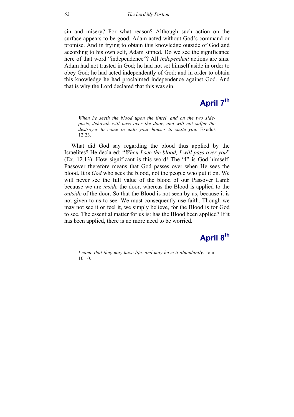sin and misery? For what reason? Although such action on the surface appears to be good, Adam acted without God's command or promise. And in trying to obtain this knowledge outside of God and according to his own self, Adam sinned. Do we see the significance here of that word "independence"? All *independent* actions are sins. Adam had not trusted in God; he had not set himself aside in order to obey God; he had acted independently of God; and in order to obtain this knowledge he had proclaimed independence against God. And that is why the Lord declared that this was sin.

## April 7<sup>th</sup>

*When he seeth the blood upon the lintel, and on the two sideposts, Jehovah will pass over the door, and will not suffer the destroyer to come in unto your houses to smite you.* Exodus 12.23.

What did God say regarding the blood thus applied by the Israelites? He declared: "*When I see the blood, I will pass over you*" (Ex. 12.13). How significant is this word! The "I" is God himself. Passover therefore means that God passes over when He sees the blood. It is *God* who sees the blood, not the people who put it on. We will never see the full value of the blood of our Passover Lamb because we are *inside* the door, whereas the Blood is applied to the *outside* of the door. So that the Blood is not seen by us, because it is not given to us to see. We must consequently use faith. Though we may not see it or feel it, we simply believe, for the Blood is for God to see. The essential matter for us is: has the Blood been applied? If it has been applied, there is no more need to be worried.

# April 8<sup>th</sup>

*I came that they may have life, and may have it abundantly.* John 10.10.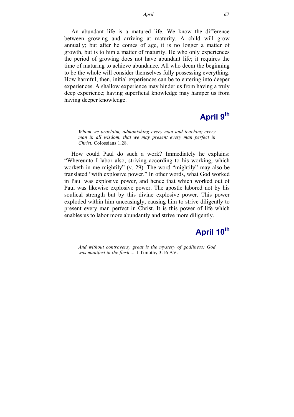An abundant life is a matured life. We know the difference between growing and arriving at maturity. A child will grow annually; but after he comes of age, it is no longer a matter of growth, but is to him a matter of maturity. He who only experiences the period of growing does not have abundant life; it requires the time of maturing to achieve abundance. All who deem the beginning to be the whole will consider themselves fully possessing everything. How harmful, then, initial experiences can be to entering into deeper experiences. A shallow experience may hinder us from having a truly deep experience; having superficial knowledge may hamper us from having deeper knowledge.

## **April 9th**

### *Whom we proclaim, admonishing every man and teaching every man in all wisdom, that we may present every man perfect in Christ.* Colossians 1.28*.*

How could Paul do such a work? Immediately he explains: "Whereunto I labor also, striving according to his working, which worketh in me mightily" (v. 29). The word "mightily" may also be translated "with explosive power." In other words, what God worked in Paul was explosive power, and hence that which worked out of Paul was likewise explosive power. The apostle labored not by his soulical strength but by this divine explosive power. This power exploded within him unceasingly, causing him to strive diligently to present every man perfect in Christ. It is this power of life which enables us to labor more abundantly and strive more diligently.

## April 10<sup>th</sup>

*And without controversy great is the mystery of godliness: God was manifest in the flesh ...* 1 Timothy 3.16 AV.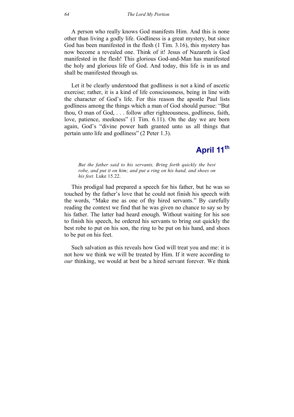A person who really knows God manifests Him. And this is none other than living a godly life. Godliness is a great mystery, but since God has been manifested in the flesh (1 Tim. 3.16), this mystery has now become a revealed one. Think of it! Jesus of Nazareth is God manifested in the flesh! This glorious God-and-Man has manifested the holy and glorious life of God. And today, this life is in us and shall be manifested through us.

Let it be clearly understood that godliness is not a kind of ascetic exercise; rather, it is a kind of life consciousness, being in line with the character of God's life. For this reason the apostle Paul lists godliness among the things which a man of God should pursue: "But thou, O man of God, . . . follow after righteousness, godliness, faith, love, patience, meekness" (1 Tim. 6.11). On the day we are born again, God's "divine power hath granted unto us all things that pertain unto life and godliness" (2 Peter 1.3).

## April 11<sup>th</sup>

*But the father said to his servants, Bring forth quickly the best robe, and put it on him; and put a ring on his hand, and shoes on his feet.* Luke 15.22.

This prodigal had prepared a speech for his father, but he was so touched by the father's love that he could not finish his speech with the words, "Make me as one of thy hired servants." By carefully reading the context we find that he was given no chance to say so by his father. The latter had heard enough. Without waiting for his son to finish his speech, he ordered his servants to bring out quickly the best robe to put on his son, the ring to be put on his hand, and shoes to be put on his feet.

Such salvation as this reveals how God will treat you and me: it is not how we think we will be treated by Him. If it were according to *our* thinking, we would at best be a hired servant forever. We think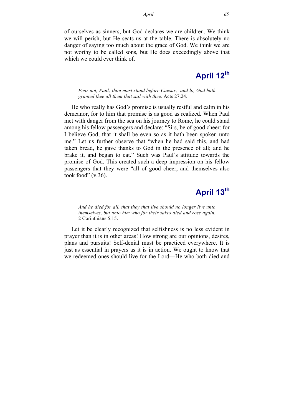of ourselves as sinners, but God declares we are children. We think we will perish, but He seats us at the table. There is absolutely no danger of saying too much about the grace of God. We think we are not worthy to be called sons, but He does exceedingly above that which we could ever think of

## **April 12th**

#### *Fear not, Paul; thou must stand before Caesar; and lo, God hath granted thee all them that sail with thee.* Acts 27.24.

He who really has God's promise is usually restful and calm in his demeanor, for to him that promise is as good as realized. When Paul met with danger from the sea on his journey to Rome, he could stand among his fellow passengers and declare: "Sirs, be of good cheer: for I believe God, that it shall be even so as it hath been spoken unto me." Let us further observe that "when he had said this, and had taken bread, he gave thanks to God in the presence of all; and he brake it, and began to eat." Such was Paul's attitude towards the promise of God. This created such a deep impression on his fellow passengers that they were "all of good cheer, and themselves also took food" (v.36).

## April 13<sup>th</sup>

*And he died for all, that they that live should no longer live unto themselves, but unto him who for their sakes died and rose again.*  2 Corinthians 5.15

Let it be clearly recognized that selfishness is no less evident in prayer than it is in other areas! How strong are our opinions, desires, plans and pursuits! Self-denial must be practiced everywhere. It is just as essential in prayers as it is in action. We ought to know that we redeemed ones should live for the Lord—He who both died and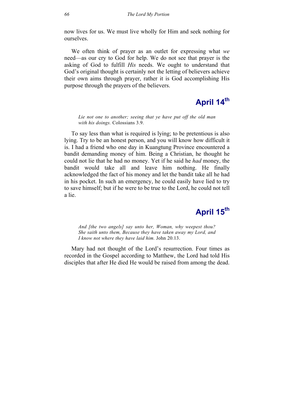now lives for us. We must live wholly for Him and seek nothing for ourselves.

We often think of prayer as an outlet for expressing what *we*  need—as our cry to God for help. We do not see that prayer is the asking of God to fulfill *His* needs. We ought to understand that God's original thought is certainly not the letting of believers achieve their own aims through prayer, rather it is God accomplishing His purpose through the prayers of the believers.

# April 14<sup>th</sup>

### *Lie not one to another; seeing that ye have put off the old man with his doings.* Colossians 3.9.

To say less than what is required is lying; to be pretentious is also lying. Try to be an honest person, and you will know how difficult it is. I had a friend who one day in Kuangtung Province encountered a bandit demanding money of him. Being a Christian, he thought he could not lie that he had no money. Yet if he said he *had* money, the bandit would take all and leave him nothing. He finally acknowledged the fact of his money and let the bandit take all he had in his pocket. In such an emergency, he could easily have lied to try to save himself; but if he were to be true to the Lord, he could not tell a lie.

## April 15<sup>th</sup>

*And [the two angels] say unto her, Woman, why weepest thou? She saith unto them, Because they have taken away my Lord, and I know not where they have laid him.* John 20.13.

Mary had not thought of the Lord's resurrection. Four times as recorded in the Gospel according to Matthew, the Lord had told His disciples that after He died He would be raised from among the dead.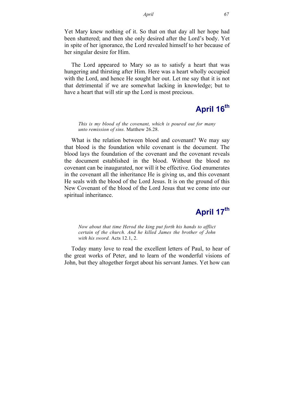Yet Mary knew nothing of it. So that on that day all her hope had been shattered; and then she only desired after the Lord's body. Yet in spite of her ignorance, the Lord revealed himself to her because of her singular desire for Him.

The Lord appeared to Mary so as to satisfy a heart that was hungering and thirsting after Him. Here was a heart wholly occupied with the Lord, and hence He sought her out. Let me say that it is not that detrimental if we are somewhat lacking in knowledge; but to have a heart that will stir up the Lord is most precious.

## April 16<sup>th</sup>

*This is my blood of the covenant, which is poured out for many unto remission of sins.* Matthew 26.28.

What is the relation between blood and covenant? We may say that blood is the foundation while covenant is the document. The blood lays the foundation of the covenant and the covenant reveals the document established in the blood. Without the blood no covenant can be inaugurated, nor will it be effective. God enumerates in the covenant all the inheritance He is giving us, and this covenant He seals with the blood of the Lord Jesus. It is on the ground of this New Covenant of the blood of the Lord Jesus that we come into our spiritual inheritance.

## April 17<sup>th</sup>

*Now about that time Herod the king put forth his hands to afflict certain of the church. And he killed James the brother of John with his sword.* Acts 12.1, 2.

Today many love to read the excellent letters of Paul, to hear of the great works of Peter, and to learn of the wonderful visions of John, but they altogether forget about his servant James. Yet how can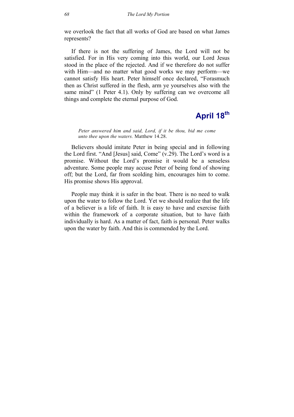we overlook the fact that all works of God are based on what James represents?

If there is not the suffering of James, the Lord will not be satisfied. For in His very coming into this world, our Lord Jesus stood in the place of the rejected. And if we therefore do not suffer with Him—and no matter what good works we may perform—we cannot satisfy His heart. Peter himself once declared, "Forasmuch then as Christ suffered in the flesh, arm ye yourselves also with the same mind" (1 Peter 4.1). Only by suffering can we overcome all things and complete the eternal purpose of God.

# April 18<sup>th</sup>

*Peter answered him and said, Lord, if it be thou, bid me come unto thee upon the waters.* Matthew 14.28.

Believers should imitate Peter in being special and in following the Lord first. "And [Jesus] said, Come" (v.29). The Lord's word is a promise. Without the Lord's promise it would be a senseless adventure. Some people may accuse Peter of being fond of showing off; but the Lord, far from scolding him, encourages him to come. His promise shows His approval.

People may think it is safer in the boat. There is no need to walk upon the water to follow the Lord. Yet we should realize that the life of a believer is a life of faith. It is easy to have and exercise faith within the framework of a corporate situation, but to have faith individually is hard. As a matter of fact, faith is personal. Peter walks upon the water by faith. And this is commended by the Lord.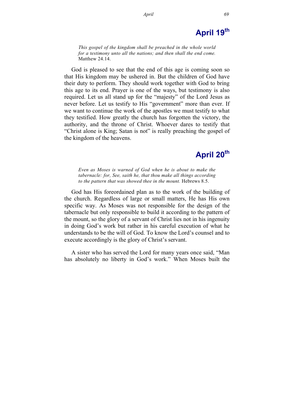## **April 19th**

*This gospel of the kingdom shall be preached in the whole world for a testimony unto all the nations; and then shall the end come.*  Matthew 24.14

God is pleased to see that the end of this age is coming soon so that His kingdom may be ushered in. But the children of God have their duty to perform. They should work together with God to bring this age to its end. Prayer is one of the ways, but testimony is also required. Let us all stand up for the "majesty" of the Lord Jesus as never before. Let us testify to His "government" more than ever. If we want to continue the work of the apostles we must testify to what they testified. How greatly the church has forgotten the victory, the authority, and the throne of Christ. Whoever dares to testify that "Christ alone is King; Satan is not" is really preaching the gospel of the kingdom of the heavens.

## April 20<sup>th</sup>

*Even as Moses is warned of God when he is about to make the tabernacle: for, See, saith he, that thou make all things according to the pattern that was showed thee in the mount.* Hebrews 8.5.

God has His foreordained plan as to the work of the building of the church. Regardless of large or small matters, He has His own specific way. As Moses was not responsible for the design of the tabernacle but only responsible to build it according to the pattern of the mount, so the glory of a servant of Christ lies not in his ingenuity in doing God's work but rather in his careful execution of what he understands to be the will of God. To know the Lord's counsel and to execute accordingly is the glory of Christ's servant.

A sister who has served the Lord for many years once said, "Man has absolutely no liberty in God's work." When Moses built the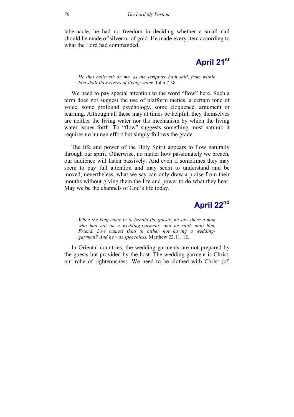tabernacle, he had no freedom in deciding whether a small nail should be made of silver or of gold. He made every item according to what the Lord had commanded.

## **April 21st**

*He that believeth on me, as the scripture hath said, from within him shall flow rivers of living water.* John 7.38.

We need to pay special attention to the word "flow" here. Such a term does not suggest the use of platform tactics, a certain tone of voice, some profound psychology, some eloquence, argument or learning. Although all these may at times be helpful, they themselves are neither the living water nor the mechanism by which the living water issues forth. To "flow" suggests something most natural; it requires no human effort but simply follows the grade.

The life and power of the Holy Spirit appears to flow naturally through our spirit. Otherwise, no matter how passionately we preach, our audience will listen passively. And even if sometimes they may seem to pay full attention and may seem to understand and be moved, nevertheless, what we say can only draw a praise from their mouths without giving them the life and power to do what they hear. May we be the channels of God's life today.

## **April 22nd**

*When the king came in to behold the guests, he saw there a man who had not on a wedding-garment: and he saith unto him, Friend, how camest thou in hither not having a weddinggarment? And he was speechless.* Matthew 22.11, 12.

In Oriental countries, the wedding garments are not prepared by the guests but provided by the host. The wedding garment is Christ, our robe of righteousness. We need to be clothed with Christ (cf.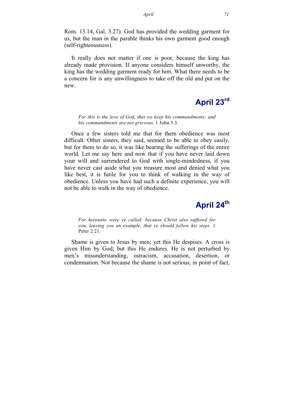Rom. 13.14, Gal. 3.27). God has provided the wedding garment for us, but the man in the parable thinks his own garment good enough (self-righteousness).

It really does not matter if one is poor, because the king has already made provision. If anyone considers himself unworthy, the king has the wedding garment ready for him. What there needs to be a concern for is any unwillingness to take off the old and put on the new.

## **April 23rd**

### *For this is the love of God, that we keep his commandments: and his commandments are not grievous.* 1 John 5.3*.*

Once a few sisters told me that for them obedience was most difficult. Other sisters, they said, seemed to be able to obey easily, but for them to do so, it was like bearing the sufferings of the entire world. Let me say here and now that if you have never laid down your will and surrendered to God with single-mindedness, if you have never cast aside what you treasure most and denied what you like best, it is futile for you to think of walking in the way of obedience. Unless you have had such a definite experience, you will not be able to walk in the way of obedience.

# April 24<sup>th</sup>

*For hereunto were ye called: because Christ also suffered for you, leaving you an example, that ye should follow his steps.* 1 Peter 2.21.

Shame is given to Jesus by men; yet this He despises. A cross is given Him by God; but this He endures. He is not perturbed by men's misunderstanding, ostracism, accusation, desertion, or condemnation. Not because the shame is not serious; in point of fact,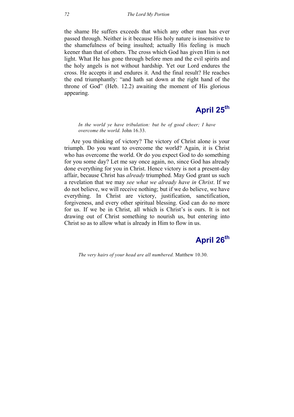the shame He suffers exceeds that which any other man has ever passed through. Neither is it because His holy nature is insensitive to the shamefulness of being insulted; actually His feeling is much keener than that of others. The cross which God has given Him is not light. What He has gone through before men and the evil spirits and the holy angels is not without hardship. Yet our Lord endures the cross. He accepts it and endures it. And the final result? He reaches the end triumphantly: "and hath sat down at the right hand of the throne of God" (Heb. 12.2) awaiting the moment of His glorious appearing.

## April 25<sup>th</sup>

### *In the world ye have tribulation: but be of good cheer; I have overcome the world.* John 16.33.

Are you thinking of victory? The victory of Christ alone is your triumph. Do you want to overcome the world? Again, it is Christ who has overcome the world. Or do you expect God to do something for you some day? Let me say once again, no, since God has already done everything for you in Christ. Hence victory is not a present-day affair, because Christ has *already* triumphed. May God grant us such a revelation that we may *see what we already have in Christ*. If we do not believe, we will receive nothing; but if we do believe, we have everything. In Christ are victory, justification, sanctification, forgiveness, and every other spiritual blessing. God can do no more for us. If we be in Christ, all which is Christ's is ours. It is not drawing out of Christ something to nourish us, but entering into Christ so as to allow what is already in Him to flow in us.

## April 26<sup>th</sup>

*The very hairs of your head are all numbered.* Matthew 10.30.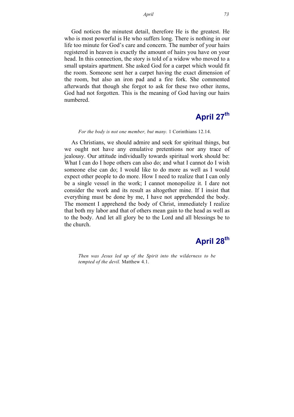God notices the minutest detail, therefore He is the greatest. He who is most powerful is He who suffers long. There is nothing in our life too minute for God's care and concern. The number of your hairs registered in heaven is exactly the amount of hairs you have on your head. In this connection, the story is told of a widow who moved to a small upstairs apartment. She asked God for a carpet which would fit the room. Someone sent her a carpet having the exact dimension of the room, but also an iron pad and a fire fork. She commented afterwards that though she forgot to ask for these two other items, God had not forgotten. This is the meaning of God having our hairs numbered.

## April 27<sup>th</sup>

#### *For the body is not one member, but many.* 1 Corinthians 12.14.

As Christians, we should admire and seek for spiritual things, but we ought not have any emulative pretentions nor any trace of jealousy. Our attitude individually towards spiritual work should be: What I can do I hope others can also do; and what I cannot do I wish someone else can do; I would like to do more as well as I would expect other people to do more. How I need to realize that I can only be a single vessel in the work; I cannot monopolize it. I dare not consider the work and its result as altogether mine. If I insist that everything must be done by me, I have not apprehended the body. The moment I apprehend the body of Christ, immediately I realize that both my labor and that of others mean gain to the head as well as to the body. And let all glory be to the Lord and all blessings be to the church.

# April 28<sup>th</sup>

*Then was Jesus led up of the Spirit into the wilderness to be tempted of the devil.* Matthew 4.1.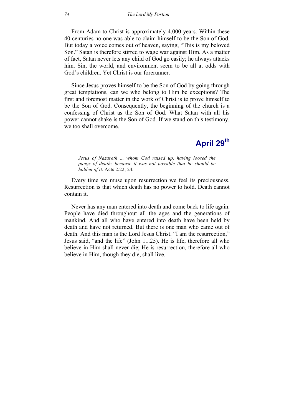From Adam to Christ is approximately 4,000 years. Within these 40 centuries no one was able to claim himself to be the Son of God. But today a voice comes out of heaven, saying, "This is my beloved Son." Satan is therefore stirred to wage war against Him. As a matter of fact, Satan never lets any child of God go easily; he always attacks him. Sin, the world, and environment seem to be all at odds with God's children. Yet Christ is our forerunner.

Since Jesus proves himself to be the Son of God by going through great temptations, can we who belong to Him be exceptions? The first and foremost matter in the work of Christ is to prove himself to be the Son of God. Consequently, the beginning of the church is a confessing of Christ as the Son of God. What Satan with all his power cannot shake is the Son of God. If we stand on this testimony, we too shall overcome.

## **April 29th**

*Jesus of Nazareth ... whom God raised up, having loosed the pangs of death: because it was not possible that he should be holden of it.* Acts 2.22, 24*.* 

Every time we muse upon resurrection we feel its preciousness. Resurrection is that which death has no power to hold. Death cannot contain it.

Never has any man entered into death and come back to life again. People have died throughout all the ages and the generations of mankind. And all who have entered into death have been held by death and have not returned. But there is one man who came out of death. And this man is the Lord Jesus Christ. "I am the resurrection," Jesus said, "and the life" (John 11.25). He is life, therefore all who believe in Him shall never die; He is resurrection, therefore all who believe in Him, though they die, shall live.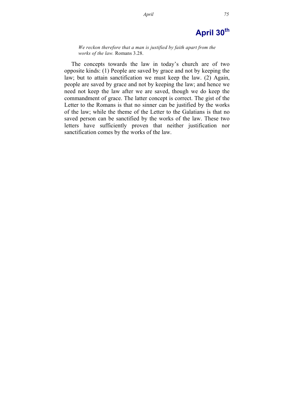# April 30<sup>th</sup>

*We reckon therefore that a man is justified by faith apart from the works of the law.* Romans 3.28.

The concepts towards the law in today's church are of two opposite kinds: (1) People are saved by grace and not by keeping the law; but to attain sanctification we must keep the law. (2) Again, people are saved by grace and not by keeping the law; and hence we need not keep the law after we are saved, though we do keep the commandment of grace. The latter concept is correct. The gist of the Letter to the Romans is that no sinner can be justified by the works of the law; while the theme of the Letter to the Galatians is that no saved person can be sanctified by the works of the law. These two letters have sufficiently proven that neither justification nor sanctification comes by the works of the law.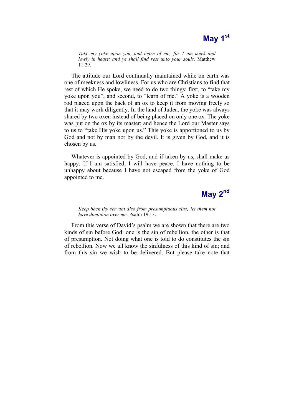# **May 1st**

*Take my yoke upon you, and learn of me; for 1 am meek and lowly in heart: and ye shall find rest unto your souls.* Matthew 11.29.

The attitude our Lord continually maintained while on earth was one of meekness and lowliness. For us who are Christians to find that rest of which He spoke, we need to do two things: first, to "take my yoke upon you"; and second, to "learn of me." A yoke is a wooden rod placed upon the back of an ox to keep it from moving freely so that it may work diligently. In the land of Judea, the yoke was always shared by two oxen instead of being placed on only one ox. The yoke was put on the ox by its master; and hence the Lord our Master says to us to "take His yoke upon us." This yoke is apportioned to us by God and not by man nor by the devil. It is given by God, and it is chosen by us.

Whatever is appointed by God, and if taken by us, shall make us happy. If I am satisfied, I will have peace. I have nothing to be unhappy about because I have not escaped from the yoke of God appointed to me.

## **May 2nd**

#### *Keep back thy servant also from presumptuous sins; let them not have dominion over me.* Psalm 19.13.

From this verse of David's psalm we are shown that there are two kinds of sin before God: one is the sin of rebellion, the other is that of presumption. Not doing what one is told to do constitutes the sin of rebellion. Now we all know the sinfulness of this kind of sin; and from this sin we wish to be delivered. But please take note that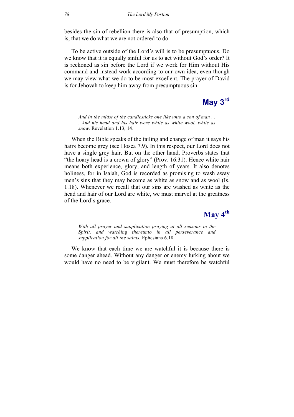besides the sin of rebellion there is also that of presumption, which is, that we do what we are not ordered to do.

To be active outside of the Lord's will is to be presumptuous. Do we know that it is equally sinful for us to act without God's order? It is reckoned as sin before the Lord if we work for Him without His command and instead work according to our own idea, even though we may view what we do to be most excellent. The prayer of David is for Jehovah to keep him away from presumptuous sin.

## **May 3rd**

*And in the midst of the candlesticks one like unto a son of man . . . And his head and his hair were white as white wool, white as snow.* Revelation 1.13, 14.

When the Bible speaks of the failing and change of man it says his hairs become grey (see Hosea 7.9). In this respect, our Lord does not have a single grey hair. But on the other hand, Proverbs states that "the hoary head is a crown of glory" (Prov. 16.31). Hence white hair means both experience, glory, and length of years. It also denotes holiness, for in Isaiah, God is recorded as promising to wash away men's sins that they may become as white as snow and as wool (Is. 1.18). Whenever we recall that our sins are washed as white as the head and hair of our Lord are white, we must marvel at the greatness of the Lord's grace.

## **May 4th**

*With all prayer and supplication praying at all seasons in the Spirit, and watching thereunto in all perseverance and supplication for all the saints.* Ephesians 6.18.

We know that each time we are watchful it is because there is some danger ahead. Without any danger or enemy lurking about we would have no need to be vigilant. We must therefore be watchful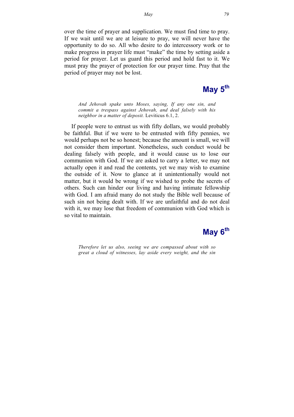over the time of prayer and supplication. We must find time to pray. If we wait until we are at leisure to pray, we will never have the opportunity to do so. All who desire to do intercessory work or to make progress in prayer life must "make" the time by setting aside a period for prayer. Let us guard this period and hold fast to it. We must pray the prayer of protection for our prayer time. Pray that the period of prayer may not be lost.

## **May 5th**

*And Jehovah spake unto Moses, saying, If any one sin, and commit a trespass against Jehovah, and deal falsely with his neighbor in a matter of deposit.* Leviticus 6.1, 2.

If people were to entrust us with fifty dollars, we would probably be faithful. But if we were to be entrusted with fifty pennies, we would perhaps not be so honest; because the amount is small, we will not consider them important. Nonetheless, such conduct would be dealing falsely with people, and it would cause us to lose our communion with God. If we are asked to carry a letter, we may not actually open it and read the contents, yet we may wish to examine the outside of it. Now to glance at it unintentionally would not matter, but it would be wrong if we wished to probe the secrets of others. Such can hinder our living and having intimate fellowship with God. I am afraid many do not study the Bible well because of such sin not being dealt with. If we are unfaithful and do not deal with it, we may lose that freedom of communion with God which is so vital to maintain.

## May 6<sup>th</sup>

*Therefore let us also, seeing we are compassed about with so great a cloud of witnesses, lay aside every weight, and the sin*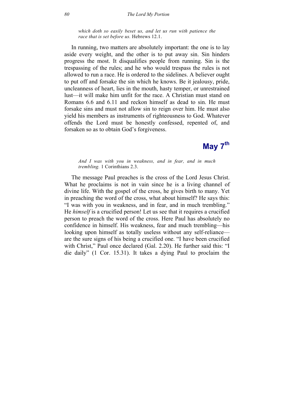*which doth so easily beset us, and let us run with patience the race that is set before us. Hebrews 12.1.* 

In running, two matters are absolutely important: the one is to lay aside every weight, and the other is to put away sin. Sin hinders progress the most. It disqualifies people from running. Sin is the trespassing of the rules; and he who would trespass the rules is not allowed to run a race. He is ordered to the sidelines. A believer ought to put off and forsake the sin which he knows. Be it jealousy, pride, uncleanness of heart, lies in the mouth, hasty temper, or unrestrained lust—it will make him unfit for the race. A Christian must stand on Romans 6.6 and 6.11 and reckon himself as dead to sin. He must forsake sins and must not allow sin to reign over him. He must also yield his members as instruments of righteousness to God. Whatever offends the Lord must be honestly confessed, repented of, and forsaken so as to obtain God's forgiveness.

## **May 7th**

#### *And I was with you in weakness, and in fear, and in much trembling.* 1 Corinthians 2.3.

The message Paul preaches is the cross of the Lord Jesus Christ. What he proclaims is not in vain since he is a living channel of divine life. With the gospel of the cross, he gives birth to many. Yet in preaching the word of the cross, what about himself? He says this: "I was with you in weakness, and in fear, and in much trembling." He *himself* is a crucified person! Let us see that it requires a crucified person to preach the word of the cross. Here Paul has absolutely no confidence in himself. His weakness, fear and much trembling—his looking upon himself as totally useless without any self-reliance are the sure signs of his being a crucified one. "I have been crucified with Christ," Paul once declared (Gal. 2.20). He further said this: "I die daily" (1 Cor. 15.31). It takes a dying Paul to proclaim the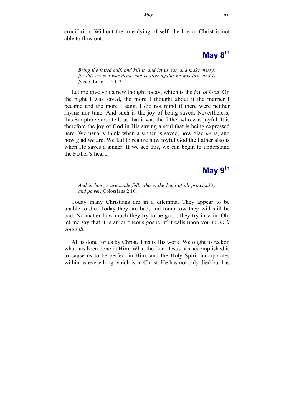crucifixion. Without the true dying of self, the life of Christ is not able to flow out.

# **May 8th**

*Bring the fatted calf, and kill it, and let us eat, and make merry: for this my son was dead, and is alive again; he was lost, and is found.* Luke 15.23, 24.

Let me give you a new thought today, which is the *joy of God*. On the night I was saved, the more I thought about it the merrier I became and the more I sang. I did not mind if there were neither rhyme nor tune. And such is the joy of being saved. Nevertheless, this Scripture verse tells us that it was the father who was joyful. It is therefore the joy of God in His saving a soul that is being expressed here. We usually think when a sinner is saved, how glad *he* is, and how glad *we* are. We fail to realize how joyful God the Father also is when He saves a sinner. If we see this, we can begin to understand the Father's heart.

## **May 9th**

*And in him ye are made full, who is the head of all principality and power.* Colossians 2.10.

Today many Christians are in a dilemma. They appear to be unable to die. Today they are bad, and tomorrow they will still be bad. No matter how much they try to be good, they try in vain. Oh, let me say that it is an erroneous gospel if it calls upon you *to do it yourself.*

All is done for us by Christ. This is His work. We ought to reckon what has been done in Him. What the Lord Jesus has accomplished is to cause us to be perfect in Him; and the Holy Spirit incorporates within us everything which is in Christ. He has not only died but has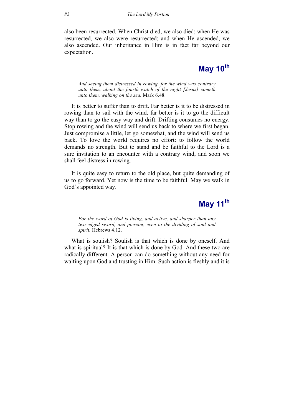also been resurrected. When Christ died, we also died; when He was resurrected, we also were resurrected; and when He ascended, we also ascended. Our inheritance in Him is in fact far beyond our expectation.

# **May 10th**

*And seeing them distressed in rowing, for the wind was contrary unto them, about the fourth watch of the night [Jesus] cometh unto them, walking on the sea.* Mark 6.48.

It is better to suffer than to drift. Far better is it to be distressed in rowing than to sail with the wind, far better is it to go the difficult way than to go the easy way and drift. Drifting consumes no energy. Stop rowing and the wind will send us back to where we first began. Just compromise a little, let go somewhat, and the wind will send us back. To love the world requires no effort: to follow the world demands no strength. But to stand and be faithful to the Lord is a sure invitation to an encounter with a contrary wind, and soon we shall feel distress in rowing.

It is quite easy to return to the old place, but quite demanding of us to go forward. Yet now is the time to be faithful. May we walk in God's appointed way.

## May 11<sup>th</sup>

*For the word of God is living, and active, and sharper than any two-edged sword, and piercing even to the dividing of soul and spirit.* Hebrews 4.12.

What is soulish? Soulish is that which is done by oneself. And what is spiritual? It is that which is done by God. And these two are radically different. A person can do something without any need for waiting upon God and trusting in Him. Such action is fleshly and it is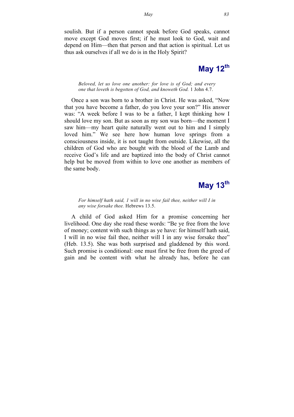soulish. But if a person cannot speak before God speaks, cannot move except God moves first; if he must look to God, wait and depend on Him—then that person and that action is spiritual. Let us thus ask ourselves if all we do is in the Holy Spirit?

## **May 12th**

*Beloved, let us love one another: for love is of God; and every one that loveth is begotten of God, and knoweth God.* 1 John 4.7.

Once a son was born to a brother in Christ. He was asked, "Now that you have become a father, do you love your son?" His answer was: "A week before I was to be a father, I kept thinking how I should love my son. But as soon as my son was born—the moment I saw him—my heart quite naturally went out to him and I simply loved him." We see here how human love springs from a consciousness inside, it is not taught from outside. Likewise, all the children of God who are bought with the blood of the Lamb and receive God's life and are baptized into the body of Christ cannot help but be moved from within to love one another as members of the same body.

## **May 13th**

#### *For himself hath said, 1 will in no wise fail thee, neither will I in any wise forsake thee.* Hebrews 13.5.

A child of God asked Him for a promise concerning her livelihood. One day she read these words: "Be ye free from the love of money; content with such things as ye have: for himself hath said, I will in no wise fail thee, neither will I in any wise forsake thee" (Heb. 13.5). She was both surprised and gladdened by this word. Such promise is conditional: one must first be free from the greed of gain and be content with what he already has, before he can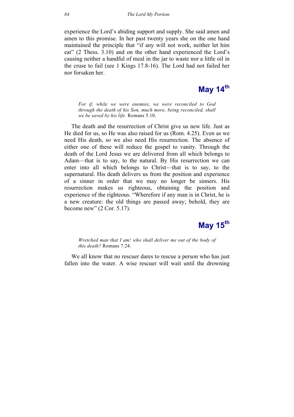experience the Lord's abiding support and supply. She said amen and amen to this promise. In her past twenty years she on the one hand maintained the principle that "if any will not work, neither let him eat" (2 Thess. 3.10) and on the other hand experienced the Lord's causing neither a handful of meal in the jar to waste nor a little oil in the cruse to fail (see 1 Kings 17.8-16). The Lord had not failed her nor forsaken her.

# **May 14th**

*For if, while we were enemies, we were reconciled to God through the death of his Son, much more, being reconciled, shall we be saved by his life.* Romans 5.10.

The death and the resurrection of Christ give us new life. Just as He died for us, so He was also raised for us (Rom. 4.25). Even as we need His death, so we also need His resurrection. The absence of either one of these will reduce the gospel to vanity. Through the death of the Lord Jesus we are delivered from all which belongs to Adam—that is to say, to the natural. By His resurrection we can enter into all which belongs to Christ—that is to say, to the supernatural. His death delivers us from the position and experience of a sinner in order that we may no longer be sinners. His resurrection makes us righteous, obtaining the position and experience of the righteous. "Wherefore if any man is in Christ, he is a new creature: the old things are passed away; behold, they are become new" (2 Cor. 5.17).

### **May 15th**

*Wretched man that I am! who shall deliver me out of the body of this death?* Romans 7.24.

We all know that no rescuer dares to rescue a person who has just fallen into the water. A wise rescuer will wait until the drowning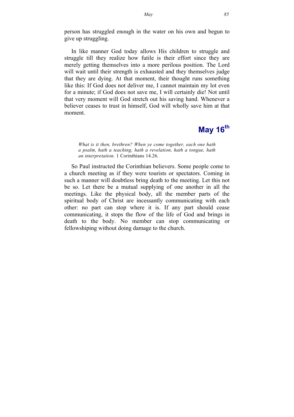person has struggled enough in the water on his own and begun to give up struggling.

In like manner God today allows His children to struggle and struggle till they realize how futile is their effort since they are merely getting themselves into a more perilous position. The Lord will wait until their strength is exhausted and they themselves judge that they are dying. At that moment, their thought runs something like this: If God does not deliver me, I cannot maintain my lot even for a minute; if God does not save me, I will certainly die! Not until that very moment will God stretch out his saving hand. Whenever a believer ceases to trust in himself, God will wholly save him at that moment.

## **May 16th**

*What is it then, brethren? When ye come together, each one hath a psalm, hath a teaching, hath a revelation, hath a tongue, hath an interpretation.* 1 Corinthians 14.26.

So Paul instructed the Corinthian believers. Some people come to a church meeting as if they were tourists or spectators. Coming in such a manner will doubtless bring death to the meeting. Let this not be so. Let there be a mutual supplying of one another in all the meetings. Like the physical body, all the member parts of the spiritual body of Christ are incessantly communicating with each other: no part can stop where it is. If any part should cease communicating, it stops the flow of the life of God and brings in death to the body. No member can stop communicating or fellowshiping without doing damage to the church.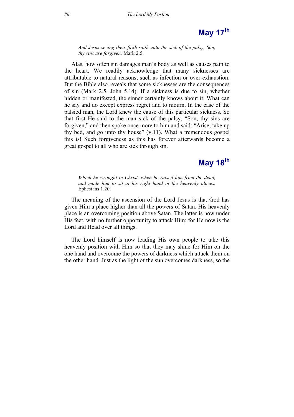# **May 17th**

*And Jesus seeing their faith saith unto the sick of the palsy, Son, thy sins are forgiven.* Mark 2.5.

Alas, how often sin damages man's body as well as causes pain to the heart. We readily acknowledge that many sicknesses are attributable to natural reasons, such as infection or over-exhaustion. But the Bible also reveals that some sicknesses are the consequences of sin (Mark 2.5, John 5.14). If a sickness is due to sin, whether hidden or manifested, the sinner certainly knows about it. What can he say and do except express regret and to mourn. In the case of the palsied man, the Lord knew the cause of this particular sickness. So that first He said to the man sick of the palsy, "Son, thy sins are forgiven," and then spoke once more to him and said: "Arise, take up thy bed, and go unto thy house" (v.11). What a tremendous gospel this is! Such forgiveness as this has forever afterwards become a great gospel to all who are sick through sin.

## **May 18th**

*Which he wrought in Christ, when he raised him from the dead, and made him to sit at his right hand in the heavenly places.*  Ephesians 1.20.

The meaning of the ascension of the Lord Jesus is that God has given Him a place higher than all the powers of Satan. His heavenly place is an overcoming position above Satan. The latter is now under His feet, with no further opportunity to attack Him; for He now is the Lord and Head over all things.

The Lord himself is now leading His own people to take this heavenly position with Him so that they may shine for Him on the one hand and overcome the powers of darkness which attack them on the other hand. Just as the light of the sun overcomes darkness, so the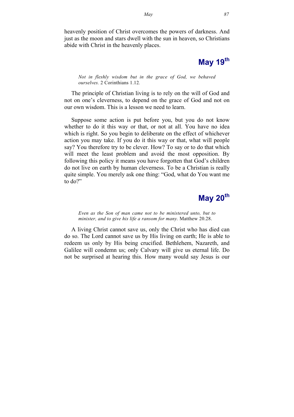heavenly position of Christ overcomes the powers of darkness. And just as the moon and stars dwell with the sun in heaven, so Christians abide with Christ in the heavenly places.

## **May 19th**

*Not in fleshly wisdom but in the grace of God, we behaved ourselves.* 2 Corinthians 1.12*.* 

The principle of Christian living is to rely on the will of God and not on one's cleverness, to depend on the grace of God and not on our own wisdom. This is a lesson we need to learn.

Suppose some action is put before you, but you do not know whether to do it this way or that, or not at all. You have no idea which is right. So you begin to deliberate on the effect of whichever action you may take. If you do it this way or that, what will people say? You therefore try to be clever. How? To say or to do that which will meet the least problem and avoid the most opposition. By following this policy it means you have forgotten that God's children do not live on earth by human cleverness. To be a Christian is really quite simple. You merely ask one thing: "God, what do You want me to do?"

## **May 20th**

*Even as the Son of man came not to be ministered unto, but to minister, and to give his life a ransom for many.* Matthew 20.28.

A living Christ cannot save us, only the Christ who has died can do so. The Lord cannot save us by His living on earth; He is able to redeem us only by His being crucified. Bethlehem, Nazareth, and Galilee will condemn us; only Calvary will give us eternal life. Do not be surprised at hearing this. How many would say Jesus is our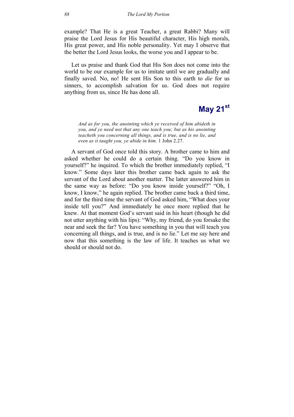example? That He is a great Teacher, a great Rabbi? Many will praise the Lord Jesus for His beautiful character, His high morals, His great power, and His noble personality. Yet may I observe that the better the Lord Jesus looks, the worse you and I appear to be.

Let us praise and thank God that His Son does not come into the world to be our example for us to imitate until we are gradually and finally saved. No, no! He sent His Son to this earth to *die* for us sinners, to accomplish salvation for us. God does not require anything from us, since He has done all.

# **May 21st**

*And as for you, the anointing which ye received of him abideth in you, and ye need not that any one teach you; but as his anointing teacheth you concerning all things, and is true, and is no lie, and even as it taught you, ye abide in him.* 1 John 2.27.

A servant of God once told this story. A brother came to him and asked whether he could do a certain thing. "Do you know in yourself?" he inquired. To which the brother immediately replied, "I know." Some days later this brother came back again to ask the servant of the Lord about another matter. The latter answered him in the same way as before: "Do you know inside yourself?" "Oh, I know, I know," he again replied. The brother came back a third time, and for the third time the servant of God asked him, "What does your inside tell you?" And immediately he once more replied that he knew. At that moment God's servant said in his heart (though he did not utter anything with his lips): "Why, my friend, do you forsake the near and seek the far? You have something in you that will teach you concerning all things, and is true, and is no lie." Let me say here and now that this something is the law of life. It teaches us what we should or should not do.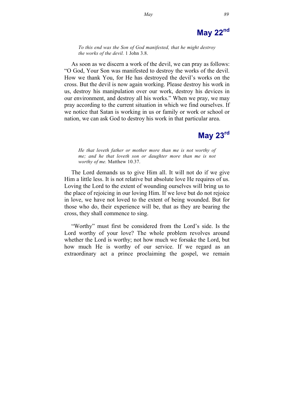

*To this end was the Son of God manifested, that he might destroy the works of the devil.* 1 John 3.8.

As soon as we discern a work of the devil, we can pray as follows: "O God, Your Son was manifested to destroy the works of the devil. How we thank You, for He has destroyed the devil's works on the cross. But the devil is now again working. Please destroy his work in us, destroy his manipulation over our work, destroy his devices in our environment, and destroy all his works." When we pray, we may pray according to the current situation in which we find ourselves. If we notice that Satan is working in us or family or work or school or nation, we can ask God to destroy his work in that particular area.

**May 23rd**

*He that loveth father or mother more than me is not worthy of me; and he that loveth son or daughter more than me is not worthy of me.* Matthew 10.37.

The Lord demands us to give Him all. It will not do if we give Him a little less. It is not relative but absolute love He requires of us. Loving the Lord to the extent of wounding ourselves will bring us to the place of rejoicing in our loving Him. If we love but do not rejoice in love, we have not loved to the extent of being wounded. But for those who do, their experience will be, that as they are bearing the cross, they shall commence to sing.

"Worthy" must first be considered from the Lord's side. Is the Lord worthy of your love? The whole problem revolves around whether the Lord is worthy; not how much we forsake the Lord, but how much He is worthy of our service. If we regard as an extraordinary act a prince proclaiming the gospel, we remain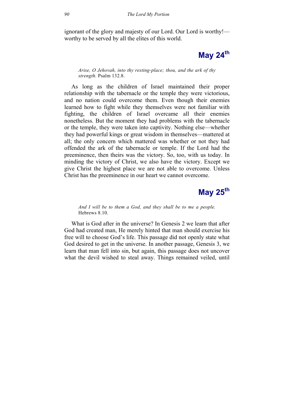ignorant of the glory and majesty of our Lord. Our Lord is worthy! worthy to be served by all the elites of this world.

# **May 24th**

#### *Arise, O Jehovah, into thy resting-place; thou, and the ark of thy strength.* Psalm 132.8.

As long as the children of Israel maintained their proper relationship with the tabernacle or the temple they were victorious, and no nation could overcome them. Even though their enemies learned how to fight while they themselves were not familiar with fighting, the children of Israel overcame all their enemies nonetheless. But the moment they had problems with the tabernacle or the temple, they were taken into captivity. Nothing else—whether they had powerful kings or great wisdom in themselves—mattered at all; the only concern which mattered was whether or not they had offended the ark of the tabernacle or temple. If the Lord had the preeminence, then theirs was the victory. So, too, with us today. In minding the victory of Christ, we also have the victory. Except we give Christ the highest place we are not able to overcome. Unless Christ has the preeminence in our heart we cannot overcome.

## **May 25th**

#### *And I will be to them a God, and they shall be to me a people.*  Hebrews 8.10.

What is God after in the universe? In Genesis 2 we learn that after God had created man, He merely hinted that man should exercise his free will to choose God's life. This passage did not openly state what God desired to get in the universe. In another passage, Genesis 3, we learn that man fell into sin, but again, this passage does not uncover what the devil wished to steal away. Things remained veiled, until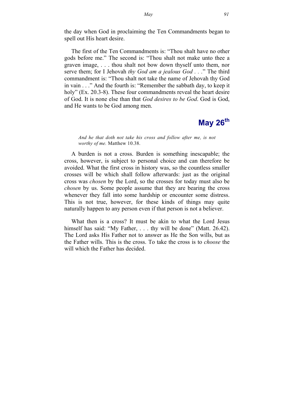the day when God in proclaiming the Ten Commandments began to spell out His heart desire.

The first of the Ten Commandments is: "Thou shalt have no other gods before me." The second is: "Thou shalt not make unto thee a graven image, . . . thou shalt not bow down thyself unto them, nor serve them; for I Jehovah *thy God am a jealous God . . .*" The third commandment is: "Thou shalt not take the name of Jehovah thy God in vain . . ." And the fourth is: "Remember the sabbath day, to keep it holy" (Ex. 20.3-8). These four commandments reveal the heart desire of God. It is none else than that *God desires to be God*. God is God, and He wants to be God among men.

## **May 26th**

*And he that doth not take his cross and follow after me, is not worthy of me.* Matthew 10.38.

A burden is not a cross. Burden is something inescapable; the cross, however, is subject to personal choice and can therefore be avoided. What the first cross in history was, so the countless smaller crosses will be which shall follow afterwards: just as the original cross was *chosen* by the Lord, so the crosses for today must also be *chosen* by us. Some people assume that they are bearing the cross whenever they fall into some hardship or encounter some distress. This is not true, however, for these kinds of things may quite naturally happen to any person even if that person is not a believer.

What then is a cross? It must be akin to what the Lord Jesus himself has said: "My Father, ... thy will be done" (Matt. 26.42). The Lord asks His Father not to answer as He the Son wills, but as the Father wills. This is the cross. To take the cross is to *choose* the will which the Father has decided.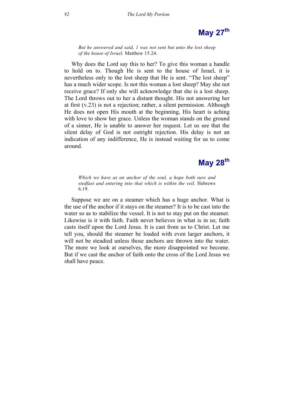# **May 27th**

*But he answered and said, 1 was not sent but unto the lost sheep of the house of Israel.* Matthew 15.24.

Why does the Lord say this to her? To give this woman a handle to hold on to. Though He is sent to the house of Israel, it is nevertheless only to the lost sheep that He is sent. "The lost sheep" has a much wider scope. Is not this woman a lost sheep? May she not receive grace? If only she will acknowledge that she is a lost sheep. The Lord throws out to her a distant thought. His not answering her at first (v.23) is not a rejection; rather, a silent permission. Although He does not open His mouth at the beginning, His heart is aching with love to show her grace. Unless the woman stands on the ground of a sinner, He is unable to answer her request. Let us see that the silent delay of God is not outright rejection. His delay is not an indication of any indifference, He is instead waiting for us to come around.

# **May 28th**

*Which we have as an anchor of the soul, a hope both sure and stedfast and entering into that which is within the veil.* Hebrews 6.19.

Suppose we are on a steamer which has a huge anchor. What is the use of the anchor if it stays on the steamer? It is to be cast into the water so as to stabilize the vessel. It is not to stay put on the steamer. Likewise is it with faith. Faith never believes in what is in us; faith casts itself upon the Lord Jesus. It is cast from us to Christ. Let me tell you, should the steamer be loaded with even larger anchors, it will not be steadied unless those anchors are thrown into the water. The more we look at ourselves, the more disappointed we become. But if we cast the anchor of faith onto the cross of the Lord Jesus we shall have peace.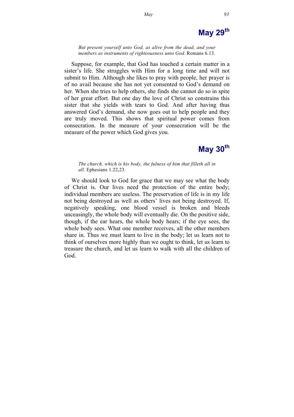# **May 29th**

*But present yourself unto God, as alive from the dead, and your members as instruments of righteousness unto God.* Romans 6.13.

Suppose, for example, that God has touched a certain matter in a sister's life. She struggles with Him for a long time and will not submit to Him. Although she likes to pray with people, her prayer is of no avail because she has not yet consented to God's demand on her. When she tries to help others, she finds she cannot do so in spite of her great effort. But one day the love of Christ so constrains this sister that she yields with tears to God. And after having thus answered God's demand, she now goes out to help people and they are truly moved. This shows that spiritual power comes from consecration. In the measure of your consecration will be the measure of the power which God gives you.

## **May 30th**

*The church, which is his body, the fulness of him that filleth all in all.* Ephesians 1.22,23.

We should look to God for grace that we may see what the body of Christ is. Our lives need the protection of the entire body; individual members are useless. The preservation of life is in my life not being destroyed as well as others' lives not being destroyed. If, negatively speaking, one blood vessel is broken and bleeds unceasingly, the whole body will eventually die. On the positive side, though, if the ear hears, the whole body hears; if the eye sees, the whole body sees. What one member receives, all the other members share in. Thus we must learn to live in the body; let us learn not to think of ourselves more highly than we ought to think, let us learn to treasure the church, and let us learn to walk with all the children of God.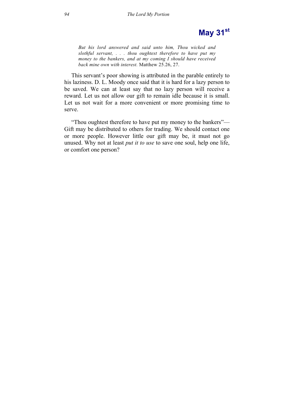## **May 31st**

*But his lord answered and said unto him, Thou wicked and slothful servant, . . . thou oughtest therefore to have put my money to the bankers, and at my coming I should have received back mine own with interest.* Matthew 25.26, 27.

This servant's poor showing is attributed in the parable entirely to his laziness. D. L. Moody once said that it is hard for a lazy person to be saved. We can at least say that no lazy person will receive a reward. Let us not allow our gift to remain idle because it is small. Let us not wait for a more convenient or more promising time to serve.

"Thou oughtest therefore to have put my money to the bankers"— Gift may be distributed to others for trading. We should contact one or more people. However little our gift may be, it must not go unused. Why not at least *put it to use* to save one soul, help one life, or comfort one person?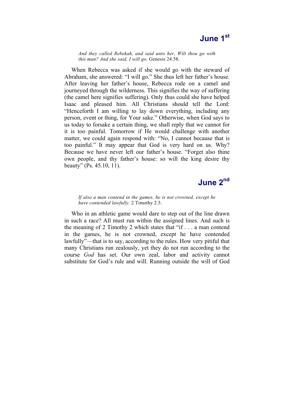### **June 1st**

*And they called Rebekah, and said unto her, Wilt thou go with this man? And she said, I will go.* Genesis 24.58.

When Rebecca was asked if she would go with the steward of Abraham, she answered: "I will go." She thus left her father's house. After leaving her father's house, Rebecca rode on a camel and journeyed through the wilderness. This signifies the way of suffering (the camel here signifies suffering). Only thus could she have helped Isaac and pleased him. All Christians should tell the Lord: "Henceforth I am willing to lay down everything, including any person, event or thing, for Your sake." Otherwise, when God says to us today to forsake a certain thing, we shall reply that we cannot for it is too painful. Tomorrow if He would challenge with another matter, we could again respond with: "No, I cannot because that is too painful." It may appear that God is very hard on us. Why? Because we have never left our father's house. "Forget also thine own people, and thy father's house: so will the king desire thy beauty" (Ps. 45.10, 11).

### **June 2nd**

#### *If also a man contend in the games, he is not crowned, except he have contended lawfully.* 2 Timothy 2.5.

Who in an athletic game would dare to step out of the line drawn in such a race? All must run within the assigned lines. And such is the meaning of 2 Timothy 2 which states that "if . . . a man contend in the games, he is not crowned, except he have contended lawfully"—that is to say, according to the rules. How very pitiful that many Christians run zealously, yet they do not run according to the course *God* has set. Our own zeal, labor and activity cannot substitute for God's rule and will. Running outside the will of God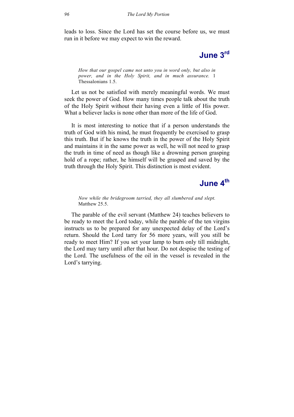leads to loss. Since the Lord has set the course before us, we must run in it before we may expect to win the reward.

### **June 3rd**

*How that our gospel came not unto you in word only, but also in power, and in the Holy Spirit, and in much assurance.* 1 Thessalonians 1.5.

Let us not be satisfied with merely meaningful words. We must seek the power of God. How many times people talk about the truth of the Holy Spirit without their having even a little of His power. What a believer lacks is none other than more of the life of God.

It is most interesting to notice that if a person understands the truth of God with his mind, he must frequently be exercised to grasp this truth. But if he knows the truth in the power of the Holy Spirit and maintains it in the same power as well, he will not need to grasp the truth in time of need as though like a drowning person grasping hold of a rope; rather, he himself will be grasped and saved by the truth through the Holy Spirit. This distinction is most evident.

## **June 4th**

*Now while the bridegroom tarried, they all slumbered and slept.*  Matthew 25.5.

The parable of the evil servant (Matthew 24) teaches believers to be ready to meet the Lord today, while the parable of the ten virgins instructs us to be prepared for any unexpected delay of the Lord's return. Should the Lord tarry for 56 more years, will you still be ready to meet Him? If you set your lamp to burn only till midnight, the Lord may tarry until after that hour. Do not despise the testing of the Lord. The usefulness of the oil in the vessel is revealed in the Lord's tarrying.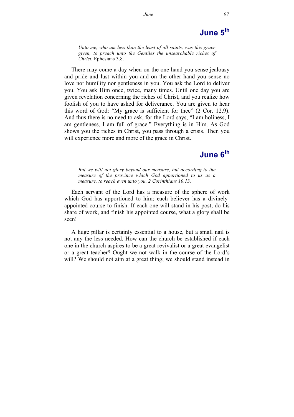## June 5<sup>th</sup>

*Unto me, who am less than the least of all saints, was this grace given, to preach unto the Gentiles the unsearchable riches of Christ.* Ephesians 3.8.

There may come a day when on the one hand you sense jealousy and pride and lust within you and on the other hand you sense no love nor humility nor gentleness in you. You ask the Lord to deliver you. You ask Him once, twice, many times. Until one day you are given revelation concerning the riches of Christ, and you realize how foolish of you to have asked for deliverance. You are given to hear this word of God: "My grace is sufficient for thee" (2 Cor. 12.9). And thus there is no need to ask, for the Lord says, "I am holiness, I am gentleness, I am full of grace." Everything is in Him. As God shows you the riches in Christ, you pass through a crisis. Then you will experience more and more of the grace in Christ.

### **June 6th**

*But we will not glory beyond our measure, but according to the measure of the province which God apportioned to us as a measure, to reach even unto you. 2 Corinthians 10.13.* 

Each servant of the Lord has a measure of the sphere of work which God has apportioned to him; each believer has a divinelyappointed course to finish. If each one will stand in his post, do his share of work, and finish his appointed course, what a glory shall be seen!

A huge pillar is certainly essential to a house, but a small nail is not any the less needed. How can the church be established if each one in the church aspires to be a great revivalist or a great evangelist or a great teacher? Ought we not walk in the course of the Lord's will? We should not aim at a great thing; we should stand instead in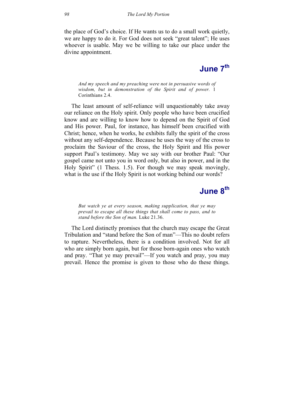the place of God's choice. If He wants us to do a small work quietly, we are happy to do it. For God does not seek "great talent"; He uses whoever is usable. May we be willing to take our place under the divine appointment.

## **June 7th**

*And my speech and my preaching were not in persuasive words of wisdom, but in demonstration of the Spirit and of power.* 1 Corinthians 2.4.

The least amount of self-reliance will unquestionably take away our reliance on the Holy spirit. Only people who have been crucified know and are willing to know how to depend on the Spirit of God and His power. Paul, for instance, has himself been crucified with Christ; hence, when he works, he exhibits fully the spirit of the cross without any self-dependence. Because he uses the way of the cross to proclaim the Saviour of the cross, the Holy Spirit and His power support Paul's testimony. May we say with our brother Paul: "Our gospel came not unto you in word only, but also in power, and in the Holy Spirit" (1 Thess. 1.5). For though we may speak movingly, what is the use if the Holy Spirit is not working behind our words?

#### **June 8th**

*But watch ye at every season, making supplication, that ye may prevail to escape all these things that shall come to pass, and to stand before the Son of man.* Luke 21.36.

The Lord distinctly promises that the church may escape the Great Tribulation and "stand before the Son of man"—This no doubt refers to rapture. Nevertheless, there is a condition involved. Not for all who are simply born again, but for those born-again ones who watch and pray. "That ye may prevail"—If you watch and pray, you may prevail. Hence the promise is given to those who do these things.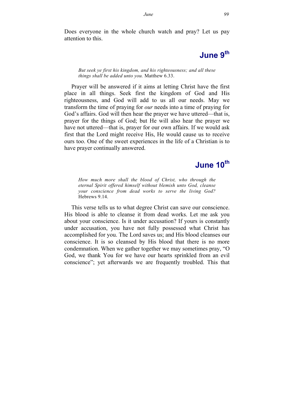Does everyone in the whole church watch and pray? Let us pay attention to this.

### **June 9th**

#### *But seek ye first his kingdom, and his righteousness; and all these things shall be added unto you.* Matthew 6.33.

Prayer will be answered if it aims at letting Christ have the first place in all things. Seek first the kingdom of God and His righteousness, and God will add to us all our needs. May we transform the time of praying for *our* needs into a time of praying for God's affairs. God will then hear the prayer we have uttered—that is, prayer for the things of God; but He will also hear the prayer we have not uttered—that is, prayer for our own affairs. If we would ask first that the Lord might receive His, He would cause us to receive ours too. One of the sweet experiences in the life of a Christian is to have prayer continually answered.

### **June 10th**

*How much more shall the blood of Christ, who through the eternal Spirit offered himself without blemish unto God, cleanse your conscience from dead works to serve the living God?*  Hebrews 9.14.

This verse tells us to what degree Christ can save our conscience. His blood is able to cleanse it from dead works. Let me ask you about your conscience. Is it under accusation? If yours is constantly under accusation, you have not fully possessed what Christ has accomplished for you. The Lord saves us; and His blood cleanses our conscience. It is so cleansed by His blood that there is no more condemnation. When we gather together we may sometimes pray, "O God, we thank You for we have our hearts sprinkled from an evil conscience"; yet afterwards we are frequently troubled. This that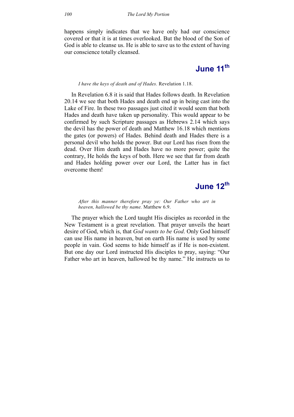happens simply indicates that we have only had our conscience covered or that it is at times overlooked. But the blood of the Son of God is able to cleanse us. He is able to save us to the extent of having our conscience totally cleansed.

## **June 11th**

#### *I have the keys of death and of Hades.* Revelation 1.18.

In Revelation 6.8 it is said that Hades follows death. In Revelation 20.14 we see that both Hades and death end up in being cast into the Lake of Fire. In these two passages just cited it would seem that both Hades and death have taken up personality. This would appear to be confirmed by such Scripture passages as Hebrews 2.14 which says the devil has the power of death and Matthew 16.18 which mentions the gates (or powers) of Hades. Behind death and Hades there is a personal devil who holds the power. But our Lord has risen from the dead. Over Him death and Hades have no more power; quite the contrary, He holds the keys of both. Here we see that far from death and Hades holding power over our Lord, the Latter has in fact overcome them!

#### **June 12th**

*After this manner therefore pray ye: Our Father who art in heaven, hallowed be thy name.* Matthew 6.9.

The prayer which the Lord taught His disciples as recorded in the New Testament is a great revelation. That prayer unveils the heart desire of God, which is, that *God wants to be God*. Only God himself can use His name in heaven, but on earth His name is used by some people in vain. God seems to hide himself as if He is non-existent. But one day our Lord instructed His disciples to pray, saying: "Our Father who art in heaven, hallowed be thy name." He instructs us to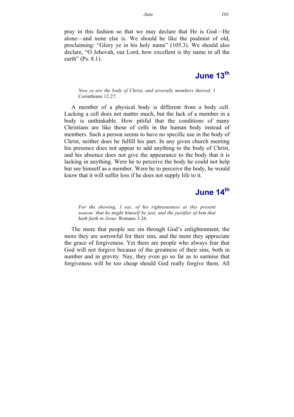pray in this fashion so that we may declare that He is God—He alone—and none else is. We should be like the psalmist of old, proclaiming: "Glory ye in his holy name" (105.3). We should also declare, "O Jehovah, our Lord, how excellent is thy name in all the earth" (Ps. 8.1).

#### **June 13th**

*Now ye are the body of Christ, and severally members thereof.* 1 Corinthians 12.27.

A member of a physical body is different from a body cell. Lacking a cell does not matter much, but the lack of a member in a body is unthinkable. How pitiful that the conditions of many Christians are like those of cells in the human body instead of members. Such a person seems to have no specific use in the body of Christ, neither does he fulfill his part. In any given church meeting his presence does not appear to add anything to the body of Christ, and his absence does not give the appearance to the body that it is lacking in anything. Were he to perceive the body he could not help but see himself as a member. Were he to perceive the body, he would know that it will suffer loss if he does not supply life to it.

### **June 14th**

*For the showing, I say, of his righteousness at this present season: that he might himself be just, and the justifier of him that hath faith in Jesus.* Romans 3.26.

The more that people see sin through God's enlightenment, the more they are sorrowful for their sins, and the more they appreciate the grace of forgiveness. Yet there are people who always fear that God will not forgive because of the greatness of their sins, both in number and in gravity. Nay, they even go so far as to surmise that forgiveness will be too cheap should God really forgive them. All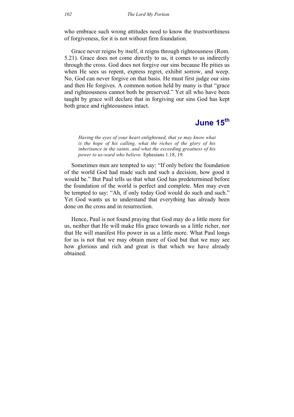who embrace such wrong attitudes need to know the trustworthiness of forgiveness, for it is not without firm foundation.

Grace never reigns by itself, it reigns through righteousness (Rom. 5.21). Grace does not come directly to us, it comes to us indirectly through the cross. God does not forgive our sins because He pities us when He sees us repent, express regret, exhibit sorrow, and weep. No, God can never forgive on that basis. He must first judge our sins and then He forgives. A common notion held by many is that "grace and righteousness cannot both be preserved." Yet all who have been taught by grace will declare that in forgiving our sins God has kept both grace and righteousness intact.

## **June 15th**

*Having the eyes of your heart enlightened, that ye may know what is the hope of his calling, what the riches of the glory of his inheritance in the saints, and what the exceeding greatness of his power to us-ward who believe.* Ephesians 1.18, 19*.* 

Sometimes men are tempted to say: "If only before the foundation of the world God had made such and such a decision, how good it would be." But Paul tells us that what God has predetermined before the foundation of the world is perfect and complete. Men may even be tempted to say: "Ah, if only today God would do such and such." Yet God wants us to understand that everything has already been done on the cross and in resurrection.

Hence, Paul is not found praying that God may do a little more for us, neither that He will make His grace towards us a little richer, nor that He will manifest His power in us a little more. What Paul longs for us is not that we may obtain more of God but that we may see how glorious and rich and great is that which we have already obtained.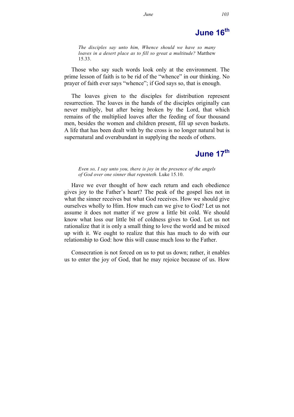## **June 16th**

*The disciples say unto him, Whence should we have so many loaves in a desert place as to fill so great a multitude?* Matthew 15.33.

Those who say such words look only at the environment. The prime lesson of faith is to be rid of the "whence" in our thinking. No prayer of faith ever says "whence"; if God says so, that is enough.

The loaves given to the disciples for distribution represent resurrection. The loaves in the hands of the disciples originally can never multiply, but after being broken by the Lord, that which remains of the multiplied loaves after the feeding of four thousand men, besides the women and children present, fill up seven baskets. A life that has been dealt with by the cross is no longer natural but is supernatural and overabundant in supplying the needs of others.

### **June 17th**

*Even so, I say unto you, there is joy in the presence of the angels of God over one sinner that repenteth.* Luke 15.10.

Have we ever thought of how each return and each obedience gives joy to the Father's heart? The peak of the gospel lies not in what the sinner receives but what God receives. How we should give ourselves wholly to Him. How much can we give to God? Let us not assume it does not matter if we grow a little bit cold. We should know what loss our little bit of coldness gives to God. Let us not rationalize that it is only a small thing to love the world and be mixed up with it. We ought to realize that this has much to do with our relationship to God: how this will cause much loss to the Father.

Consecration is not forced on us to put us down; rather, it enables us to enter the joy of God, that he may rejoice because of us. How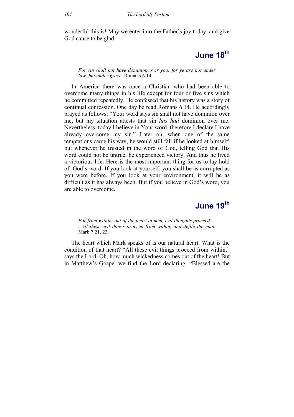wonderful this is! May we enter into the Father's joy today, and give God cause to be glad!

# **June 18th**

#### *For sin shall not have dominion over you: for ye are not under law, but under grace.* Romans 6.14.

In America there was once a Christian who had been able to overcome many things in his life except for four or five sins which he committed repeatedly. He confessed that his history was a story of continual confession. One day he read Romans 6.14. He accordingly prayed as follows: "Your word says sin shall not have dominion over me, but my situation attests that sin *has had* dominion over me. Nevertheless, today I believe in Your word, therefore I declare I have already overcome my sin." Later on, when one of the same temptations came his way, he would still fall if he looked at himself; but whenever he trusted in the word of God, telling God that His word could not be untrue, he experienced victory. And thus he lived a victorious life. Here is the most important thing for us to lay hold of: God's word. If you look at yourself, you shall be as corrupted as you were before. If you look at your environment, it will be as difficult as it has always been. But if you believe in God's word, you are able to overcome.

#### **June 19th**

*For from within, out of the heart of men, evil thoughts proceed . . . All these evil things proceed from within, and defile the man.*  Mark 7.21, 23.

The heart which Mark speaks of is our natural heart. What is the condition of that heart? "All these evil things proceed from within," says the Lord. Oh, how much wickedness comes out of the heart! But in Matthew's Gospel we find the Lord declaring: "Blessed are the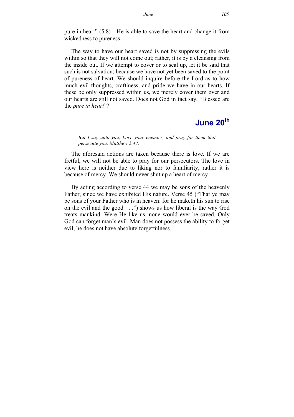pure in heart" (5.8)—He is able to save the heart and change it from wickedness to pureness.

The way to have our heart saved is not by suppressing the evils within so that they will not come out; rather, it is by a cleansing from the inside out. If we attempt to cover or to seal up, let it be said that such is not salvation; because we have not yet been saved to the point of pureness of heart. We should inquire before the Lord as to how much evil thoughts, craftiness, and pride we have in our hearts. If these be only suppressed within us, we merely cover them over and our hearts are still not saved. Does not God in fact say, "Blessed are the *pure in heart*"?

#### **June 20th**

#### *But I say unto you, Love your enemies, and pray for them that persecute you. Matthew 5.44.*

The aforesaid actions are taken because there is love. If we are fretful, we will not be able to pray for our persecutors. The love in view here is neither due to liking nor to familiarity, rather it is because of mercy. We should never shut up a heart of mercy.

By acting according to verse 44 we may be sons of the heavenly Father, since we have exhibited His nature. Verse 45 ("That ye may be sons of your Father who is in heaven: for he maketh his sun to rise on the evil and the good . . .") shows us how liberal is the way God treats mankind. Were He like us, none would ever be saved. Only God can forget man's evil. Man does not possess the ability to forget evil; he does not have absolute forgetfulness.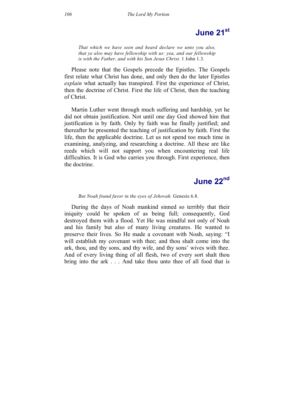### **June 21st**

*That which we have seen and heard declare we unto you also, that ye also may have fellowship with us: yea, and our fellowship is with the Father, and with his Son Jesus Christ.* 1 John 1.3*.* 

Please note that the Gospels precede the Epistles. The Gospels first relate what Christ has done, and only then do the later Epistles *explain* what actually has transpired. First the experience of Christ, then the doctrine of Christ. First the life of Christ, then the teaching of Christ.

Martin Luther went through much suffering and hardship, yet he did not obtain justification. Not until one day God showed him that justification is by faith. Only by faith was he finally justified; and thereafter he presented the teaching of justification by faith. First the life, then the applicable doctrine. Let us not spend too much time in examining, analyzing, and researching a doctrine. All these are like reeds which will not support you when encountering real life difficulties. It is God who carries you through. First experience, then the doctrine.

#### **June 22nd**

#### *But Noah found favor in the eyes of Jehovah.* Genesis 6.8.

During the days of Noah mankind sinned so terribly that their iniquity could be spoken of as being full; consequently, God destroyed them with a flood. Yet He was mindful not only of Noah and his family but also of many living creatures. He wanted to preserve their lives. So He made a covenant with Noah, saying: "I will establish my covenant with thee; and thou shalt come into the ark, thou, and thy sons, and thy wife, and thy sons' wives with thee. And of every living thing of all flesh, two of every sort shalt thou bring into the ark . . . And take thou unto thee of all food that is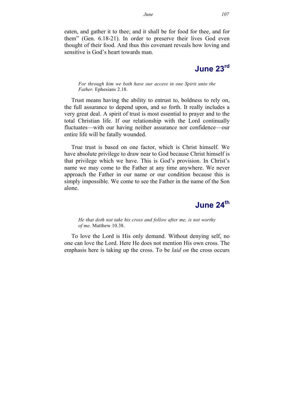eaten, and gather it to thee; and it shall be for food for thee, and for them" (Gen. 6.18-21). In order to preserve their lives God even thought of their food. And thus this covenant reveals how loving and sensitive is God's heart towards man.

## **June 23rd**

*For through him we both have our access in one Spirit unto the Father.* Ephesians 2.18.

Trust means having the ability to entrust to, boldness to rely on, the full assurance to depend upon, and so forth. It really includes a very great deal. A spirit of trust is most essential to prayer and to the total Christian life. If our relationship with the Lord continually fluctuates—with our having neither assurance nor confidence—our entire life will be fatally wounded.

True trust is based on one factor, which is Christ himself. We have absolute privilege to draw near to God because Christ himself is that privilege which we have. This is God's provision. In Christ's name we may come to the Father at any time anywhere. We never approach the Father in our name or our condition because this is simply impossible. We come to see the Father in the name of the Son alone.

### **June 24th**

*He that doth not take his cross and follow after me, is not worthy of me.* Matthew 10.38.

To love the Lord is His only demand. Without denying self, no one can love the Lord. Here He does not mention His own cross. The emphasis here is taking up the cross. To be *laid on* the cross occurs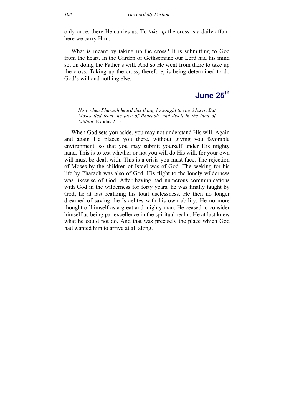only once: there He carries us. To *take up* the cross is a daily affair: here we carry Him.

What is meant by taking up the cross? It is submitting to God from the heart. In the Garden of Gethsemane our Lord had his mind set on doing the Father's will. And so He went from there to take up the cross. Taking up the cross, therefore, is being determined to do God's will and nothing else.

#### **June 25th**

*Now when Pharaoh heard this thing, he sought to slay Moses. But Moses fled from the face of Pharaoh, and dwelt in the land of Midian.* Exodus 2.15.

When God sets you aside, you may not understand His will. Again and again He places you there, without giving you favorable environment, so that you may submit yourself under His mighty hand. This is to test whether or not you will do His will, for your own will must be dealt with. This is a crisis you must face. The rejection of Moses by the children of Israel was of God. The seeking for his life by Pharaoh was also of God. His flight to the lonely wilderness was likewise of God. After having had numerous communications with God in the wilderness for forty years, he was finally taught by God, he at last realizing his total uselessness. He then no longer dreamed of saving the Israelites with his own ability. He no more thought of himself as a great and mighty man. He ceased to consider himself as being par excellence in the spiritual realm. He at last knew what he could not do. And that was precisely the place which God had wanted him to arrive at all along.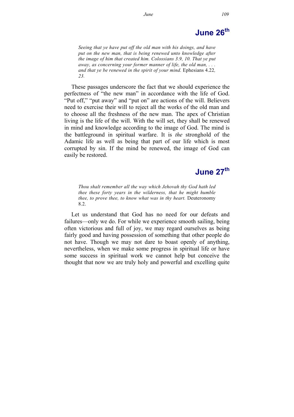### **June 26th**

*Seeing that ye have put off the old man with his doings, and have put on the new man, that is being renewed unto knowledge after the image of him that created him. Colossians 3.9, 10. That ye put away, as concerning your former manner of life, the old man, . . . and that ye be renewed in the spirit of your mind.* Ephesians 4.22*, 23.* 

These passages underscore the fact that we should experience the perfectness of "the new man" in accordance with the life of God. "Put off," "put away" and "put on" are actions of the will. Believers need to exercise their will to reject all the works of the old man and to choose all the freshness of the new man. The apex of Christian living is the life of the will. With the will set, they shall be renewed in mind and knowledge according to the image of God. The mind is the battleground in spiritual warfare. It is *the* stronghold of the Adamic life as well as being that part of our life which is most corrupted by sin. If the mind be renewed, the image of God can easily be restored.

#### **June 27th**

*Thou shalt remember all the way which Jehovah thy God hath led thee these forty years in the wilderness, that he might humble thee, to prove thee, to know what was in thy heart.* Deuteronomy 8.2.

Let us understand that God has no need for our defeats and failures—only we do. For while we experience smooth sailing, being often victorious and full of joy, we may regard ourselves as being fairly good and having possession of something that other people do not have. Though we may not dare to boast openly of anything, nevertheless, when we make some progress in spiritual life or have some success in spiritual work we cannot help but conceive the thought that now we are truly holy and powerful and excelling quite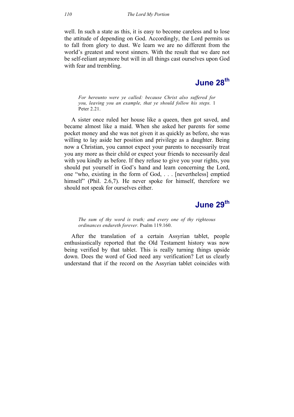well. In such a state as this, it is easy to become careless and to lose the attitude of depending on God. Accordingly, the Lord permits us to fall from glory to dust. We learn we are no different from the world's greatest and worst sinners. With the result that we dare not be self-reliant anymore but will in all things cast ourselves upon God with fear and trembling.

#### **June 28th**

*For hereunto were ye called: because Christ also suffered for you, leaving you an example, that ye should follow his steps.* 1 Peter 2.21

A sister once ruled her house like a queen, then got saved, and became almost like a maid. When she asked her parents for some pocket money and she was not given it as quickly as before, she was willing to lay aside her position and privilege as a daughter. Being now a Christian, you cannot expect your parents to necessarily treat you any more as their child or expect your friends to necessarily deal with you kindly as before. If they refuse to give you your rights, you should put yourself in God's hand and learn concerning the Lord, one "who, existing in the form of God, . . . [nevertheless] emptied himself" (Phil. 2.6.7). He never spoke for himself, therefore we should not speak for ourselves either.

#### **June 29th**

*The sum of thy word is truth; and every one of thy righteous ordinances endureth forever.* Psalm 119.160.

After the translation of a certain Assyrian tablet, people enthusiastically reported that the Old Testament history was now being verified by that tablet. This is really turning things upside down. Does the word of God need any verification? Let us clearly understand that if the record on the Assyrian tablet coincides with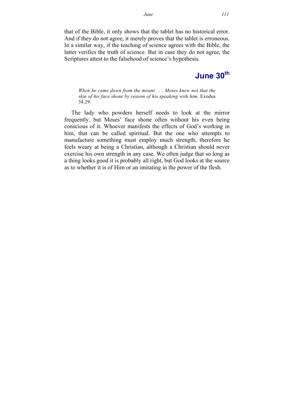that of the Bible, it only shows that the tablet has no historical error. And if they do not agree, it merely proves that the tablet is erroneous. In a similar way, if the teaching of science agrees with the Bible, the latter verifies the truth of science. But in case they do not agree, the Scriptures attest to the falsehood of science's hypothesis.

#### **June 30th**

*When he came down from the mount . . . Moses knew not that the skin of his face shone by reason of his speaking with him.* Exodus 34.29.

The lady who powders herself needs to look at the mirror frequently, but Moses' face shone often without his even being conscious of it. Whoever manifests the effects of God's working in him, that can be called spiritual. But the one who attempts to manufacture something must employ much strength; therefore he feels weary at being a Christian, although a Christian should never exercise his own strength in any case. We often judge that so long as a thing looks good it is probably all right, but God looks at the source as to whether it is of Him or an imitating in the power of the flesh.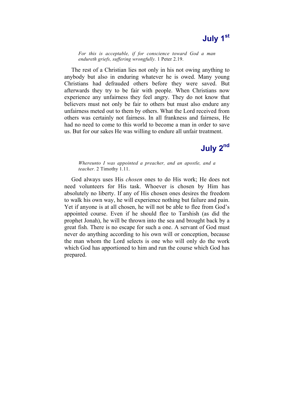# July 1st

*For this is acceptable, if for conscience toward God a man endureth griefs, suffering wrongfully.* 1 Peter 2.19.

The rest of a Christian lies not only in his not owing anything to anybody but also in enduring whatever he is owed. Many young Christians had defrauded others before they were saved. But afterwards they try to be fair with people. When Christians now experience any unfairness they feel angry. They do not know that believers must not only be fair to others but must also endure any unfairness meted out to them by others. What the Lord received from others was certainly not fairness. In all frankness and fairness, He had no need to come to this world to become a man in order to save us. But for our sakes He was willing to endure all unfair treatment.

**July 2nd**

#### *Whereunto I was appointed a preacher, and an apostle, and a teacher.* 2 Timothy 1.11.

God always uses His *chosen* ones to do His work; He does not need volunteers for His task. Whoever is chosen by Him has absolutely no liberty. If any of His chosen ones desires the freedom to walk his own way, he will experience nothing but failure and pain. Yet if anyone is at all chosen, he will not be able to flee from God's appointed course. Even if he should flee to Tarshish (as did the prophet Jonah), he will be thrown into the sea and brought back by a great fish. There is no escape for such a one. A servant of God must never do anything according to his own will or conception, because the man whom the Lord selects is one who will only do the work which God has apportioned to him and run the course which God has prepared.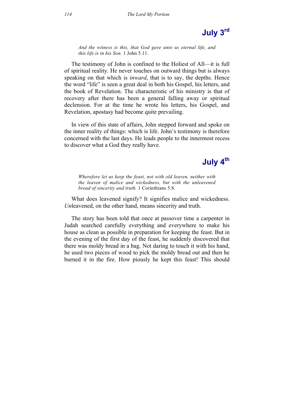# **July 3rd**

*And the witness is this, that God gave unto us eternal life, and this life is in his Son.* 1 John 5.11.

The testimony of John is confined to the Holiest of All—it is full of spiritual reality. He never touches on outward things but is always speaking on that which is *inward*, that is to say, the depths. Hence the word "life" is seen a great deal in both his Gospel, his letters, and the book of Revelation. The characteristic of his ministry is that of recovery after there has been a general falling away or spiritual declension. For at the time he wrote his letters, his Gospel, and Revelation, apostasy had become quite prevailing.

In view of this state of affairs, John stepped forward and spoke on the inner reality of things: which is life. John's testimony is therefore concerned with the last days. He leads people to the innermost recess to discover what a God they really have.

**July 4th**

*Wherefore let us keep the feast, not with old leaven, neither with the leaven of malice and wickedness, but with the unleavened bread of sincerity and truth.* 1 Corinthians 5.8.

What does leavened signify? It signifies malice and wickedness. *Un*leavened, on the other hand, means sincerity and truth.

The story has been told that once at passover time a carpenter in Judah searched carefully everything and everywhere to make his house as clean as possible in preparation for keeping the feast. But in the evening of the first day of the feast, he suddenly discovered that there was moldy bread in a bag. Not daring to touch it with his hand, he used two pieces of wood to pick the moldy bread out and then he burned it in the fire. How piously he kept this feast! This should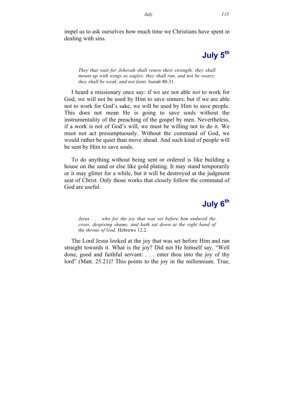impel us to ask ourselves how much time we Christians have spent in dealing with sins.

# July 5<sup>th</sup>

*They that wait for Jehovah shall renew their strength; they shall mount up with wings as eagles; they shall run, and not be weary; they shall be weak, and not faint.* Isaiah 40.31.

I heard a missionary once say: if we are not able *not* to work for God, we will not be used by Him to save sinners; but if we are able not to work for God's sake, we will be used by Him to save people. This does not mean He is going to save souls without the instrumentality of the preaching of the gospel by men. Nevertheless, if a work is not of God's will, we must be willing not to do it. We must not act presumptuously. Without the command of God, we would rather be quiet than move ahead. And such kind of people will be sent by Him to save souls.

To do anything without being sent or ordered is like building a house on the sand or else like gold plating. It may stand temporarily or it may glitter for a while, but it will be destroyed at the judgment seat of Christ. Only those works that closely follow the command of God are useful.

## July 6<sup>th</sup>

*Jesus . . . who for the joy that was set before him endured the cross, despising shame, and hath sat down at the right hand of the throne of God.* Hebrews 12.2.

The Lord Jesus looked at the joy that was set before Him and ran straight towards it. What is the joy? Did not He himself say, "Well done, good and faithful servant: . . . enter thou into the joy of thy lord" (Matt. 25.21)? This points to the joy in the millennium. True,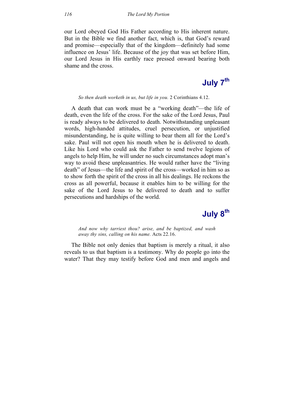our Lord obeyed God His Father according to His inherent nature. But in the Bible we find another fact, which is, that God's reward and promise—especially that of the kingdom—definitely had some influence on Jesus' life. Because of the joy that was set before Him, our Lord Jesus in His earthly race pressed onward bearing both shame and the cross.

# **July 7th**

#### *So then death worketh in us, but life in you.* 2 Corinthians 4.12.

A death that can work must be a "working death"—the life of death, even the life of the cross. For the sake of the Lord Jesus, Paul is ready always to be delivered to death. Notwithstanding unpleasant words, high-handed attitudes, cruel persecution, or unjustified misunderstanding, he is quite willing to bear them all for the Lord's sake. Paul will not open his mouth when he is delivered to death. Like his Lord who could ask the Father to send twelve legions of angels to help Him, he will under no such circumstances adopt man's way to avoid these unpleasantries. He would rather have the "living death" of Jesus—the life and spirit of the cross—worked in him so as to show forth the spirit of the cross in all his dealings. He reckons the cross as all powerful, because it enables him to be willing for the sake of the Lord Jesus to be delivered to death and to suffer persecutions and hardships of the world.

## **July 8th**

*And now why tarriest thou? arise, and be baptized, and wash away thy sins, calling on his name.* Acts 22.16.

The Bible not only denies that baptism is merely a ritual, it also reveals to us that baptism is a testimony. Why do people go into the water? That they may testify before God and men and angels and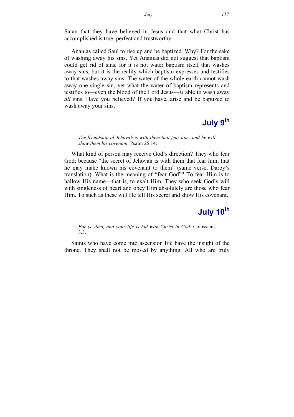Satan that they have believed in Jesus and that what Christ has accomplished is true, perfect and trustworthy.

Ananias called Saul to rise up and be baptized. Why? For the sake of washing away his sins. Yet Ananias did not suggest that baptism could get rid of sins, for it is not water baptism itself that washes away sins, but it is the reality which baptism expresses and testifies to that washes away sins. The water of the whole earth cannot wash away one single sin, yet what the water of baptism represents and testifies to—even the blood of the Lord Jesus—*is* able to wash away *all* sins. Have you believed? If you have, arise and be baptized to wash away your sins.

## **July 9th**

*The friendship of Jehovah is with them that fear him; and he will show them his covenant.* Psalm 25.14.

What kind of person may receive God's direction? They who fear God; because "the secret of Jehovah is with them that fear him, that he may make known his covenant to them" (same verse, Darby's translation). What is the meaning of "fear God"? To fear Him is to hallow His name—that is, to exalt Him. They who seek God's will with singleness of heart and obey Him absolutely are those who fear Him. To such as these will He tell His secret and show His covenant.

## July 10<sup>th</sup>

*For ye died, and your life is hid with Christ in God.* Colossians 3.3.

Saints who have come into ascension life have the insight of the throne. They shall not be moved by anything. All who are truly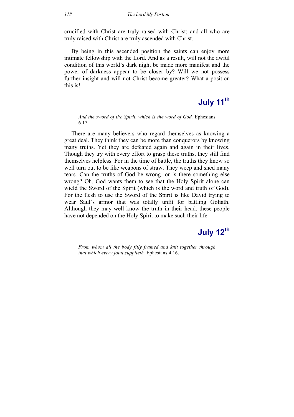crucified with Christ are truly raised with Christ; and all who are truly raised with Christ are truly ascended with Christ.

By being in this ascended position the saints can enjoy more intimate fellowship with the Lord. And as a result, will not the awful condition of this world's dark night be made more manifest and the power of darkness appear to be closer by? Will we not possess further insight and will not Christ become greater? What a position this is!

# July 11<sup>th</sup>

#### *And the sword of the Spirit, which is the word of God.* Ephesians 6.17.

There are many believers who regard themselves as knowing a great deal. They think they can be more than conquerors by knowing many truths. Yet they are defeated again and again in their lives. Though they try with every effort to grasp these truths, they still find themselves helpless. For in the time of battle, the truths they know so well turn out to be like weapons of straw. They weep and shed many tears. Can the truths of God be wrong, or is there something else wrong? Oh, God wants them to see that the Holy Spirit alone can wield the Sword of the Spirit (which is the word and truth of God). For the flesh to use the Sword of the Spirit is like David trying to wear Saul's armor that was totally unfit for battling Goliath. Although they may well know the truth in their head, these people have not depended on the Holy Spirit to make such their life.

## **July 12th**

*From whom all the body fitly framed and knit together through that which every joint supplieth.* Ephesians 4.16.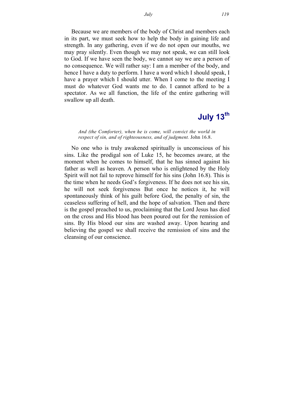Because we are members of the body of Christ and members each in its part, we must seek how to help the body in gaining life and strength. In any gathering, even if we do not open our mouths, we may pray silently. Even though we may not speak, we can still look to God. If we have seen the body, we cannot say we are a person of no consequence. We will rather say: I am a member of the body, and hence I have a duty to perform. I have a word which I should speak, I have a prayer which I should utter. When I come to the meeting I must do whatever God wants me to do. I cannot afford to be a spectator. As we all function, the life of the entire gathering will swallow up all death.

# **July 13th**

#### *And (the Comforter), when he is come, will convict the world in respect of sin, and of righteousness, and of judgment.* John 16.8.

No one who is truly awakened spiritually is unconscious of his sins. Like the prodigal son of Luke 15, he becomes aware, at the moment when he comes to himself, that he has sinned against his father as well as heaven. A person who is enlightened by the Holy Spirit will not fail to reprove himself for his sins (John 16.8). This is the time when he needs God's forgiveness. If he does not see his sin, he will not seek forgiveness But once he notices it, he will spontaneously think of his guilt before God, the penalty of sin, the ceaseless suffering of hell, and the hope of salvation. Then and there is the gospel preached to us, proclaiming that the Lord Jesus has died on the cross and His blood has been poured out for the remission of sins. By His blood our sins are washed away. Upon hearing and believing the gospel we shall receive the remission of sins and the cleansing of our conscience.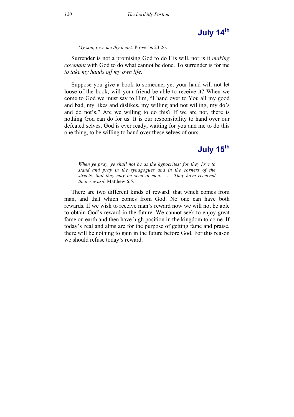## July 14<sup>th</sup>

*My son, give me thy heart.* Proverbs 23.26.

Surrender is not a promising God to do His will, nor is it *making covenant* with God to do what cannot be done. To surrender is for me *to take my hands off my own life.*

Suppose you give a book to someone, yet your hand will not let loose of the book; will your friend be able to receive it? When we come to God we must say to Him, "I hand over to You all my good and bad, my likes and dislikes, my willing and not willing, my do's and do not's." Are we willing to do this? If we are not, there is nothing God can do for us. It is our responsibility to hand over our defeated selves. God is ever ready, waiting for you and me to do this one thing, to be willing to hand over these selves of ours.

## **July 15th**

*When ye pray, ye shall not be as the hypocrites: for they love to stand and pray in the synagogues and in the corners of the streets, that they may be seen of men. . . . They have received their reward.* Matthew 6.5.

There are two different kinds of reward: that which comes from man, and that which comes from God. No one can have both rewards. If we wish to receive man's reward now we will not be able to obtain God's reward in the future. We cannot seek to enjoy great fame on earth and then have high position in the kingdom to come. If today's zeal and alms are for the purpose of getting fame and praise, there will be nothing to gain in the future before God. For this reason we should refuse today's reward.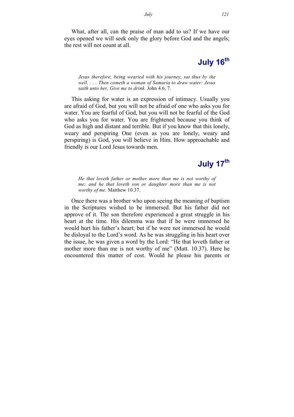What, after all, can the praise of man add to us? If we have our eyes opened we will seek only the glory before God and the angels; the rest will not count at all.

## July 16<sup>th</sup>

*Jesus therefore, being wearied with his journey, sat thus by the well. . . . Then cometh a woman of Samaria to draw water: Jesus saith unto her. Give me to drink.* John 4.6, 7.

This asking for water is an expression of intimacy. Usually you are afraid of God, but you will not be afraid of one who asks you for water. You are fearful of God, but you will not be fearful of the God who asks you for water. You are frightened because you think of God as high and distant and terrible. But if you know that this lonely, weary and perspiring One (even as you are lonely, weary and perspiring) is God, you will believe in Him. How approachable and friendly is our Lord Jesus towards men.

## July 17<sup>th</sup>

*He that loveth father or mother more than me is not worthy of me; and he that loveth son or daughter more than me is not worthy of me.* Matthew 10.37.

Once there was a brother who upon seeing the meaning of baptism in the Scriptures wished to be immersed. But his father did not approve of it. The son therefore experienced a great struggle in his heart at the time. His dilemma was that if he were immersed he would hurt his father's heart; but if he were not immersed he would be disloyal to the Lord's word. As he was struggling in his heart over the issue, he was given a word by the Lord: "He that loveth father or mother more than me is not worthy of me" (Matt. 10.37). Here he encountered this matter of cost. Would he please his parents or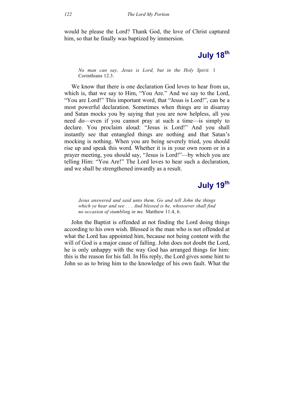would he please the Lord? Thank God, the love of Christ captured him, so that he finally was baptized by immersion.

## **July 18th**

*No man can say, Jesus is Lord, but in the Holy Spirit.* 1 Corinthians 12.3.

We know that there is one declaration God loves to hear from us, which is, that we say to Him, "You Are." And we say to the Lord, "You are Lord!" This important word, that "Jesus is Lord!", can be a most powerful declaration. Sometimes when things are in disarray and Satan mocks you by saying that you are now helpless, all you need do—even if you cannot pray at such a time—is simply to declare. You proclaim aloud: "Jesus is Lord!" And you shall instantly see that entangled things are nothing and that Satan's mocking is nothing. When you are being severely tried, you should rise up and speak this word. Whether it is in your own room or in a prayer meeting, you should say, "Jesus is Lord!"—by which you are telling Him: "You Are!" The Lord loves to hear such a declaration, and we shall be strengthened inwardly as a result.

## **July 19th**

*Jesus answered and said unto them, Go and tell John the things which ye hear and see . . . And blessed is he, whosoever shall find no occasion of stumbling in me.* Matthew 11.4, 6.

John the Baptist is offended at not finding the Lord doing things according to his own wish. Blessed is the man who is not offended at what the Lord has appointed him, because not being content with the will of God is a major cause of falling. John does not doubt the Lord, he is only unhappy with the way God has arranged things for him: this is the reason for his fall. In His reply, the Lord gives some hint to John so as to bring him to the knowledge of his own fault. What the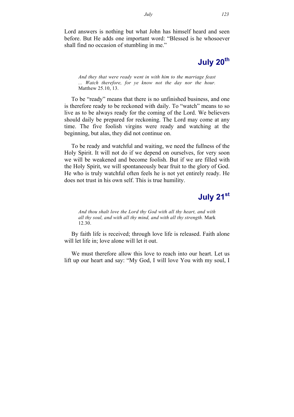Lord answers is nothing but what John has himself heard and seen before. But He adds one important word: "Blessed is he whosoever shall find no occasion of stumbling in me."

## July 20<sup>th</sup>

*And they that were ready went in with him to the marriage feast ... Watch therefore, for ye know not the day nor the hour.*  Matthew 25.10, 13.

To be "ready" means that there is no unfinished business, and one is therefore ready to be reckoned with daily. To "watch" means to so live as to be always ready for the coming of the Lord. We believers should daily be prepared for reckoning. The Lord may come at any time. The five foolish virgins were ready and watching at the beginning, but alas, they did not continue on.

To be ready and watchful and waiting, we need the fullness of the Holy Spirit. It will not do if we depend on ourselves, for very soon we will be weakened and become foolish. But if we are filled with the Holy Spirit, we will spontaneously bear fruit to the glory of God. He who is truly watchful often feels he is not yet entirely ready. He does not trust in his own self. This is true humility.

## **July 21st**

#### *And thou shalt love the Lord thy God with all thy heart, and with all thy soul, and with all thy mind, and with all thy strength.* Mark 12.30.

By faith life is received; through love life is released. Faith alone will let life in; love alone will let it out.

We must therefore allow this love to reach into our heart. Let us lift up our heart and say: "My God, I will love You with my soul, I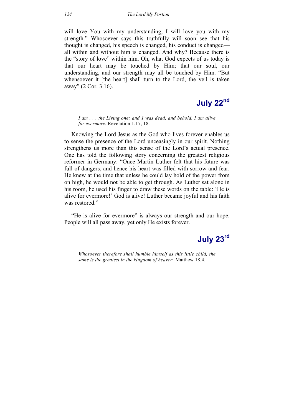will love You with my understanding. I will love you with my strength." Whosoever says this truthfully will soon see that his thought is changed, his speech is changed, his conduct is changed all within and without him is changed. And why? Because there is the "story of love" within him. Oh, what God expects of us today is that our heart may be touched by Him; that our soul, our understanding, and our strength may all be touched by Him. "But whensoever it [the heart] shall turn to the Lord, the veil is taken away" (2 Cor. 3.16).

## **July 22nd**

#### *I am . . . the Living one; and 1 was dead, and behold, I am alive for evermore.* Revelation 1.17, 18.

Knowing the Lord Jesus as the God who lives forever enables us to sense the presence of the Lord unceasingly in our spirit. Nothing strengthens us more than this sense of the Lord's actual presence. One has told the following story concerning the greatest religious reformer in Germany: "Once Martin Luther felt that his future was full of dangers, and hence his heart was filled with sorrow and fear. He knew at the time that unless he could lay hold of the power from on high, he would not be able to get through. As Luther sat alone in his room, he used his finger to draw these words on the table: 'He is alive for evermore!' God is alive! Luther became joyful and his faith was restored."

"He is alive for evermore" is always our strength and our hope. People will all pass away, yet only He exists forever.

## **July 23rd**

*Whosoever therefore shall humble himself as this little child, the same is the greatest in the kingdom of heaven.* Matthew 18.4.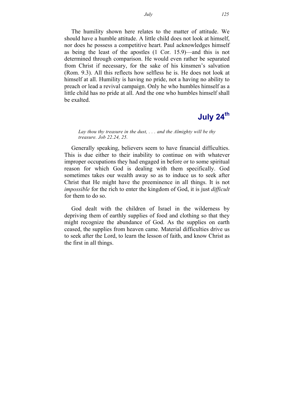The humility shown here relates to the matter of attitude. We should have a humble attitude. A little child does not look at himself, nor does he possess a competitive heart. Paul acknowledges himself as being the least of the apostles (1 Cor. 15.9)—and this is not determined through comparison. He would even rather be separated from Christ if necessary, for the sake of his kinsmen's salvation (Rom. 9.3). All this reflects how selfless he is. He does not look at himself at all. Humility is having no pride, not a having no ability to preach or lead a revival campaign. Only he who humbles himself as a little child has no pride at all. And the one who humbles himself shall be exalted.

# **July 24th**

#### *Lay thou thy treasure in the dust, . . . and the Almighty will be thy treasure. Job 22.24, 25.*

Generally speaking, believers seem to have financial difficulties. This is due either to their inability to continue on with whatever improper occupations they had engaged in before or to some spiritual reason for which God is dealing with them specifically. God sometimes takes our wealth away so as to induce us to seek after Christ that He might have the preeminence in all things. It is not *impossible* for the rich to enter the kingdom of God, it is just *difficult* for them to do so.

God dealt with the children of Israel in the wilderness by depriving them of earthly supplies of food and clothing so that they might recognize the abundance of God. As the supplies on earth ceased, the supplies from heaven came. Material difficulties drive us to seek after the Lord, to learn the lesson of faith, and know Christ as the first in all things.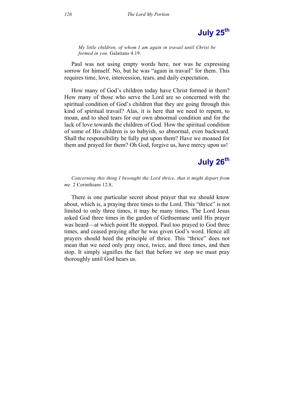# **July 25th**

*My little children, of whom I am again in travail until Christ be formed in you.* Galatians 4.19.

Paul was not using empty words here, nor was he expressing sorrow for himself. No, but he was "again in travail" for them. This requires time, love, intercession, tears, and daily expectation.

How many of God's children today have Christ formed in them? How many of those who serve the Lord are so concerned with the spiritual condition of God's children that they are going through this kind of spiritual travail? Alas, it is here that we need to repent, to moan, and to shed tears for our own abnormal condition and for the lack of love towards the children of God. How the spiritual condition of some of His children is so babyish, so abnormal, even backward. Shall the responsibility be fully put upon them? Have we moaned for them and prayed for them? Oh God, forgive us, have mercy upon us!

## July 26<sup>th</sup>

*Concerning this thing I besought the Lord thrice, that it might depart from me.* 2 Corinthians 12.8.

There is one particular secret about prayer that we should know about, which is, a praying three times to the Lord. This "thrice" is not limited to only three times, it may be many times. The Lord Jesus asked God three times in the garden of Gethsemane until His prayer was heard—at which point He stopped. Paul too prayed to God three times, and ceased praying after he was given God's word. Hence all prayers should heed the principle of thrice. This "thrice" does not mean that we need only pray once, twice, and three times, and then stop. It simply signifies the fact that before we stop we must pray thoroughly until God hears us.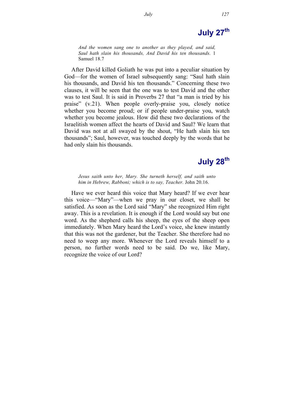# July 27<sup>th</sup>

*And the women sang one to another as they played, and said, Saul hath slain his thousands, And David his ten thousands.* 1 Samuel 18.7

After David killed Goliath he was put into a peculiar situation by God—for the women of Israel subsequently sang: "Saul hath slain his thousands, and David his ten thousands." Concerning these two clauses, it will be seen that the one was to test David and the other was to test Saul. It is said in Proverbs 27 that "a man is tried by his praise" (v.21). When people overly-praise you, closely notice whether you become proud; or if people under-praise you, watch whether you become jealous. How did these two declarations of the Israelitish women affect the hearts of David and Saul? We learn that David was not at all swayed by the shout, "He hath slain his ten thousands"; Saul, however, was touched deeply by the words that he had only slain his thousands.

## **July 28th**

*Jesus saith unto her, Mary. She turneth herself, and saith unto him in Hebrew, Rabboni; which is to say, Teacher.* John 20.16.

Have we ever heard this voice that Mary heard? If we ever hear this voice—"Mary"—when we pray in our closet, we shall be satisfied. As soon as the Lord said "Mary" she recognized Him right away. This is a revelation. It is enough if the Lord would say but one word. As the shepherd calls his sheep, the eyes of the sheep open immediately. When Mary heard the Lord's voice, she knew instantly that this was not the gardener, but the Teacher. She therefore had no need to weep any more. Whenever the Lord reveals himself to a person, no further words need to be said. Do we, like Mary, recognize the voice of our Lord?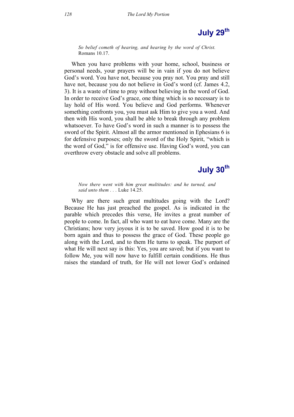# **July 29th**

*So belief cometh of hearing, and hearing by the word of Christ.*  Romans 10.17.

When you have problems with your home, school, business or personal needs, your prayers will be in vain if you do not believe God's word. You have not, because you pray not. You pray and still have not, because you do not believe in God's word (cf. James 4.2, 3). It is a waste of time to pray without believing in the word of God. In order to receive God's grace, one thing which is so necessary is to lay hold of His word. You believe and God performs. Whenever something confronts you, you must ask Him to give you a word. And then with His word, you shall be able to break through any problem whatsoever. To have God's word in such a manner is to possess the sword of the Spirit. Almost all the armor mentioned in Ephesians 6 is for defensive purposes; only the sword of the Holy Spirit, "which is the word of God," is for offensive use. Having God's word, you can overthrow every obstacle and solve all problems.

### **July 30th**

*Now there went with him great multitudes: and he turned, and said unto them . . .* Luke 14.25.

Why are there such great multitudes going with the Lord? Because He has just preached the gospel. As is indicated in the parable which precedes this verse, He invites a great number of people to come. In fact, all who want to eat have come. Many are the Christians; how very joyous it is to be saved. How good it is to be born again and thus to possess the grace of God. These people go along with the Lord, and to them He turns to speak. The purport of what He will next say is this: Yes, you are saved; but if you want to follow Me, you will now have to fulfill certain conditions. He thus raises the standard of truth, for He will not lower God's ordained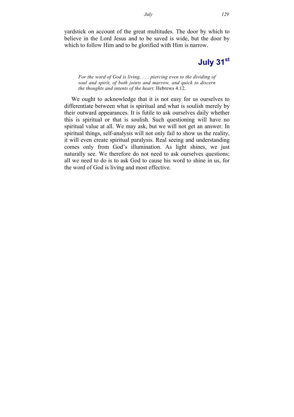yardstick on account of the great multitudes. The door by which to believe in the Lord Jesus and to be saved is wide, but the door by which to follow Him and to be glorified with Him is narrow.

## **July 31st**

*For the word of God is living, . . . piercing even to the dividing of soul and spirit, of both joints and marrow, and quick to discern the thoughts and intents of the heart.* Hebrews 4.12.

We ought to acknowledge that it is not easy for us ourselves to differentiate between what is spiritual and what is soulish merely by their outward appearances. It is futile to ask ourselves daily whether this is spiritual or that is soulish. Such questioning will have no spiritual value at all. We may ask, but we will not get an answer. In spiritual things, self-analysis will not only fail to show us the reality, it will even create spiritual paralysis. Real seeing and understanding comes only from God's illumination. As light shines, we just naturally see. We therefore do not need to ask ourselves questions; all we need to do is to ask God to cause his word to shine in us, for the word of God is living and most effective.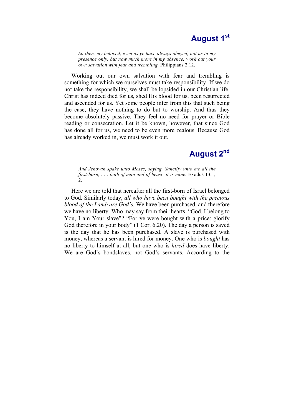## **August 1st**

*So then, my beloved, even as ye have always obeyed, not as in my presence only, but now much more in my absence, work out your own salvation with fear and trembling.* Philippians 2.12.

Working out our own salvation with fear and trembling is something for which we ourselves must take responsibility. If we do not take the responsibility, we shall be lopsided in our Christian life. Christ has indeed died for us, shed His blood for us, been resurrected and ascended for us. Yet some people infer from this that such being the case, they have nothing to do but to worship. And thus they become absolutely passive. They feel no need for prayer or Bible reading or consecration. Let it be known, however, that since God has done all for us, we need to be even more zealous. Because God has already worked in, we must work it out.

## **August 2nd**

*And Jehovah spake unto Moses, saying, Sanctify unto me all the first-born, . . . both of man and of beast: it is mine.* Exodus 13.1, 2.

Here we are told that hereafter all the first-born of Israel belonged to God. Similarly today, *all who have been bought with the precious blood of the Lamb are God's.* We have been purchased, and therefore we have no liberty. Who may say from their hearts, "God, I belong to You, I am Your slave"? "For ye were bought with a price: glorify God therefore in your body" (1 Cor. 6.20). The day a person is saved is the day that he has been purchased. A slave is purchased with money, whereas a servant is hired for money. One who is *bought* has no liberty to himself at all, but one who is *hired* does have liberty. We are God's bondslaves, not God's servants. According to the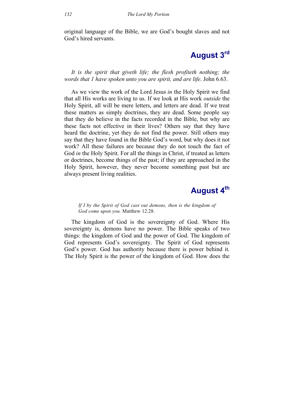original language of the Bible, we are God's bought slaves and not God's hired servants.

#### **August 3rd**

#### *It is the spirit that giveth life; the flesh profiteth nothing; the words that 1 have spoken unto you are spirit, and are life.* John 6.63.

As we view the work of the Lord Jesus *in* the Holy Spirit we find that all His works are living to us. If we look at His work *outside* the Holy Spirit, all will be mere letters, and letters are dead. If we treat these matters as simply doctrines, they are dead. Some people say that they do believe in the facts recorded in the Bible, but why are these facts not effective in their lives? Others say that they have heard the doctrine, yet they do not find the power. Still others may say that they have found in the Bible God's word, but why does it not work? All these failures are because they do not touch the fact of God *in* the Holy Spirit. For all the things in Christ, if treated as letters or doctrines, become things of the past; if they are approached in the Holy Spirit, however, they never become something past but are always present living realities.

## **August 4th**

#### *If I by the Spirit of God cast out demons, then is the kingdom of God come upon you.* Matthew 12.28.

The kingdom of God is the sovereignty of God. Where His sovereignty is, demons have no power. The Bible speaks of two things: the kingdom of God and the power of God. The kingdom of God represents God's sovereignty. The Spirit of God represents God's power. God has authority because there is power behind it. The Holy Spirit is the power of the kingdom of God. How does the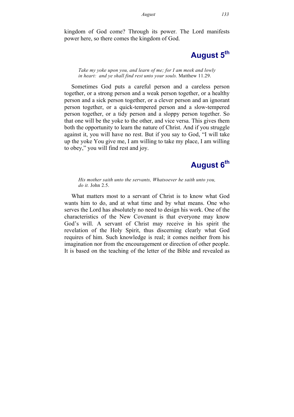kingdom of God come? Through its power. The Lord manifests power here, so there comes the kingdom of God.

## **August 5<sup>th</sup>**

*Take my yoke upon you, and learn of me; for I am meek and lowly in heart: and ye shall find rest unto your souls.* Matthew 11.29.

Sometimes God puts a careful person and a careless person together, or a strong person and a weak person together, or a healthy person and a sick person together, or a clever person and an ignorant person together, or a quick-tempered person and a slow-tempered person together, or a tidy person and a sloppy person together. So that one will be the yoke to the other, and vice versa. This gives them both the opportunity to learn the nature of Christ. And if you struggle against it, you will have no rest. But if you say to God, "I will take up the yoke You give me, I am willing to take my place, I am willing to obey," you will find rest and joy.

#### **August 6th**

*His mother saith unto the servants, Whatsoever he saith unto you, do it.* John 2.5.

What matters most to a servant of Christ is to know what God wants him to do, and at what time and by what means. One who serves the Lord has absolutely no need to design his work. One of the characteristics of the New Covenant is that everyone may know God's will. A servant of Christ may receive in his spirit the revelation of the Holy Spirit, thus discerning clearly what God requires of him. Such knowledge is real; it comes neither from his imagination nor from the encouragement or direction of other people. It is based on the teaching of the letter of the Bible and revealed as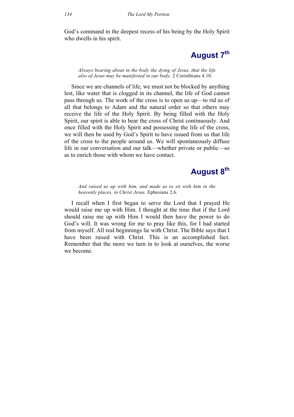God's command in the deepest recess of his being by the Holy Spirit who dwells in his spirit.

# **August 7<sup>th</sup>**

*Always bearing about in the body the dying of Jesus, that the life also of Jesus may be manifested in our body.* 2 Corinthians 4.10.

Since we are channels of life, we must not be blocked by anything lest, like water that is clogged in its channel, the life of God cannot pass through us. The work of the cross is to open us up—to rid us of all that belongs to Adam and the natural order so that others may receive the life of the Holy Spirit. By being filled with the Holy Spirit, our spirit is able to bear the cross of Christ continuously. And once filled with the Holy Spirit and possessing the life of the cross, we will then be used by God's Spirit to have issued from us that life of the cross to the people around us. We will spontaneously diffuse life in our conversation and our talk—whether private or public—so as to enrich those with whom we have contact.

## **August 8th**

*And raised us up with him, and made us to sit with him in the heavenly places, in Christ Jesus.* Ephesians 2.6.

I recall when I first began to serve the Lord that I prayed He would raise me up with Him. I thought at the time that if the Lord should raise me up with Him I would then have the power to do God's will. It was wrong for me to pray like this, for I had started from myself. All real beginnings lie with Christ. The Bible says that I have been raised with Christ. This is an accomplished fact. Remember that the more we turn in to look at ourselves, the worse we become.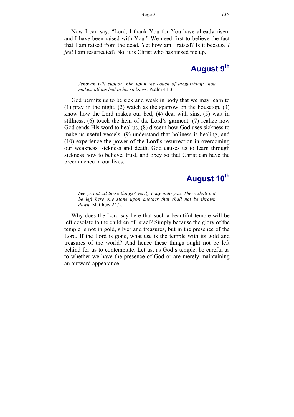Now I can say, "Lord, I thank You for You have already risen, and I have been raised with You." We need first to believe the fact that I am raised from the dead. Yet how am I raised? Is it because *I feel* I am resurrected? No, it is Christ who has raised me up.

#### **August 9th**

*Jehovah will support him upon the couch of languishing: thou makest all his bed in his sickness.* Psalm 41.3.

God permits us to be sick and weak in body that we may learn to (1) pray in the night, (2) watch as the sparrow on the housetop, (3) know how the Lord makes our bed, (4) deal with sins, (5) wait in stillness, (6) touch the hem of the Lord's garment, (7) realize how God sends His word to heal us, (8) discern how God uses sickness to make us useful vessels, (9) understand that holiness is healing, and (10) experience the power of the Lord's resurrection in overcoming our weakness, sickness and death. God causes us to learn through sickness how to believe, trust, and obey so that Christ can have the preeminence in our lives.

## **August 10th**

*See ye not all these things? verily I say unto you, There shall not be left here one stone upon another that shall not be thrown down.* Matthew 24.2.

Why does the Lord say here that such a beautiful temple will be left desolate to the children of Israel? Simply because the glory of the temple is not in gold, silver and treasures, but in the presence of the Lord. If the Lord is gone, what use is the temple with its gold and treasures of the world? And hence these things ought not be left behind for us to contemplate. Let us, as God's temple, be careful as to whether we have the presence of God or are merely maintaining an outward appearance.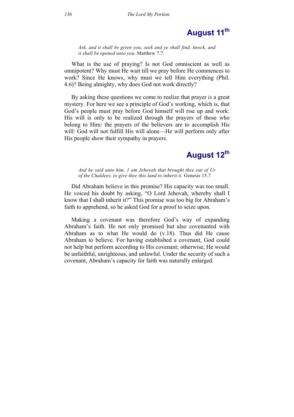## **August 11th**

*Ask, and it shall be given you; seek and ye shall find; knock, and it shall be opened unto you.* Matthew 7.7.

What is the use of praying? Is not God omniscient as well as omnipotent? Why must He wait till we pray before He commences to work? Since He knows, why must we tell Him everything (Phil. 4.6)? Being almighty, why does God not work directly?

By asking these questions we come to realize that prayer *is* a great mystery. For here we see a principle of God's working, which is, that God's people must pray before God himself will rise up and work: His will is only to be realized through the prayers of those who belong to Him: the prayers of the believers are to accomplish His will: God will not fulfill His will alone—He will perform only after His people show their sympathy in prayers.

#### **August 12th**

*And he said unto him, 1 am Jehovah that brought thee out of Ur of the Chaldees, to give thee this land to inherit it.* Genesis 15.7

Did Abraham believe in this promise? His capacity was too small. He voiced his doubt by asking, "O Lord Jehovah, whereby shall I know that I shall inherit it?" This promise was too big for Abraham's faith to apprehend, so he asked God for a proof to seize upon.

Making a covenant was therefore God's way of expanding Abraham's faith. He not only promised but also covenanted with Abraham as to what He would do (v.18). Thus did He cause Abraham to believe. For having established a covenant, God could not help but perform according to His covenant; otherwise, He would be unfaithful, unrighteous, and unlawful. Under the security of such a covenant, Abraham's capacity for faith was naturally enlarged.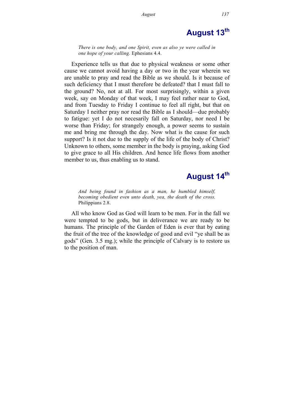### August 13<sup>th</sup>

*There is one body, and one Spirit, even as also ye were called in one hope of your calling.* Ephesians 4.4.

Experience tells us that due to physical weakness or some other cause we cannot avoid having a day or two in the year wherein we are unable to pray and read the Bible as we should. Is it because of such deficiency that I must therefore be defeated? that I must fall to the ground? No, not at all. For most surprisingly, within a given week, say on Monday of that week, I may feel rather near to God, and from Tuesday to Friday I continue to feel all right, but that on Saturday I neither pray nor read the Bible as I should—due probably to fatigue: yet I do not necesarily fall on Saturday, nor need I be worse than Friday; for strangely enough, a power seems to sustain me and bring me through the day. Now what is the cause for such support? Is it not due to the supply of the life of the body of Christ? Unknown to others, some member in the body is praying, asking God to give grace to all His children. And hence life flows from another member to us, thus enabling us to stand.

## **August 14th**

*And being found in fashion as a man, he humbled himself, becoming obedient even unto death, yea, the death of the cross.*  Philippians 2.8.

All who know God as God will learn to be men. For in the fall we were tempted to be gods, but in deliverance we are ready to be humans. The principle of the Garden of Eden is ever that by eating the fruit of the tree of the knowledge of good and evil "ye shall be as gods" (Gen. 3.5 mg.); while the principle of Calvary is to restore us to the position of man.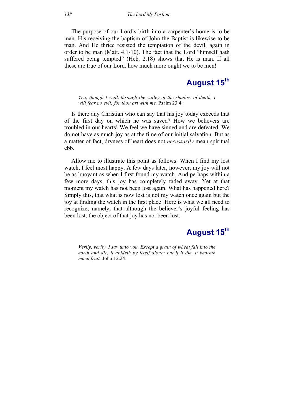The purpose of our Lord's birth into a carpenter's home is to be man. His receiving the baptism of John the Baptist is likewise to be man. And He thrice resisted the temptation of the devil, again in order to be man (Matt. 4.1-10). The fact that the Lord "himself hath suffered being tempted" (Heb. 2.18) shows that He is man. If all these are true of our Lord, how much more ought we to be men!

#### **August 15th**

*Yea, though I walk through the valley of the shadow of death, I*  will fear no evil; for thou art with me. Psalm 23.4.

Is there any Christian who can say that his joy today exceeds that of the first day on which he was saved? How we believers are troubled in our hearts! We feel we have sinned and are defeated. We do not have as much joy as at the time of our initial salvation. But as a matter of fact, dryness of heart does not *necessarily* mean spiritual ebb.

Allow me to illustrate this point as follows: When I find my lost watch, I feel most happy. A few days later, however, my joy will not be as buoyant as when I first found my watch. And perhaps within a few more days, this joy has completely faded away. Yet at that moment my watch has not been lost again. What has happened here? Simply this, that what is now lost is not my watch once again but the joy at finding the watch in the first place! Here is what we all need to recognize; namely, that although the believer's joyful feeling has been lost, the object of that joy has not been lost.

## **August 15<sup>th</sup>**

*Verily, verily, I say unto you, Except a grain of wheat fall into the earth and die, it abideth by itself alone; but if it die, it beareth much fruit.* John 12.24.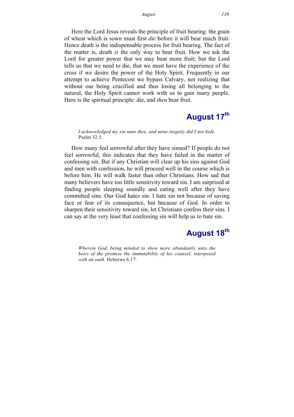Here the Lord Jesus reveals the principle of fruit bearing: the grain of wheat which is sown must first *die* before it will bear much fruit. Hence death is the indispensable process for fruit bearing. The fact of the matter is, death *is* the only way to bear fruit. How we ask the Lord for greater power that we may bear more fruit; but the Lord tells us that we need to die, that we must have the experience of the cross if we desire the power of the Holy Spirit. Frequently in our attempt to achieve Pentecost we bypass Calvary, not realizing that without our being crucified and thus losing all belonging to the natural, the Holy Spirit cannot work with us to gain many people. Here is the spiritual principle: die, and *then* bear fruit.

## **August 17th**

#### *I acknowledged my sin unto thee, and mine iniquity did I not hide.*  Psalm 32.5.

How many feel sorrowful after they have sinned? If people do not feel sorrowful, this indicates that they have failed in the matter of confessing sin. But if any Christian will clear up his sins against God and men with confession, he will proceed well in the course which is before him. He will walk faster than other Christians. How sad that many believers have too little sensitivity toward sin. I am surprised at finding people sleeping soundly and eating well after they have committed sins. Our God hates sin. I hate sin not because of saving face or fear of its consequence, but because of God. In order to sharpen their sensitivity toward sin, let Christians confess their sins. I can say at the very least that confessing sin will help us to hate sin.

#### **August 18th**

*Wherein God, being minded to show more abundantly unto the heirs of the promise the immutability of his counsel, interposed with an oath.* Hebrews 6.17.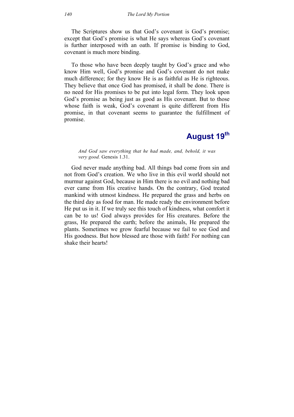The Scriptures show us that God's covenant is God's promise; except that God's promise is what He says whereas God's covenant is further interposed with an oath. If promise is binding to God, covenant is much more binding.

To those who have been deeply taught by God's grace and who know Him well, God's promise and God's covenant do not make much difference; for they know He is as faithful as He is righteous. They believe that once God has promised, it shall be done. There is no need for His promises to be put into legal form. They look upon God's promise as being just as good as His covenant. But to those whose faith is weak, God's covenant is quite different from His promise, in that covenant seems to guarantee the fulfillment of promise.

### **August 19th**

#### *And God saw everything that he had made, and, behold, it was very good.* Genesis 1.31.

God never made anything bad. All things bad come from sin and not from God's creation. We who live in this evil world should not murmur against God, because in Him there is no evil and nothing bad ever came from His creative hands. On the contrary, God treated mankind with utmost kindness. He prepared the grass and herbs on the third day as food for man. He made ready the environment before He put us in it. If we truly see this touch of kindness, what comfort it can be to us! God always provides for His creatures. Before the grass, He prepared the earth; before the animals, He prepared the plants. Sometimes we grow fearful because we fail to see God and His goodness. But how blessed are those with faith! For nothing can shake their hearts!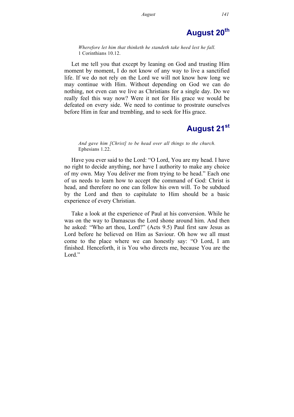

*Wherefore let him that thinketh he standeth take heed lest he fall.*  1 Corinthians 10.12.

Let me tell you that except by leaning on God and trusting Him moment by moment, I do not know of any way to live a sanctified life. If we do not rely on the Lord we will not know how long we may continue with Him. Without depending on God we can do nothing, not even can we live as Christians for a single day. Do we really feel this way now? Were it not for His grace we would be defeated on every side. We need to continue to prostrate ourselves before Him in fear and trembling, and to seek for His grace.

#### **August 21st**

*And gave him [Christ] to be head over all things to the church.*  Ephesians 1.22.

Have you ever said to the Lord: "O Lord, You are my head. I have no right to decide anything, nor have I authority to make any choice of my own. May You deliver me from trying to be head." Each one of us needs to learn how to accept the command of God: Christ is head, and therefore no one can follow his own will. To be subdued by the Lord and then to capitulate to Him should be a basic experience of every Christian.

Take a look at the experience of Paul at his conversion. While he was on the way to Damascus the Lord shone around him. And then he asked: "Who art thou, Lord?" (Acts 9.5) Paul first saw Jesus as Lord before he believed on Him as Saviour. Oh how we all must come to the place where we can honestly say: "O Lord, I am finished. Henceforth, it is You who directs me, because You are the Lord."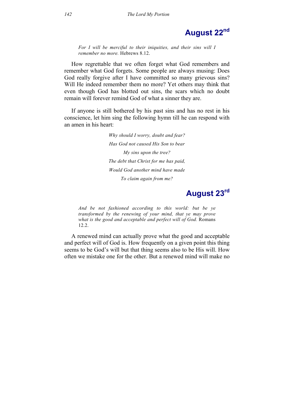## **August 22nd**

*For I will be merciful to their iniquities, and their sins will I remember no more.* Hebrews 8.12.

How regrettable that we often forget what God remembers and remember what God forgets. Some people are always musing: Does God really forgive after I have committed so many grievous sins? Will He indeed remember them no more? Yet others may think that even though God has blotted out sins, the scars which no doubt remain will forever remind God of what a sinner they are.

If anyone is still bothered by his past sins and has no rest in his conscience, let him sing the following hymn till he can respond with an amen in his heart:

> *Why should I worry, doubt and fear? Has God not caused His Son to bear My sins upon the tree? The debt that Christ for me has paid, Would God another mind have made To claim again from me?*

#### **August 23rd**

*And be not fashioned according to this world: but be ye transformed by the renewing of your mind, that ye may prove what is the good and acceptable and perfect will of God.* Romans 12.2.

A renewed mind can actually prove what the good and acceptable and perfect will of God is. How frequently on a given point this thing seems to be God's will but that thing seems also to be His will. How often we mistake one for the other. But a renewed mind will make no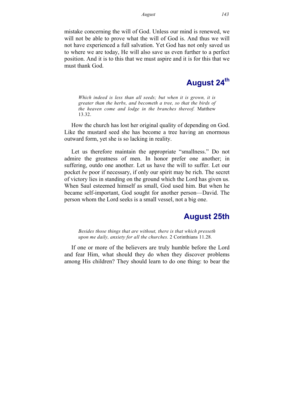mistake concerning the will of God. Unless our mind is renewed, we will not be able to prove what the will of God is. And thus we will not have experienced a full salvation. Yet God has not only saved us to where we are today, He will also save us even further to a perfect position. And it is to this that we must aspire and it is for this that we must thank God.

## **August 24th**

*Which indeed is less than all seeds; but when it is grown, it is greater than the herbs, and becometh a tree, so that the birds of the heaven come and lodge in the branches thereof.* Matthew 13.32.

How the church has lost her original quality of depending on God. Like the mustard seed she has become a tree having an enormous outward form, yet she is so lacking in reality.

Let us therefore maintain the appropriate "smallness." Do not admire the greatness of men. In honor prefer one another; in suffering, outdo one another. Let us have the will to suffer. Let our pocket *be* poor if necessary, if only our spirit may be rich. The secret of victory lies in standing on the ground which the Lord has given us. When Saul esteemed himself as small, God used him. But when he became self-important, God sought for another person—David. The person whom the Lord seeks is a small vessel, not a big one.

#### **August 25th**

*Besides those things that are without, there is that which presseth upon me daily, anxiety for all the churches.* 2 Corinthians 11.28*.* 

If one or more of the believers are truly humble before the Lord and fear Him, what should they do when they discover problems among His children? They should learn to do one thing: to bear the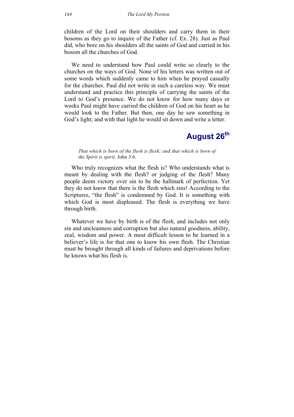children of the Lord on their shoulders and carry them in their bosoms as they go to inquire of the Father (cf. Ex. 28). Just as Paul did, who bore on his shoulders all the saints of God and carried in his bosom all the churches of God.

We need to understand how Paul could write so clearly to the churches on the ways of God. None of his letters was written out of some words which suddenly came to him when he prayed casually for the churches. Paul did not write in such a careless way. We must understand and practice this principle of carrying the saints of the Lord to God's presence. We do not know for how many days or weeks Paul might have carried the children of God on his heart as he would look to the Father. But then, one day he saw something in God's light; and with that light he would sit down and write a letter.

### **August 26th**

*That which is born of the flesh is flesh; and that which is born of the Spirit is spirit.* John 3.6.

Who truly recognizes what the flesh is? Who understands what is meant by dealing with the flesh? or judging of the flesh? Many people deem victory over sin to be the hallmark of perfection. Yet they do not know that there is the flesh which sins! According to the Scriptures, "the flesh" is condemned by God. It is something with which God is most displeased. The flesh is everything we have through birth.

Whatever we have by birth is of the flesh, and includes not only sin and uncleanness and corruption but also natural goodness, ability, zeal, wisdom and power. A most difficult lesson to be learned in a believer's life is for that one to know his own flesh. The Christian must be brought through all kinds of failures and deprivations before he knows what his flesh is.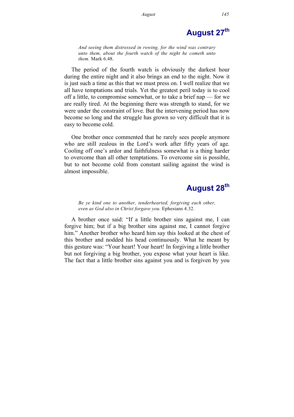

*And seeing them distressed in rowing, for the wind was contrary unto them, about the fourth watch of the night he cometh unto them.* Mark 6.48.

The period of the fourth watch is obviously the darkest hour during the entire night and it also brings an end to the night. Now it is just such a time as this that we must press on. I well realize that we all have temptations and trials. Yet the greatest peril today is to cool off a little, to compromise somewhat, or to take a brief nap — for we are really tired. At the beginning there was strength to stand, for we were under the constraint of love. But the intervening period has now become so long and the struggle has grown so very difficult that it is easy to become cold.

One brother once commented that he rarely sees people anymore who are still zealous in the Lord's work after fifty years of age. Cooling off one's ardor and faithfulness somewhat is a thing harder to overcome than all other temptations. To overcome sin is possible, but to not become cold from constant sailing against the wind is almost impossible.

# **August 28th**

*Be ye kind one to another, tenderhearted, forgiving each other, even as God also in Christ forgave you.* Ephesians 4.32.

A brother once said: "If a little brother sins against me, I can forgive him; but if a big brother sins against me, I cannot forgive him." Another brother who heard him say this looked at the chest of this brother and nodded his head continuously. What he meant by this gesture was: "Your heart! Your heart! In forgiving a little brother but not forgiving a big brother, you expose what your heart is like. The fact that a little brother sins against you and is forgiven by you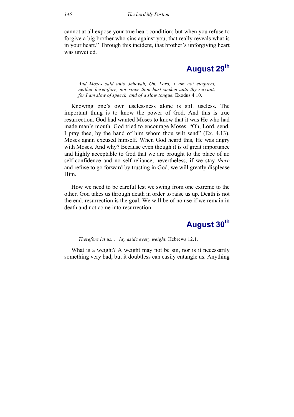cannot at all expose your true heart condition; but when you refuse to forgive a big brother who sins against you, that really reveals what is in your heart." Through this incident, that brother's unforgiving heart was unveiled.

# **August 29th**

*And Moses said unto Jehovah, Oh, Lord, 1 am not eloquent, neither heretofore, nor since thou hast spoken unto thy servant; for I am slow of speech, and of a slow tongue.* Exodus 4.10.

Knowing one's own uselessness alone is still useless. The important thing is to know the power of God. And this is true resurrection. God had wanted Moses to know that it was He who had made man's mouth. God tried to encourage Moses. "Oh, Lord, send, I pray thee, by the hand of him whom thou wilt send" (Ex. 4.13). Moses again excused himself. When God heard this, He was angry with Moses. And why? Because even though it is of great importance and highly acceptable to God that we are brought to the place of no self-confidence and no self-reliance, nevertheless, if we stay *there* and refuse to go forward by trusting in God, we will greatly displease Him.

How we need to be careful lest we swing from one extreme to the other. God takes us through death in order to raise us up. Death is not the end, resurrection is the goal. We will be of no use if we remain in death and not come into resurrection.

## **August 30th**

#### *Therefore let us. . . lay aside every weight.* Hebrews 12.1.

What is a weight? A weight may not be sin, nor is it necessarily something very bad, but it doubtless can easily entangle us. Anything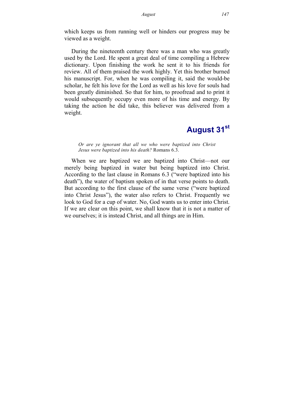which keeps us from running well or hinders our progress may be viewed as a weight.

During the nineteenth century there was a man who was greatly used by the Lord. He spent a great deal of time compiling a Hebrew dictionary. Upon finishing the work he sent it to his friends for review. All of them praised the work highly. Yet this brother burned his manuscript. For, when he was compiling it, said the would-be scholar, he felt his love for the Lord as well as his love for souls had been greatly diminished. So that for him, to proofread and to print it would subsequently occupy even more of his time and energy. By taking the action he did take, this believer was delivered from a weight.

# **August 31st**

#### *Or are ye ignorant that all we who were baptized into Christ Jesus were baptized into his death?* Romans 6.3.

When we are baptized we are baptized into Christ—not our merely being baptized in water but being baptized into Christ. According to the last clause in Romans 6.3 ("were baptized into his death"), the water of baptism spoken of in that verse points to death. But according to the first clause of the same verse ("were baptized into Christ Jesus"), the water also refers to Christ. Frequently we look to God for a cup of water. No, God wants us to enter into Christ. If we are clear on this point, we shall know that it is not a matter of we ourselves; it is instead Christ, and all things are in Him.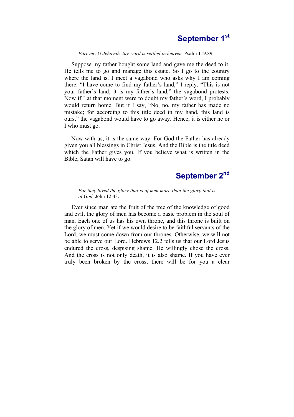## September 1st

*Forever, O Jehovah, thy word is settled in heaven.* Psalm 119.89.

Suppose my father bought some land and gave me the deed to it. He tells me to go and manage this estate. So I go to the country where the land is. I meet a vagabond who asks why I am coming there. "I have come to find my father's land," I reply. "This is not your father's land; it is my father's land," the vagabond protests. Now if I at that moment were to doubt my father's word, I probably would return home. But if I say, "No, no, my father has made no mistake; for according to this title deed in my hand, this land is ours," the vagabond would have to go away. Hence, it is either he or I who must go.

Now with us, it is the same way. For God the Father has already given you all blessings in Christ Jesus. And the Bible is the title deed which the Father gives you. If you believe what is written in the Bible, Satan will have to go.

## **September 2nd**

#### *For they loved the glory that is of men more than the glory that is of God.* John 12.43.

Ever since man ate the fruit of the tree of the knowledge of good and evil, the glory of men has become a basic problem in the soul of man. Each one of us has his own throne, and this throne is built on the glory of men. Yet if we would desire to be faithful servants of the Lord, we must come down from our thrones. Otherwise, we will not be able to serve our Lord. Hebrews 12.2 tells us that our Lord Jesus endured the cross, despising shame. He willingly chose the cross. And the cross is not only death, it is also shame. If you have ever truly been broken by the cross, there will be for you a clear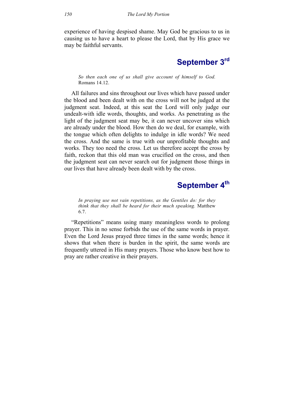experience of having despised shame. May God be gracious to us in causing us to have a heart to please the Lord, that by His grace we may be faithful servants.

# **September 3rd**

*So then each one of us shall give account of himself to God.*  Romans 14.12.

All failures and sins throughout our lives which have passed under the blood and been dealt with on the cross will not be judged at the judgment seat. Indeed, at this seat the Lord will only judge our undealt-with idle words, thoughts, and works. As penetrating as the light of the judgment seat may be, it can never uncover sins which are already under the blood. How then do we deal, for example, with the tongue which often delights to indulge in idle words? We need the cross. And the same is true with our unprofitable thoughts and works. They too need the cross. Let us therefore accept the cross by faith, reckon that this old man was crucified on the cross, and then the judgment seat can never search out for judgment those things in our lives that have already been dealt with by the cross.

# September 4<sup>th</sup>

*In praying use not vain repetitions, as the Gentiles do: for they think that they shall be heard for their much speaking.* Matthew 6.7.

"Repetitions" means using many meaningless words to prolong prayer. This in no sense forbids the use of the same words in prayer. Even the Lord Jesus prayed three times in the same words; hence it shows that when there is burden in the spirit, the same words are frequently uttered in His many prayers. Those who know best how to pray are rather creative in their prayers.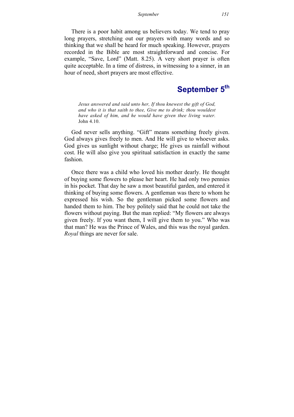There is a poor habit among us believers today. We tend to pray long prayers, stretching out our prayers with many words and so thinking that we shall be heard for much speaking. However, prayers recorded in the Bible are most straightforward and concise. For example, "Save, Lord" (Matt. 8.25). A very short prayer is often quite acceptable. In a time of distress, in witnessing to a sinner, in an hour of need, short prayers are most effective.

# September 5<sup>th</sup>

*Jesus answered and said unto her, If thou knewest the gift of God, and who it is that saith to thee, Give me to drink; thou wouldest have asked of him, and he would have given thee living water.*  John 4.10.

God never sells anything. "Gift" means something freely given. God always gives freely to men. And He will give to whoever asks. God gives us sunlight without charge; He gives us rainfall without cost. He will also give you spiritual satisfaction in exactly the same fashion.

Once there was a child who loved his mother dearly. He thought of buying some flowers to please her heart. He had only two pennies in his pocket. That day he saw a most beautiful garden, and entered it thinking of buying some flowers. A gentleman was there to whom he expressed his wish. So the gentleman picked some flowers and handed them to him. The boy politely said that he could not take the flowers without paying. But the man replied: "My flowers are always given freely. If you want them, I will give them to you." Who was that man? He was the Prince of Wales, and this was the royal garden. *Royal* things are never for sale.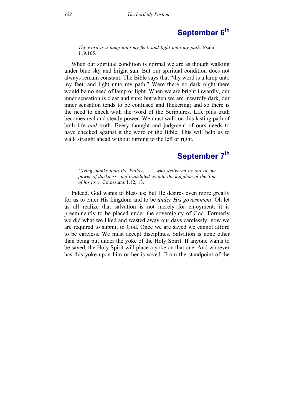# September 6<sup>th</sup>

*Thy word is a lamp unto my feet, and light unto my path.* Psalm 119.105.

When our spiritual condition is normal we are as though walking under blue sky and bright sun. But our spiritual condition does not always remain constant. The Bible says that "thy word is a lamp unto my feet, and light unto my path." Were there no dark night there would be no need of lamp or light. When we are bright inwardly, our inner sensation is clear and sure; but when we are inwardly dark, our inner sensation tends to be confused and flickering; and so there is the need to check with the word of the Scriptures. Life plus truth becomes real and steady power. We must walk on this lasting path of both life *and* truth. Every thought and judgment of ours needs to have checked against it the word of the Bible. This will help us to walk straight ahead without turning to the left or right.

### **September 7th**

*Giving thanks unto the Father, . . . who delivered us out of the power of darkness, and translated us into the kingdom of the Son of his love.* Colossians 1.12, 13.

Indeed, God wants to bless us; but He desires even more greatly for us to enter His kingdom and to be *under His government*. Oh let us all realize that salvation is not merely for enjoyment; it is preeminently to be placed under the sovereignty of God. Formerly we did what we liked and wasted away our days carelessly; now we are required to submit to God. Once we are saved we cannot afford to be careless. We must accept disciplines. Salvation is none other than being put under the yoke of the Holy Spirit. If anyone wants to be saved, the Holy Spirit will place a yoke on that one. And whoever has this yoke upon him or her is saved. From the standpoint of the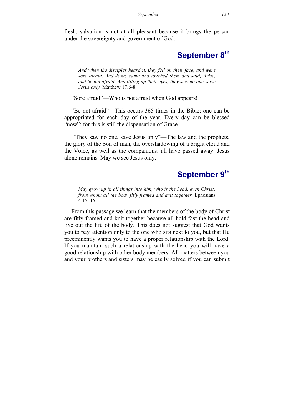flesh, salvation is not at all pleasant because it brings the person under the sovereignty and government of God.

## September 8<sup>th</sup>

*And when the disciples heard it, they fell on their face, and were sore afraid. And Jesus came and touched them and said, Arise, and be not afraid. And lifting up their eyes, they saw no one, save Jesus only.* Matthew 17.6-8.

"Sore afraid"—Who is not afraid when God appears!

"Be not afraid"—This occurs 365 times in the Bible; one can be appropriated for each day of the year. Every day can be blessed "now"; for this is still the dispensation of Grace.

 "They saw no one, save Jesus only"—The law and the prophets, the glory of the Son of man, the overshadowing of a bright cloud and the Voice, as well as the companions: all have passed away: Jesus alone remains. May we see Jesus only.

## September 9<sup>th</sup>

*May grow up in all things into him, who is the head, even Christ; from whom all the body fitly framed and knit together.* Ephesians 4.15, 16.

From this passage we learn that the members of the body of Christ are fitly framed and knit together because all hold fast the head and live out the life of the body. This does not suggest that God wants you to pay attention only to the one who sits next to you, but that He preeminently wants you to have a proper relationship with the Lord. If you maintain such a relationship with the head you will have a good relationship with other body members. All matters between you and your brothers and sisters may be easily solved if you can submit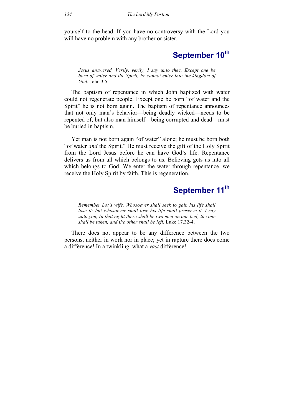yourself to the head. If you have no controversy with the Lord you will have no problem with any brother or sister.

## **September 10th**

*Jesus answered, Verily, verily, I say unto thee, Except one be born of water and the Spirit, he cannot enter into the kingdom of God.* John 3.5.

The baptism of repentance in which John baptized with water could not regenerate people. Except one be born "of water and the Spirit" he is not born again. The baptism of repentance announces that not only man's behavior—being deadly wicked—needs to be repented of, but also man himself—being corrupted and dead—must be buried in baptism.

Yet man is not born again "of water" alone; he must be born both "of water *and* the Spirit." He must receive the gift of the Holy Spirit from the Lord Jesus before he can have God's life. Repentance delivers us from all which belongs to us. Believing gets us into all which belongs to God. We enter the water through repentance, we receive the Holy Spirit by faith. This is regeneration.

## September 11<sup>th</sup>

*Remember Lot's wife. Whosoever shall seek to gain his life shall lose it: but whosoever shall lose his life shall preserve it. I say unto you, In that night there shall be two men on one bed; the one shall be taken, and the other shall be left.* Luke 17.32-4.

There does not appear to be any difference between the two persons, neither in work nor in place; yet in rapture there does come a difference! In a twinkling, what a *vast* difference!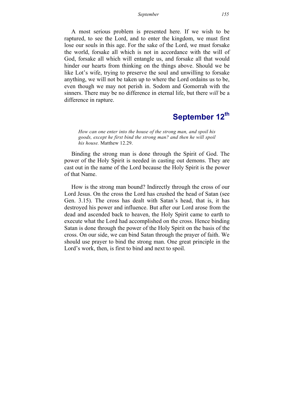A most serious problem is presented here. If we wish to be raptured, to see the Lord, and to enter the kingdom, we must first lose our souls in this age. For the sake of the Lord, we must forsake the world, forsake all which is not in accordance with the will of God, forsake all which will entangle us, and forsake all that would hinder our hearts from thinking on the things above. Should we be like Lot's wife, trying to preserve the soul and unwilling to forsake anything, we will not be taken up to where the Lord ordains us to be, even though we may not perish in. Sodom and Gomorrah with the sinners. There may be no difference in eternal life, but there *will* be a difference in rapture.

## September 12<sup>th</sup>

*How can one enter into the house of the strong man, and spoil his goods, except he first bind the strong man? and then he will spoil his house.* Matthew 12.29.

Binding the strong man is done through the Spirit of God. The power of the Holy Spirit is needed in casting out demons. They are cast out in the name of the Lord because the Holy Spirit is the power of that Name.

How is the strong man bound? Indirectly through the cross of our Lord Jesus. On the cross the Lord has crushed the head of Satan (see Gen. 3.15). The cross has dealt with Satan's head, that is, it has destroyed his power and influence. But after our Lord arose from the dead and ascended back to heaven, the Holy Spirit came to earth to execute what the Lord had accomplished on the cross. Hence binding Satan is done through the power of the Holy Spirit on the basis of the cross. On our side, we can bind Satan through the prayer of faith. We should use prayer to bind the strong man. One great principle in the Lord's work, then, is first to bind and next to spoil.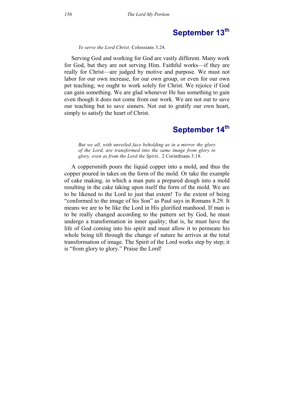## September 13<sup>th</sup>

*Ye serve the Lord Christ.* Colossians 3.24.

Serving God and working for God are vastly different. Many work for God, but they are not serving Him. Faithful works—if they are really for Christ—are judged by motive and purpose. We must not labor for our own increase, for our own group, or even for our own pet teaching; we ought to work solely for Christ. We rejoice if God can gain something. We are glad whenever He has something to gain even though it does not come from our work. We are not out to save our teaching but to save sinners. Not out to gratify our own heart, simply to satisfy the heart of Christ.

## September 14<sup>th</sup>

*But we all, with unveiled face beholding as in a mirror the glory of the Lord, are transformed into the same image from glory to glory, even as from the Lord the Spirit..* 2 Corinthians 3.18.

A coppersmith pours the liquid copper into a mold, and thus the copper poured in takes on the form of the mold. Or take the example of cake making, in which a man puts a prepared dough into a mold resulting in the cake taking upon itself the form of the mold. We are to be likened to the Lord to just that extent! To the extent of being "conformed to the image of his Son" as Paul says in Romans 8.29. It means we are to be like the Lord in His glorified manhood. If man is to be really changed according to the pattern set by God, he must undergo a transformation in inner quality; that is, he must have the life of God coming into his spirit and must allow it to permeate his whole being till through the change of nature he arrives at the total transformation of image. The Spirit of the Lord works step by step; it is "from glory to glory." Praise the Lord!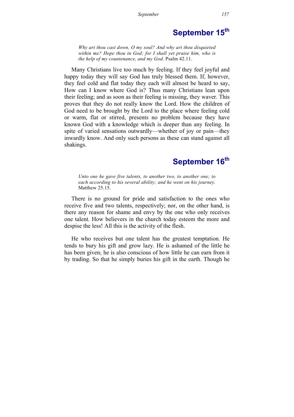## September 15<sup>th</sup>

*Why art thou cast down, O my soul? And why art thou disquieted within me? Hope thou in God; for I shall yet praise him, who is the help of my countenance, and my God.* Psalm 42.11.

Many Christians live too much by feeling. If they feel joyful and happy today they will say God has truly blessed them. If, however, they feel cold and flat today they each will almost be heard to say, How can I know where God is? Thus many Christians lean upon their feeling; and as soon as their feeling is missing, they waver. This proves that they do not really know the Lord. How the children of God need to be brought by the Lord to the place where feeling cold or warm, flat or stirred, presents no problem because they have known God with a knowledge which is deeper than any feeling. In spite of varied sensations outwardly—whether of joy or pain—they inwardly know. And only such persons as these can stand against all shakings.

### September 16<sup>th</sup>

*Unto one he gave five talents, to another two, to another one; to each according to his several ability; and he went on his journey.*  Matthew 25.15

There is no ground for pride and satisfaction to the ones who receive five and two talents, respectively; nor, on the other hand, is there any reason for shame and envy by the one who only receives one talent. How believers in the church today esteem the more and despise the less! All this is the activity of the flesh.

He who receives but one talent has the greatest temptation. He tends to bury his gift and grow lazy. He is ashamed of the little he has been given; he is also conscious of how little he can earn from it by trading. So that he simply buries his gift in the earth. Though he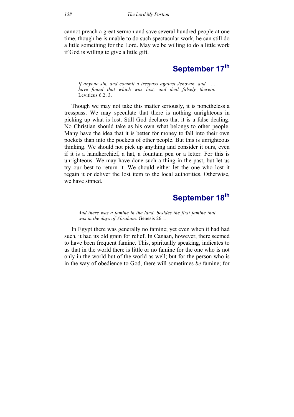cannot preach a great sermon and save several hundred people at one time, though he is unable to do such spectacular work, he can still do a little something for the Lord. May we be willing to do a little work if God is willing to give a little gift.

# September 17<sup>th</sup>

*If anyone sin, and commit a trespass against Jehovah, and . . . have found that which was lost, and deal falsely therein.*  Leviticus 6.2, 3.

Though we may not take this matter seriously, it is nonetheless a tresspass. We may speculate that there is nothing unrighteous in picking up what is lost. Still God declares that it is a false dealing. No Christian should take as his own what belongs to other people. Many have the idea that it is better for money to fall into their own pockets than into the pockets of other people. But this is unrighteous thinking. We should not pick up anything and consider it ours, even if it is a handkerchief, a hat, a fountain pen or a letter. For this is unrighteous. We may have done such a thing in the past, but let us try our best to return it. We should either let the one who lost it regain it or deliver the lost item to the local authorities. Otherwise, we have sinned.

### September 18<sup>th</sup>

*And there was a famine in the land, besides the first famine that was in the days of Abraham.* Genesis 26.1.

In Egypt there was generally no famine; yet even when it had had such, it had its old grain for relief. In Canaan, however, there seemed to have been frequent famine. This, spiritually speaking, indicates to us that in the world there is little or no famine for the one who is not only in the world but of the world as well; but for the person who is in the way of obedience to God, there will sometimes *be* famine; for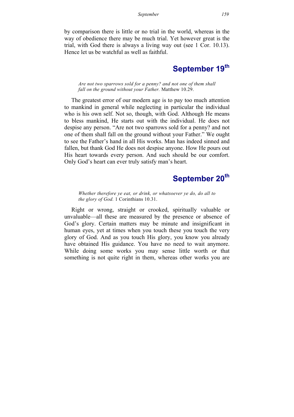by comparison there is little or no trial in the world, whereas in the way of obedience there may be much trial. Yet however great is the trial, with God there is always a living way out (see 1 Cor. 10.13). Hence let us be watchful as well as faithful.

## September 19<sup>th</sup>

*Are not two sparrows sold for a penny? and not one of them shall fall on the ground without your Father.* Matthew 10.29.

The greatest error of our modern age is to pay too much attention to mankind in general while neglecting in particular the individual who is his own self. Not so, though, with God. Although He means to bless mankind, He starts out with the individual. He does not despise any person. "Are not two sparrows sold for a penny? and not one of them shall fall on the ground without your Father." We ought to see the Father's hand in all His works. Man has indeed sinned and fallen, but thank God He does not despise anyone. How He pours out His heart towards every person. And such should be our comfort. Only God's heart can ever truly satisfy man's heart.

## September 20<sup>th</sup>

*Whether therefore ye eat, or drink, or whatsoever ye do, do all to the glory of God.* 1 Corinthians 10.31.

Right or wrong, straight or crooked, spiritually valuable or unvaluable—all these are measured by the presence or absence of God's glory. Certain matters may be minute and insignificant in human eyes, yet at times when you touch these you touch the very glory of God. And as you touch His glory, you know you already have obtained His guidance. You have no need to wait anymore. While doing some works you may sense little worth or that something is not quite right in them, whereas other works you are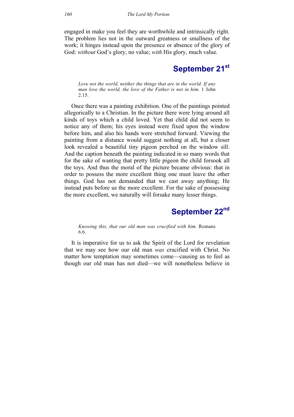engaged in make you feel they are worthwhile and intrinsically right. The problem lies not in the outward greatness or smallness of the work; it hinges instead upon the presence or absence of the glory of God: *without* God's glory, no value; *with* His glory, much value.

### **September 21st**

*Love not the world, neither the things that are in the world. If any man love the world, the love of the Father is not in him.* 1 John 2.15.

Once there was a painting exhibition. One of the paintings pointed allegorically to a Christian. In the picture there were lying around all kinds of toys which a child loved. Yet that child did not seem to notice any of them; his eyes instead were fixed upon the window before him, and also his hands were stretched forward. Viewing the painting from a distance would suggest nothing at all, but a closer look revealed a beautiful tiny pigeon perched on the window sill. And the caption beneath the painting indicated in so many words that for the sake of wanting that pretty little pigeon the child forsook all the toys. And thus the moral of the picture became obvious: that in order to possess the more excellent thing one must leave the other things. God has not demanded that we cast away anything; He instead puts before us the more excellent. For the sake of possessing the more excellent, we naturally will forsake many lesser things.

## **September 22nd**

*Knowing this, that our old man was crucified with him.* Romans 6.6.

It is imperative for us to ask the Spirit of the Lord for revelation that we may see how our old man *was* crucified with Christ. No matter how temptation may sometimes come—causing us to feel as though our old man has not died—we will nonetheless believe in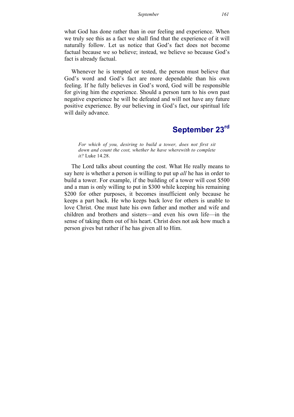what God has done rather than in our feeling and experience. When we truly see this as a fact we shall find that the experience of it will naturally follow. Let us notice that God's fact does not become factual because we so believe; instead, we believe so because God's fact is already factual.

Whenever he is tempted or tested, the person must believe that God's word and God's fact are more dependable than his own feeling. If he fully believes in God's word, God will be responsible for giving him the experience. Should a person turn to his own past negative experience he will be defeated and will not have any future positive experience. By our believing in God's fact, our spiritual life will daily advance.

## **September 23rd**

*For which of you, desiring to build a tower, does not first sit down and count the cost, whether he have wherewith to complete it?* Luke 14.28.

The Lord talks about counting the cost. What He really means to say here is whether a person is willing to put up *all* he has in order to build a tower. For example, if the building of a tower will cost \$500 and a man is only willing to put in \$300 while keeping his remaining \$200 for other purposes, it becomes insufficient only because he keeps a part back. He who keeps back love for others is unable to love Christ. One must hate his own father and mother and wife and children and brothers and sisters—and even his own life—in the sense of taking them out of his heart. Christ does not ask how much a person gives but rather if he has given all to Him.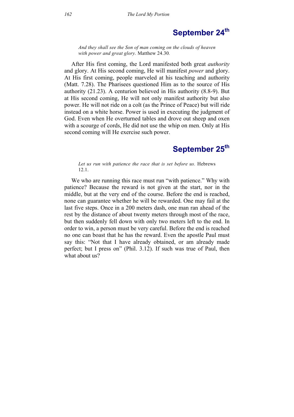# September 24<sup>th</sup>

*And they shall see the Son of man coming on the clouds of heaven with power and great glory.* Matthew 24.30*.* 

After His first coming, the Lord manifested both great *authority* and glory. At His second coming, He will manifest *power* and glory. At His first coming, people marveled at his teaching and authority (Matt. 7.28). The Pharisees questioned Him as to the source of His authority (21.23). A centurion believed in His authority (8.8-9). But at His second coming, He will not only manifest authority but also power. He will not ride on a colt (as the Prince of Peace) but will ride instead on a white horse. Power is used in executing the judgment of God. Even when He overturned tables and drove out sheep and oxen with a scourge of cords, He did not use the whip on men. Only at His second coming will He exercise such power.

## September 25<sup>th</sup>

#### Let us run with patience the race that is set before us. Hebrews 12.1.

We who are running this race must run "with patience." Why with patience? Because the reward is not given at the start, nor in the middle, but at the very end of the course. Before the end is reached, none can guarantee whether he will be rewarded. One may fail at the last five steps. Once in a 200 meters dash, one man ran ahead of the rest by the distance of about twenty meters through most of the race, but then suddenly fell down with only two meters left to the end. In order to win, a person must be very careful. Before the end is reached no one can boast that he has the reward. Even the apostle Paul must say this: "Not that I have already obtained, or am already made perfect; but I press on" (Phil. 3.12). If such was true of Paul, then what about us?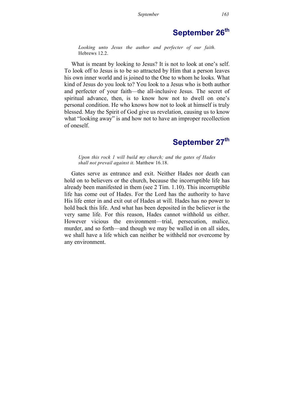## September 26<sup>th</sup>

*Looking unto Jesus the author and perfecter of our faith.*  Hebrews 12.2.

What is meant by looking to Jesus? It is not to look at one's self. To look off to Jesus is to be so attracted by Him that a person leaves his own inner world and is joined to the One to whom he looks. What kind of Jesus do you look to? You look to a Jesus who is both author and perfecter of your faith—the all-inclusive Jesus. The secret of spiritual advance, then, is to know how not to dwell on one's personal condition. He who knows how not to look at himself is truly blessed. May the Spirit of God give us revelation, causing us to know what "looking away" is and how not to have an improper recollection of oneself.

## September 27<sup>th</sup>

#### *Upon this rock 1 will build my church; and the gates of Hades shall not prevail against it.* Matthew 16.18.

Gates serve as entrance and exit. Neither Hades nor death can hold on to believers or the church, because the incorruptible life has already been manifested in them (see 2 Tim. 1.10). This incorruptible life has come out of Hades. For the Lord has the authority to have His life enter in and exit out of Hades at will. Hades has no power to hold back this life. And what has been deposited in the believer is the very same life. For this reason, Hades cannot withhold us either. However vicious the environment—trial, persecution, malice, murder, and so forth—and though we may be walled in on all sides, we shall have a life which can neither be withheld nor overcome by any environment.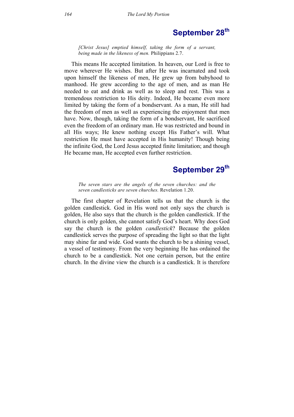## September 28<sup>th</sup>

*[Christ Jesus] emptied himself, taking the form of a servant, being made in the likeness of men.* Philippians 2.7.

This means He accepted limitation. In heaven, our Lord is free to move wherever He wishes. But after He was incarnated and took upon himself the likeness of men, He grew up from babyhood to manhood. He grew according to the age of men, and as man He needed to eat and drink as well as to sleep and rest. This was a tremendous restriction to His deity. Indeed, He became even more limited by taking the form of a bondservant. As a man, He still had the freedom of men as well as experiencing the enjoyment that men have. Now, though, taking the form of a bondservant, He sacrificed even the freedom of an ordinary man. He was restricted and bound in all His ways; He knew nothing except His Father's will. What restriction He must have accepted in His humanity! Though being the infinite God, the Lord Jesus accepted finite limitation; and though He became man, He accepted even further restriction.

## September 29<sup>th</sup>

*The seven stars are the angels of the seven churches: and the seven candlesticks are seven churches.* Revelation 1.20.

The first chapter of Revelation tells us that the church is the golden candlestick. God in His word not only says the church is golden, He also says that the church is the golden candlestick. If the church is only golden, she cannot satisfy God's heart. Why does God say the church is the golden *candlestick*? Because the golden candlestick serves the purpose of spreading the light so that the light may shine far and wide. God wants the church to be a shining vessel, a vessel of testimony. From the very beginning He has ordained the church to be a candlestick. Not one certain person, but the entire church. In the divine view the church is a candlestick. It is therefore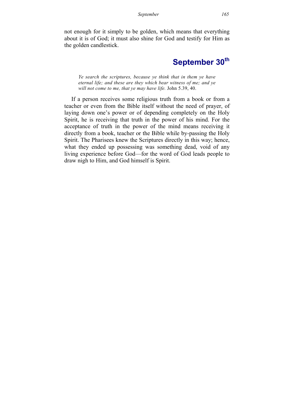not enough for it simply to be golden, which means that everything about it is of God; it must also shine for God and testify for Him as the golden candlestick.

## September 30<sup>th</sup>

*Ye search the scriptures, because ye think that in them ye have eternal life; and these are they which bear witness of me; and ye will not come to me, that ye may have life.* John 5.39, 40.

If a person receives some religious truth from a book or from a teacher or even from the Bible itself without the need of prayer, of laying down one's power or of depending completely on the Holy Spirit, he is receiving that truth in the power of his mind. For the acceptance of truth in the power of the mind means receiving it directly from a book, teacher or the Bible while by-passing the Holy Spirit. The Pharisees knew the Scriptures directly in this way; hence, what they ended up possessing was something dead, void of any living experience before God—for the word of God leads people to draw nigh to Him, and God himself is Spirit.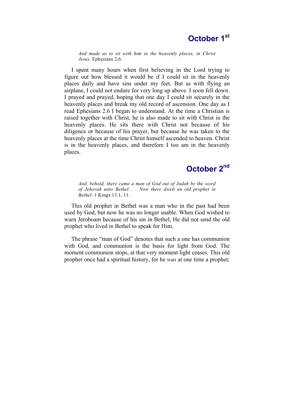#### **October 1st**

*And made us to sit with him in the heavenly places, in Christ Jesus.* Ephesians 2.6.

I spent many hours when first believing in the Lord trying to figure out how blessed it would be if I could sit in the heavenly places daily and have sins under my feet. But as with flying an airplane, I could not endure for very long up above. I soon fell down. I prayed and prayed, hoping that one day I could sit securely in the heavenly places and break my old record of ascension. One day as I read Ephesians 2.6 I began to understand. At the time a Christian is raised together with Christ, he is also made to sit with Christ in the heavenly places. He sits there with Christ not because of his diligence or because of his prayer, but because he was taken to the heavenly places at the time Christ himself ascended to heaven. Christ is in the heavenly places, and therefore I too am in the heavenly places.

#### **October 2nd**

*And, behold, there came a man of God out of Judah by the word of Jehovah unto Bethel. . . Now there dwelt an old prophet in Bethel.* 1 Kings 13.1, 11.

This old prophet in Bethel was a man who in the past had been used by God, but now he was no longer usable. When God wished to warn Jeroboam because of his sin in Bethel, He did not send the old prophet who lived in Bethel to speak for Him.

The phrase "man of God" denotes that such a one has communion with God, and communion is the basis for light from God. The moment communion stops, at that very moment light ceases. This old prophet once had a spiritual history, for he *was* at one time a prophet;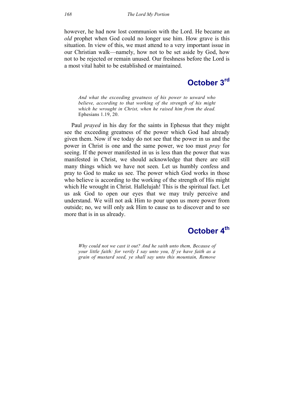however, he had now lost communion with the Lord. He became an *old* prophet when God could no longer use him. How grave is this situation. In view of this, we must attend to a very important issue in our Christian walk—namely, how not to be set aside by God, how not to be rejected or remain unused. Our freshness before the Lord is a most vital habit to be established or maintained.

#### **October 3rd**

*And what the exceeding greatness of his power to usward who believe, according to that working of the strength of his might which he wrought in Christ, when he raised him from the dead.*  Ephesians 1.19, 20.

Paul *prayed* in his day for the saints in Ephesus that they might see the exceeding greatness of the power which God had already given them. Now if we today do not see that the power in us and the power in Christ is one and the same power, we too must *pray* for seeing. If the power manifested in us is less than the power that was manifested in Christ, we should acknowledge that there are still many things which we have not seen. Let us humbly confess and pray to God to make us see. The power which God works in those who believe is according to the working of the strength of His might which He wrought in Christ. Hallelujah! This is the spiritual fact. Let us ask God to open our eyes that we may truly perceive and understand. We will not ask Him to pour upon us more power from outside; no, we will only ask Him to cause us to discover and to see more that is in us already.

#### **October 4th**

*Why could not we cast it out? And he saith unto them, Because of your little faith: for verily I say unto you, If ye have faith as a grain of mustard seed, ye shall say unto this mountain, Remove*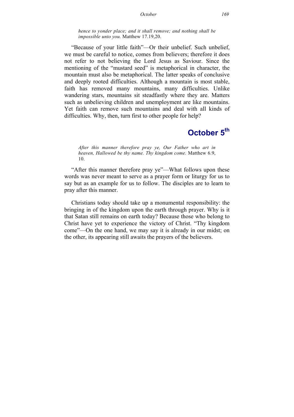*hence to yonder place; and it shall remove; and nothing shall be impossible unto you.* Matthew 17.19,20.

"Because of your little faith"—Or their unbelief. Such unbelief, we must be careful to notice, comes from believers; therefore it does not refer to not believing the Lord Jesus as Saviour. Since the mentioning of the "mustard seed" is metaphorical in character, the mountain must also be metaphorical. The latter speaks of conclusive and deeply rooted difficulties. Although a mountain is most stable, faith has removed many mountains, many difficulties. Unlike wandering stars, mountains sit steadfastly where they are. Matters such as unbelieving children and unemployment are like mountains. Yet faith can remove such mountains and deal with all kinds of difficulties. Why, then, turn first to other people for help?

#### **October 5th**

*After this manner therefore pray ye, Our Father who art in heaven, Hallowed be thy name. Thy kingdom come.* Matthew 6.9, 10.

"After this manner therefore pray ye"—What follows upon these words was never meant to serve as a prayer form or liturgy for us to say but as an example for us to follow. The disciples are to learn to pray after this manner.

Christians today should take up a monumental responsibility: the bringing in of the kingdom upon the earth through prayer. Why is it that Satan still remains on earth today? Because those who belong to Christ have yet to experience the victory of Christ. "Thy kingdom come"—On the one hand, we may say it is already in our midst; on the other, its appearing still awaits the prayers of the believers.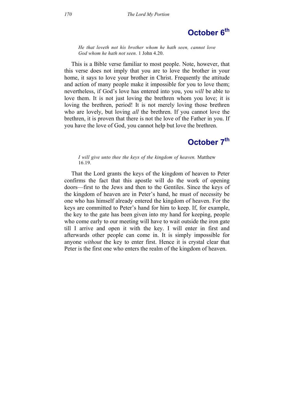## **October 6th**

*He that loveth not his brother whom he hath seen, cannot love God whom he hath not seen.* 1 John 4.20.

This is a Bible verse familiar to most people. Note, however, that this verse does not imply that you are to love the brother in your home, it says to love your brother in Christ. Frequently the attitude and action of many people make it impossible for you to love them; nevertheless, if God's love has entered into you, you *will* be able to love them. It is not just loving the brethren whom you love; it is loving the brethren, period! It is not merely loving those brethren who are lovely, but loving *all* the brethren. If you cannot love the brethren, it is proven that there is not the love of the Father in you. If you have the love of God, you cannot help but love the brethren.

### **October 7th**

#### *I will give unto thee the keys of the kingdom of heaven.* Matthew 16.19.

That the Lord grants the keys of the kingdom of heaven to Peter confirms the fact that this apostle will do the work of opening doors—first to the Jews and then to the Gentiles. Since the keys of the kingdom of heaven are in Peter's hand, he must of necessity be one who has himself already entered the kingdom of heaven. For the keys are committed to Peter's hand for him to keep. If, for example, the key to the gate has been given into my hand for keeping, people who come early to our meeting will have to wait outside the iron gate till I arrive and open it with the key. I will enter in first and afterwards other people can come in. It is simply impossible for anyone *without* the key to enter first. Hence it is crystal clear that Peter is the first one who enters the realm of the kingdom of heaven.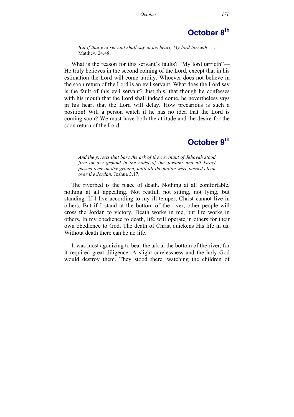### **October 8th**

*But if that evil servant shall say in his heart, My lord tarrieth . . .*  Matthew 24.48

What is the reason for this servant's faults? "My lord tarrieth"— He truly believes in the second coming of the Lord, except that in his estimation the Lord will come tardily. Whoever does not believe in the soon return of the Lord is an evil servant. What does the Lord say is the fault of this evil servant? Just this, that though he confesses with his mouth that the Lord shall indeed come, he nevertheless says in his heart that the Lord will delay. How precarious is such a position! Will a person watch if he has no idea that the Lord is coming soon? We must have both the attitude and the desire for the soon return of the Lord.

## **October 9th**

*And the priests that bare the ark of the covenant of Jehovah stood firm on dry ground in the midst of the Jordan; and all Israel passed over on dry ground, until all the nation were passed clean over the Jordan.* Joshua 3.17.

The riverbed is the place of death. Nothing at all comfortable, nothing at all appealing. Not restful, not sitting, not lying, but standing. If I live according to my ill-temper, Christ cannot live in others. But if I stand at the bottom of the river, other people will cross the Jordan to victory. Death works in me, but life works in others. In my obedience to death, life will operate in others for their own obedience to God. The death of Christ quickens His life in us. Without death there can be no life.

It was most agonizing to bear the ark at the bottom of the river, for it required great diligence. A slight carelessness and the holy God would destroy them. They stood there, watching the children of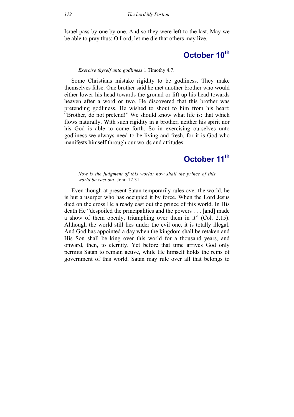Israel pass by one by one. And so they were left to the last. May we be able to pray thus: O Lord, let me die that others may live.

#### **October 10th**

*Exercise thyself unto godliness* 1 Timothy 4.7.

Some Christians mistake rigidity to be godliness. They make themselves false. One brother said he met another brother who would either lower his head towards the ground or lift up his head towards heaven after a word or two. He discovered that this brother was pretending godliness. He wished to shout to him from his heart: "Brother, do not pretend!" We should know what life is: that which flows naturally. With such rigidity in a brother, neither his spirit nor his God is able to come forth. So in exercising ourselves unto godliness we always need to be living and fresh, for it is God who manifests himself through our words and attitudes.

#### **October 11th**

*Now is the judgment of this world: now shall the prince of this world be cast out.* John 12.31.

Even though at present Satan temporarily rules over the world, he is but a usurper who has occupied it by force. When the Lord Jesus died on the cross He already cast out the prince of this world. In His death He "despoiled the principalities and the powers . . . [and] made a show of them openly, triumphing over them in it" (Col. 2.15). Although the world still lies under the evil one, it is totally illegal. And God has appointed a day when the kingdom shall be retaken and His Son shall be king over this world for a thousand years, and onward, then, to eternity. Yet before that time arrives God only permits Satan to remain active, while He himself holds the reins of government of this world. Satan may rule over all that belongs to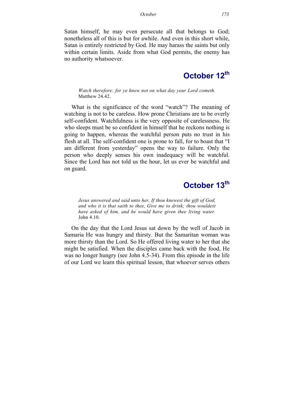Satan himself, he may even persecute all that belongs to God; nonetheless all of this is but for awhile. And even in this short while, Satan is entirely restricted by God. He may harass the saints but only within certain limits. Aside from what God permits, the enemy has no authority whatsoever.

#### **October 12th**

*Watch therefore: for ye know not on what day your Lord cometh.*  Matthew 24.42.

What is the significance of the word "watch"? The meaning of watching is not to be careless. How prone Christians are to be overly self-confident. Watchfulness is the very opposite of carelessness. He who sleeps must be so confident in himself that he reckons nothing is going to happen, whereas the watchful person puts no trust in his flesh at all. The self-confident one is prone to fall, for to boast that "I am different from yesterday" opens the way to failure. Only the person who deeply senses his own inadequacy will be watchful. Since the Lord has not told us the hour, let us ever be watchful and on guard.

### **October 13th**

*Jesus answered and said unto her, If thou knewest the gift of God, and who it is that saith to thee, Give me to drink; thou wouldest have asked of him, and he would have given thee living water.*  John 4.10.

On the day that the Lord Jesus sat down by the well of Jacob in Samaria He was hungry and thirsty. But the Samaritan woman was more thirsty than the Lord. So He offered living water to her that she might be satisfied. When the disciples came back with the food, He was no longer hungry (see John 4.5-34). From this episode in the life of our Lord we learn this spiritual lesson, that whoever serves others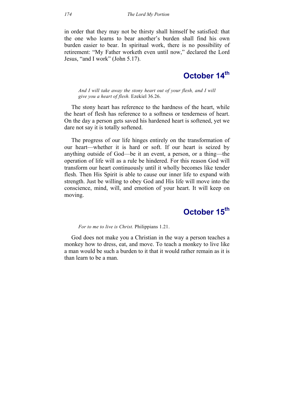in order that they may not be thirsty shall himself be satisfied: that the one who learns to bear another's burden shall find his own burden easier to bear. In spiritual work, there is no possibility of retirement: "My Father worketh even until now," declared the Lord Jesus, "and I work" (John 5.17).

# **October 14th**

*And I will take away the stony heart out of your flesh, and I will give you a heart of flesh.* Ezekiel 36.26.

The stony heart has reference to the hardness of the heart, while the heart of flesh has reference to a softness or tenderness of heart. On the day a person gets saved his hardened heart is softened, yet we dare not say it is totally softened.

The progress of our life hinges entirely on the transformation of our heart—whether it is hard or soft. If our heart is seized by anything outside of God—be it an event, a person, or a thing—the operation of life will as a rule be hindered. For this reason God will transform our heart continuously until it wholly becomes like tender flesh. Then His Spirit is able to cause our inner life to expand with strength. Just be willing to obey God and His life will move into the conscience, mind, will, and emotion of your heart. It will keep on moving.

#### **October 15th**

*For to me to live is Christ.* Philippians 1.21.

God does not make you a Christian in the way a person teaches a monkey how to dress, eat, and move. To teach a monkey to live like a man would be such a burden to it that it would rather remain as it is than learn to be a man.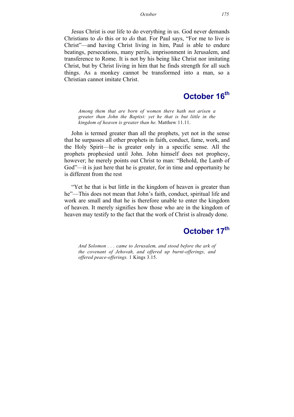Jesus Christ is our life to do everything in us. God never demands Christians to *do* this or to *do* that. For Paul says, "For me to live is Christ"—and having Christ living in him, Paul is able to endure beatings, persecutions, many perils, imprisonment in Jerusalem, and transference to Rome. It is not by his being like Christ nor imitating Christ, but by Christ living in him that he finds strength for all such things. As a monkey cannot be transformed into a man, so a Christian cannot imitate Christ.

#### **October 16th**

*Among them that are born of women there hath not arisen a greater than John the Baptist: yet he that is but little in the kingdom of heaven is greater than he.* Matthew 11.11.

John is termed greater than all the prophets, yet not in the sense that he surpasses all other prophets in faith, conduct, fame, work, and the Holy Spirit—he is greater only in a specific sense. All the prophets prophesied until John. John himself does not prophesy, however; he merely points out Christ to man: "Behold, the Lamb of God"—it is just here that he is greater, for in time and opportunity he is different from the rest

"Yet he that is but little in the kingdom of heaven is greater than he"—This does not mean that John's faith, conduct, spiritual life and work are small and that he is therefore unable to enter the kingdom of heaven. It merely signifies how those who are in the kingdom of heaven may testify to the fact that the work of Christ is already done.

#### **October 17th**

*And Solomon . . . came to Jerusalem, and stood before the ark of the covenant of Jehovah, and offered up burnt-offerings, and offered peace-offerings.* 1 Kings 3.15.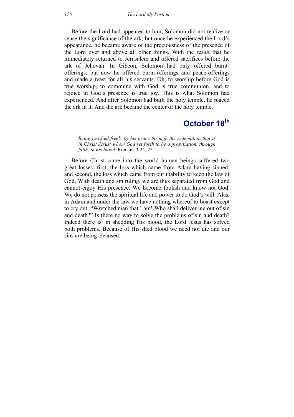Before the Lord had appeared to him, Solomon did not realize or sense the significance of the ark; but once he experienced the Lord's appearance, he became aware of the preciousness of the presence of the Lord over and above all other things. With the result that he immediately returned to Jerusalem and offered sacrifices before the ark of Jehovah. In Gibeon, Solomon had only offered burntofferings; but now he offered burnt-offerings and peace-offerings and made a feast for all his servants. Oh, to worship before God is true worship, to commune with God is true communion, and to rejoice in God's presence is true joy. This is what Solomon had experienced. And after Solomon had built the holy temple, he placed the ark in it. And the ark became the center of the holy temple.

### **October 18th**

*Being justified freely by his grace through the redemption that is in Christ Jesus: whom God set forth to be a propitiation, through faith, in his blood.* Romans 3.24, 25.

Before Christ came into the world human beings suffered two great losses: first, the loss which came from Adam having sinned; and second, the loss which came from our inability to keep the law of God. With death and sin ruling, we are thus separated from God and cannot enjoy His presence. We become foolish and know not God. We do not possess the spiritual life and power to do God's will. Alas, in Adam and under the law we have nothing whereof to boast except to cry out: "Wretched man that I am! Who shall deliver me out of sin and death?" Is there no way to solve the problems of sin and death? Indeed there is: in shedding His blood, the Lord Jesus has solved both problems. Because of His shed blood we need not die and our sins are being cleansed.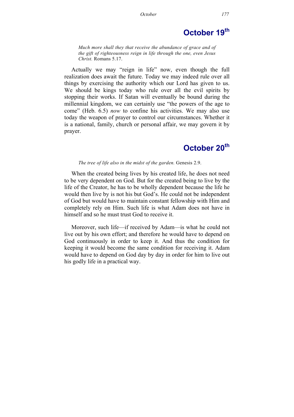#### **October 19th**

*Much more shall they that receive the abundance of grace and of the gift of righteousness reign in life through the one, even Jesus Christ.* Romans 5.17.

Actually we may "reign in life" now, even though the full realization does await the future. Today we may indeed rule over all things by exercising the authority which our Lord has given to us. We should be kings today who rule over all the evil spirits by stopping their works. If Satan will eventually be bound during the millennial kingdom, we can certainly use "the powers of the age to come" (Heb. 6.5) *now* to confine his activities. We may also use today the weapon of prayer to control our circumstances. Whether it is a national, family, church or personal affair, we may govern it by prayer.

#### **October 20th**

#### *The tree of life also in the midst of the garden.* Genesis 2.9.

When the created being lives by his created life, he does not need to be very dependent on God. But for the created being to live by the life of the Creator, he has to be wholly dependent because the life he would then live by is not his but God's. He could not be independent of God but would have to maintain constant fellowship with Him and completely rely on Him. Such life is what Adam does not have in himself and so he must trust God to receive it.

Moreover, such life—if received by Adam—is what he could not live out by his own effort; and therefore he would have to depend on God continuously in order to keep it. And thus the condition for keeping it would become the same condition for receiving it. Adam would have to depend on God day by day in order for him to live out his godly life in a practical way.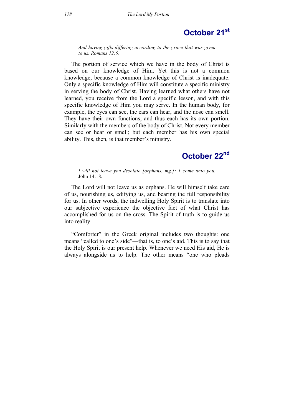### **October 21st**

*And having gifts differing according to the grace that was given to us. Romans 12.6.* 

The portion of service which we have in the body of Christ is based on our knowledge of Him. Yet this is not a common knowledge, because a common knowledge of Christ is inadequate. Only a specific knowledge of Him will constitute a specific ministry in serving the body of Christ. Having learned what others have not learned, you receive from the Lord a specific lesson, and with this specific knowledge of Him you may serve. In the human body, for example, the eyes can see, the ears can hear, and the nose can smell. They have their own functions, and thus each has its own portion. Similarly with the members of the body of Christ. Not every member can see or hear or smell; but each member has his own special ability. This, then, is that member's ministry.

#### **October 22nd**

*I will not leave you desolate [orphans, mg.]: 1 come unto you.*  John 14.18.

The Lord will not leave us as orphans. He will himself take care of us, nourishing us, edifying us, and bearing the full responsibility for us. In other words, the indwelling Holy Spirit is to translate into our subjective experience the objective fact of what Christ has accomplished for us on the cross. The Spirit of truth is to guide us into reality.

"Comforter" in the Greek original includes two thoughts: one means "called to one's side"—that is, to one's aid. This is to say that the Holy Spirit is our present help. Whenever we need His aid, He is always alongside us to help. The other means "one who pleads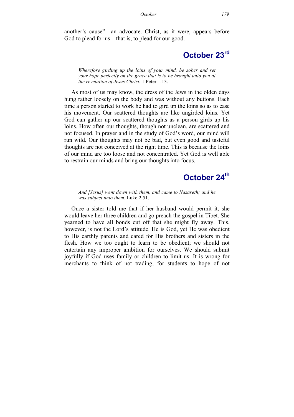another's cause"—an advocate. Christ, as it were, appears before God to plead for us—that is, to plead for our good.

#### **October 23rd**

*Wherefore girding up the loins of your mind, be sober and set your hope perfectly on the grace that is to be brought unto you at the revelation of Jesus Christ.* 1 Peter 1.13.

As most of us may know, the dress of the Jews in the olden days hung rather loosely on the body and was without any buttons. Each time a person started to work he had to gird up the loins so as to ease his movement. Our scattered thoughts are like ungirded loins. Yet God can gather up our scattered thoughts as a person girds up his loins. How often our thoughts, though not unclean, are scattered and not focused. In prayer and in the study of God's word, our mind will run wild. Our thoughts may not be bad, but even good and tasteful thoughts are not conceived at the right time. This is because the loins of our mind are too loose and not concentrated. Yet God is well able to restrain our minds and bring our thoughts into focus.

#### **October 24th**

*And [Jesus] went down with them, and came to Nazareth; and he was subject unto them.* Luke 2.51.

Once a sister told me that if her husband would permit it, she would leave her three children and go preach the gospel in Tibet. She yearned to have all bonds cut off that she might fly away. This, however, is not the Lord's attitude. He is God, yet He was obedient to His earthly parents and cared for His brothers and sisters in the flesh. How we too ought to learn to be obedient; we should not entertain any improper ambition for ourselves. We should submit joyfully if God uses family or children to limit us. It is wrong for merchants to think of not trading, for students to hope of not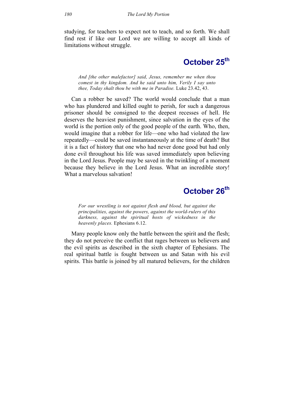studying, for teachers to expect not to teach, and so forth. We shall find rest if like our Lord we are willing to accept all kinds of limitations without struggle.

#### **October 25th**

*And [the other malefactor] said, Jesus, remember me when thou comest in thy kingdom. And he said unto him, Verily I say unto thee, Today shalt thou be with me in Paradise.* Luke 23.42, 43.

Can a robber be saved? The world would conclude that a man who has plundered and killed ought to perish, for such a dangerous prisoner should be consigned to the deepest recesses of hell. He deserves the heaviest punishment, since salvation in the eyes of the world is the portion only of the good people of the earth. Who, then, would imagine that a robber for life—one who had violated the law repeatedly—could be saved instantaneously at the time of death? But it is a fact of history that one who had never done good but had only done evil throughout his life was saved immediately upon believing in the Lord Jesus. People may be saved in the twinkling of a moment because they believe in the Lord Jesus. What an incredible story! What a marvelous salvation!

#### **October 26th**

*For our wrestling is not against flesh and blood, but against the principalities, against the powers, against the world-rulers of this darkness, against the spiritual hosts of wickedness in the heavenly places.* Ephesians 6.12.

Many people know only the battle between the spirit and the flesh; they do not perceive the conflict that rages between us believers and the evil spirits as described in the sixth chapter of Ephesians. The real spiritual battle is fought between us and Satan with his evil spirits. This battle is joined by all matured believers, for the children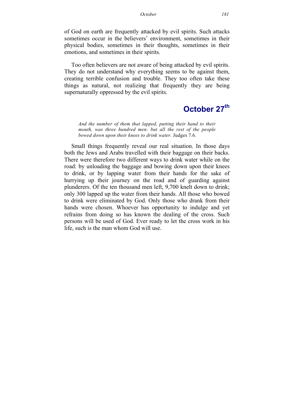of God on earth are frequently attacked by evil spirits. Such attacks sometimes occur in the believers' environment, sometimes in their physical bodies, sometimes in their thoughts, sometimes in their emotions, and sometimes in their spirits.

Too often believers are not aware of being attacked by evil spirits. They do not understand why everything seems to be against them, creating terrible confusion and trouble. They too often take these things as natural, not realizing that frequently they are being supernaturally oppressed by the evil spirits.

## **October 27th**

*And the number of them that lapped, putting their hand to their mouth, was three hundred men: but all the rest of the people bowed down upon their knees to drink water.* Judges 7.6.

Small things frequently reveal our real situation. In those days both the Jews and Arabs travelled with their baggage on their backs. There were therefore two different ways to drink water while on the road: by unloading the baggage and bowing down upon their knees to drink, or by lapping water from their hands for the sake of hurrying up their journey on the road and of guarding against plunderers. Of the ten thousand men left, 9,700 knelt down to drink; only 300 lapped up the water from their hands. All those who bowed to drink were eliminated by God. Only those who drank from their hands were chosen. Whoever has opportunity to indulge and yet refrains from doing so has known the dealing of the cross. Such persons will be used of God. Ever ready to let the cross work in his life, such is the man whom God will use.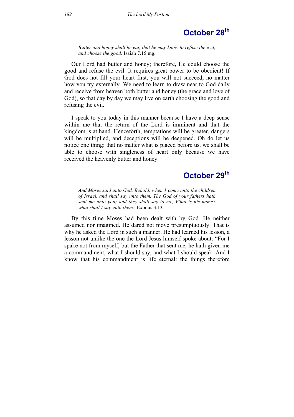# **October 28th**

*Butter and honey shall he eat, that he may know to refuse the evil, and choose the good.* Isaiah 7.15 mg.

Our Lord had butter and honey; therefore, He could choose the good and refuse the evil. It requires great power to be obedient! If God does not fill your heart first, you will not succeed, no matter how you try externally. We need to learn to draw near to God daily and receive from heaven both butter and honey (the grace and love of God), so that day by day we may live on earth choosing the good and refusing the evil.

I speak to you today in this manner because I have a deep sense within me that the return of the Lord is imminent and that the kingdom is at hand. Henceforth, temptations will be greater, dangers will be multiplied, and deceptions will be deepened. Oh do let us notice one thing: that no matter what is placed before us, we shall be able to choose with singleness of heart only because we have received the heavenly butter and honey.

# **October 29th**

*And Moses said unto God, Behold, when 1 come unto the children of Israel, and shall say unto them, The God of your fathers hath sent me unto you; and they shall say to me, What is his name? what shall I say unto them?* Exodus 3.13.

By this time Moses had been dealt with by God. He neither assumed nor imagined. He dared not move presumptuously. That is why he asked the Lord in such a manner. He had learned his lesson, a lesson not unlike the one the Lord Jesus himself spoke about: "For I spake not from myself; but the Father that sent me, he hath given me a commandment, what I should say, and what I should speak. And I know that his commandment is life eternal: the things therefore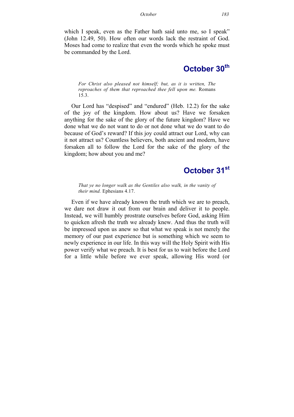which I speak, even as the Father hath said unto me, so I speak" (John 12.49, 50). How often our words lack the restraint of God. Moses had come to realize that even the words which he spoke must be commanded by the Lord.

## **October 30th**

*For Christ also pleased not himself; but, as it is written, The reproaches of them that reproached thee fell upon me.* Romans 15.3.

Our Lord has "despised" and "endured" (Heb. 12.2) for the sake of the joy of the kingdom. How about us? Have we forsaken anything for the sake of the glory of the future kingdom? Have we done what we do not want to do or not done what we do want to do because of God's reward? If this joy could attract our Lord, why can it not attract us? Countless believers, both ancient and modern, have forsaken all to follow the Lord for the sake of the glory of the kingdom; how about you and me?

### **October 31st**

*That ye no longer walk as the Gentiles also walk, in the vanity of their mind.* Ephesians 4.17.

Even if we have already known the truth which we are to preach, we dare not draw it out from our brain and deliver it to people. Instead, we will humbly prostrate ourselves before God, asking Him to quicken afresh the truth we already knew. And thus the truth will be impressed upon us anew so that what we speak is not merely the memory of our past experience but is something which we seem to newly experience in our life. In this way will the Holy Spirit with His power verify what we preach. It is best for us to wait before the Lord for a little while before we ever speak, allowing His word (or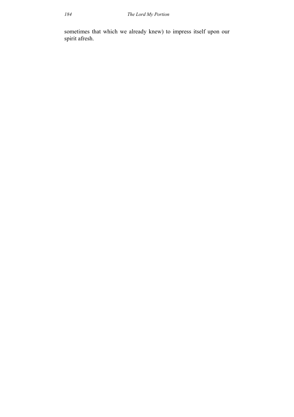sometimes that which we already knew) to impress itself upon our spirit afresh.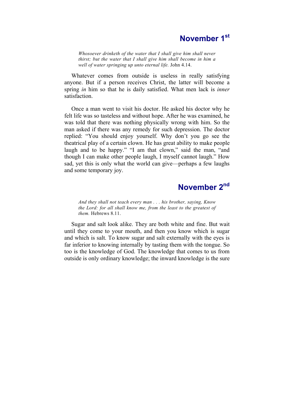# **November 1st**

*Whosoever drinketh of the water that I shall give him shall never thirst; but the water that I shall give him shall become in him a well of water springing up unto eternal life.* John 4.14.

Whatever comes from outside is useless in really satisfying anyone. But if a person receives Christ, the latter will become a spring *in* him so that he is daily satisfied. What men lack is *inner* satisfaction.

Once a man went to visit his doctor. He asked his doctor why he felt life was so tasteless and without hope. After he was examined, he was told that there was nothing physically wrong with him. So the man asked if there was any remedy for such depression. The doctor replied: "You should enjoy yourself. Why don't you go see the theatrical play of a certain clown. He has great ability to make people laugh and to be happy." "I am that clown," said the man, "and though I can make other people laugh, I myself cannot laugh." How sad, yet this is only what the world can give—perhaps a few laughs and some temporary joy.

### **November 2nd**

*And they shall not teach every man . . . his brother, saying, Know the Lord: for all shall know me, from the least to the greatest of them.* Hebrews 8.11.

Sugar and salt look alike. They are both white and fine. But wait until they come to your mouth, and then you know which is sugar and which is salt. To know sugar and salt externally with the eyes is far inferior to knowing internally by tasting them with the tongue. So too is the knowledge of God. The knowledge that comes to us from outside is only ordinary knowledge; the inward knowledge is the sure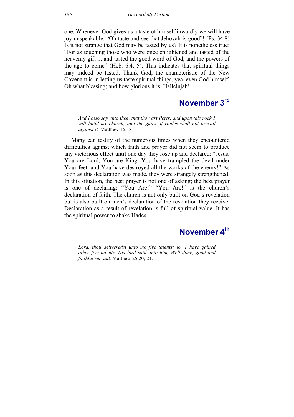one. Whenever God gives us a taste of himself inwardly we will have joy unspeakable. "Oh taste and see that Jehovah is good"! (Ps. 34.8) Is it not strange that God may be tasted by us? It is nonetheless true: "For as touching those who were once enlightened and tasted of the heavenly gift ... and tasted the good word of God, and the powers of the age to come" (Heb. 6.4, 5). This indicates that spiritual things may indeed be tasted. Thank God, the characteristic of the New Covenant is in letting us taste spiritual things, yea, even God himself. Oh what blessing; and how glorious it is. Hallelujah!

### **November 3rd**

*And I also say unto thee, that thou art Peter, and upon this rock 1*  will build my church; and the gates of Hades shall not prevail *against it.* Matthew 16.18*.* 

Many can testify of the numerous times when they encountered difficulties against which faith and prayer did not seem to produce any victorious effect until one day they rose up and declared: "Jesus, You are Lord, You are King, You have trampled the devil under Your feet, and You have destroyed all the works of the enemy!" As soon as this declaration was made, they were strangely strengthened. In this situation, the best prayer is not one of asking; the best prayer is one of declaring: "You Are!" "You Are!" is the church's declaration of faith. The church is not only built on God's revelation but is also built on men's declaration of the revelation they receive. Declaration as a result of revelation is full of spiritual value. It has the spiritual power to shake Hades.

# **November 4th**

*Lord, thou deliveredst unto me five talents: lo, 1 have gained other five talents. His lord said unto him, Well done, good and faithful servant.* Matthew 25.20, 21.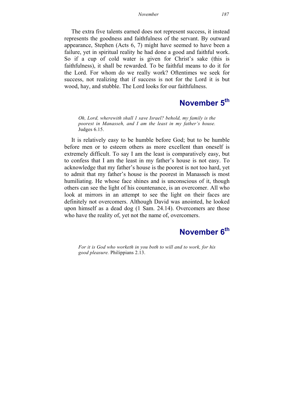The extra five talents earned does not represent success, it instead represents the goodness and faithfulness of the servant. By outward appearance, Stephen (Acts 6, 7) might have seemed to have been a failure, yet in spiritual reality he had done a good and faithful work. So if a cup of cold water is given for Christ's sake (this is faithfulness), it shall be rewarded. To be faithful means to do it for the Lord. For whom do we really work? Oftentimes we seek for success, not realizing that if success is not for the Lord it is but wood, hay, and stubble. The Lord looks for our faithfulness.

### **November 5<sup>th</sup>**

*Oh, Lord, wherewith shall 1 save Israel? behold, my family is the poorest in Manasseh, and I am the least in my father's house.*  Judges 6.15.

It is relatively easy to be humble before God; but to be humble before men or to esteem others as more excellent than oneself is extremely difficult. To say I am the least is comparatively easy, but to confess that I am the least in my father's house is not easy. To acknowledge that my father's house is the poorest is not too hard, yet to admit that my father's house is the poorest in Manasseh is most humiliating. He whose face shines and is unconscious of it, though others can see the light of his countenance, is an overcomer. All who look at mirrors in an attempt to see the light on their faces are definitely not overcomers. Although David was anointed, he looked upon himself as a dead dog (1 Sam. 24.14). Overcomers are those who have the reality of, yet not the name of, overcomers.

### **November 6<sup>th</sup>**

*For it is God who worketh in you both to will and to work, for his good pleasure.* Philippians 2.13.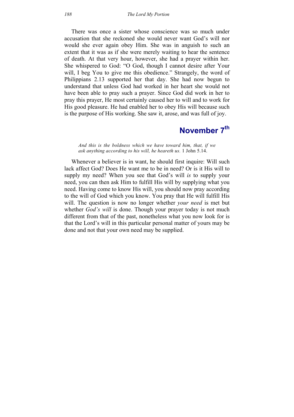There was once a sister whose conscience was so much under accusation that she reckoned she would never want God's will nor would she ever again obey Him. She was in anguish to such an extent that it was as if she were merely waiting to hear the sentence of death. At that very hour, however, she had a prayer within her. She whispered to God: "O God, though I cannot desire after Your will, I beg You to give me this obedience." Strangely, the word of Philippians 2.13 supported her that day. She had now begun to understand that unless God had worked in her heart she would not have been able to pray such a prayer. Since God did work in her to pray this prayer, He most certainly caused her to will and to work for His good pleasure. He had enabled her to obey His will because such is the purpose of His working. She saw it, arose, and was full of joy.

# **November 7<sup>th</sup>**

#### *And this is the boldness which we have toward him, that, if we ask anything according to his will, he heareth us.* 1 John 5.14.

Whenever a believer is in want, he should first inquire: Will such lack affect God? Does He want me to be in need? Or is it His will to supply my need? When you see that God's will *is* to supply your need, you can then ask Him to fulfill His will by supplying what you need. Having come to know His will, you should now pray according to the will of God which you know. You pray that He will fulfill His will. The question is now no longer whether *your need* is met but whether *God's will* is done. Though your prayer today is not much different from that of the past, nonetheless what you now look for is that the Lord's will in this particular personal matter of yours may be done and not that your own need may be supplied.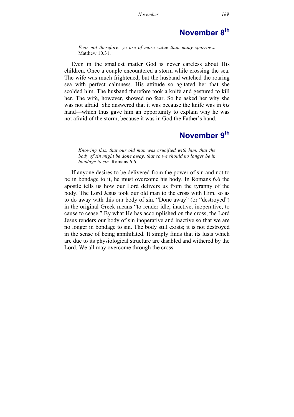# **November 8<sup>th</sup>**

*Fear not therefore: ye are of more value than many sparrows.*  Matthew 10.31

Even in the smallest matter God is never careless about His children. Once a couple encountered a storm while crossing the sea. The wife was much frightened, but the husband watched the roaring sea with perfect calmness. His attitude so agitated her that she scolded him. The husband therefore took a knife and gestured to kill her. The wife, however, showed no fear. So he asked her why she was not afraid. She answered that it was because the knife was in *his* hand—which thus gave him an opportunity to explain why he was not afraid of the storm, because it was in God the Father's hand.

# **November 9th**

*Knowing this, that our old man was crucified with him, that the body of sin might be done away, that so we should no longer be in bondage to sin.* Romans 6.6.

If anyone desires to be delivered from the power of sin and not to be in bondage to it, he must overcome his body. In Romans 6.6 the apostle tells us how our Lord delivers us from the tyranny of the body. The Lord Jesus took our old man to the cross with Him, so as to do away with this our body of sin. "Done away" (or "destroyed") in the original Greek means "to render idle, inactive, inoperative, to cause to cease." By what He has accomplished on the cross, the Lord Jesus renders our body of sin inoperative and inactive so that we are no longer in bondage to sin. The body still exists; it is not destroyed in the sense of being annihilated. It simply finds that its lusts which are due to its physiological structure are disabled and withered by the Lord. We all may overcome through the cross.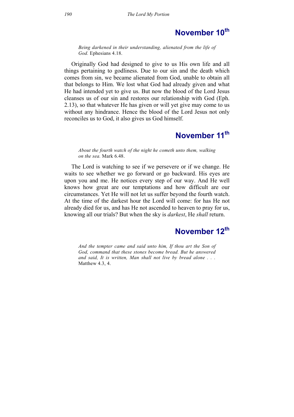# **November 10th**

*Being darkened in their understanding, alienated from the life of God.* Ephesians 4.18.

Originally God had designed to give to us His own life and all things pertaining to godliness. Due to our sin and the death which comes from sin, we became alienated from God, unable to obtain all that belongs to Him. We lost what God had already given and what He had intended yet to give us. But now the blood of the Lord Jesus cleanses us of our sin and restores our relationship with God (Eph. 2.13), so that whatever He has given or will yet give may come to us without any hindrance. Hence the blood of the Lord Jesus not only reconciles us to God, it also gives us God himself.

# **November 11th**

*About the fourth watch of the night he cometh unto them, walking on the sea.* Mark 6.48.

The Lord is watching to see if we persevere or if we change. He waits to see whether we go forward or go backward. His eyes are upon you and me. He notices every step of our way. And He well knows how great are our temptations and how difficult are our circumstances. Yet He will not let us suffer beyond the fourth watch. At the time of the darkest hour the Lord will come: for has He not already died for us, and has He not ascended to heaven to pray for us, knowing all our trials? But when the sky is *darkest*, He *shall* return.

### **November 12th**

*And the tempter came and said unto him, If thou art the Son of God, command that these stones become bread. But he answered and said, It is written, Man shall not live by bread alone . . .*  Matthew 4.3, 4.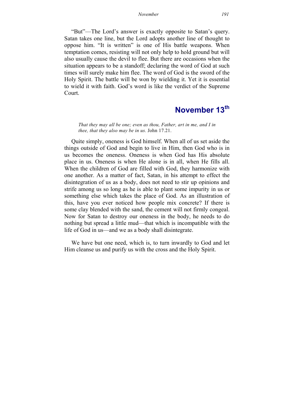"But"—The Lord's answer is exactly opposite to Satan's query. Satan takes one line, but the Lord adopts another line of thought to oppose him. "It is written" is one of His battle weapons. When temptation comes, resisting will not only help to hold ground but will also usually cause the devil to flee. But there are occasions when the situation appears to be a standoff; declaring the word of God at such times will surely make him flee. The word of God is the sword of the Holy Spirit. The battle will be won by wielding it. Yet it is essential to wield it with faith. God's word is like the verdict of the Supreme Court.

# **November 13th**

#### *That they may all be one; even as thou, Father, art in me, and I in thee, that they also may be in us.* John 17.21.

Quite simply, oneness is God himself. When all of us set aside the things outside of God and begin to live in Him, then God who is in us becomes the oneness. Oneness is when God has His absolute place in us. Oneness is when He alone is in all, when He fills all. When the children of God are filled with God, they harmonize with one another. As a matter of fact, Satan, in his attempt to effect the disintegration of us as a body, does not need to stir up opinions and strife among us so long as he is able to plant some impurity in us or something else which takes the place of God. As an illustration of this, have you ever noticed how people mix concrete? If there is some clay blended with the sand, the cement will not firmly congeal. Now for Satan to destroy our oneness in the body, he needs to do nothing but spread a little mud—that which is incompatible with the life of God in us—and we as a body shall disintegrate.

We have but one need, which is, to turn inwardly to God and let Him cleanse us and purify us with the cross and the Holy Spirit.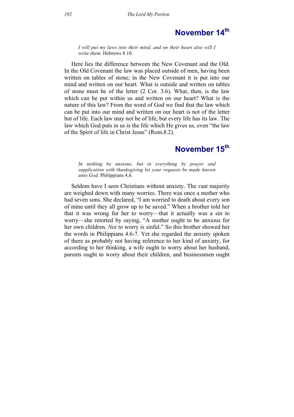# **November 14th**

*I will put my laws into their mind, and on their heart also will I write them.* Hebrews 8.10*.* 

Here lies the difference between the New Covenant and the Old. In the Old Covenant the law was placed outside of men, having been written on tables of stone; in the New Covenant it is put into our mind and written on our heart. What is outside and written on tables of stone must be of the letter (2 Cor. 3.6). What, then, is the law which can be put within us and written on our heart? What is the nature of this law? From the word of God we find that the law which can be put into our mind and written on our heart is not of the letter but of life. Each law may not be of life, but every life has its law. The law which God puts in us is the life which He gives us, even "the law of the Spirit of life in Christ Jesus" (Rom.8.2).

## **November 15<sup>th</sup>**

*In nothing be anxious, but in everything by prayer and supplication with thanksgiving let your requests be made known unto God.* Philippians 4.6.

Seldom have I seen Christians without anxiety. The vast majority are weighed down with many worries. There was once a mother who had seven sons. She declared, "I am worried to death about every son of mine until they all grow up to be saved." When a brother told her that it was wrong for her to worry—that it actually was a sin to worry—she retorted by saying, "A mother ought to be anxious for her own children. *Not* to worry is sinful." So this brother showed her the words in Philippians 4.6-7. Yet she regarded the anxiety spoken of there as probably not having reference to her kind of anxiety, for according to her thinking, a wife ought to worry about her husband, parents ought to worry about their children, and businessmen ought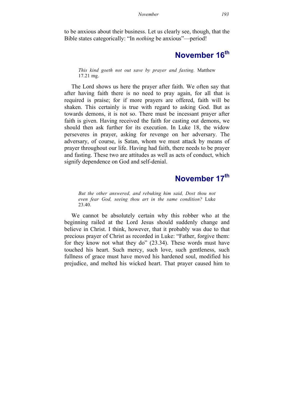to be anxious about their business. Let us clearly see, though, that the Bible states categorically: "In *nothing* be anxious"—period!

# **November 16th**

*This kind goeth not out save by prayer and fasting.* Matthew 17.21 mg.

The Lord shows us here the prayer after faith. We often say that after having faith there is no need to pray again, for all that is required is praise; for if more prayers are offered, faith will be shaken. This certainly is true with regard to asking God. But as towards demons, it is not so. There must be incessant prayer after faith is given. Having received the faith for casting out demons, we should then ask further for its execution. In Luke 18, the widow perseveres in prayer, asking for revenge on her adversary. The adversary, of course, is Satan, whom we must attack by means of prayer throughout our life. Having had faith, there needs to be prayer and fasting. These two are attitudes as well as acts of conduct, which signify dependence on God and self-denial.

# **November 17th**

*But the other answered, and rebuking him said, Dost thou not even fear God, seeing thou art in the same condition?* Luke 23.40.

We cannot be absolutely certain why this robber who at the beginning railed at the Lord Jesus should suddenly change and believe in Christ. I think, however, that it probably was due to that precious prayer of Christ as recorded in Luke: "Father, forgive them: for they know not what they do" (23.34). These words must have touched his heart. Such mercy, such love, such gentleness, such fullness of grace must have moved his hardened soul, modified his prejudice, and melted his wicked heart. That prayer caused him to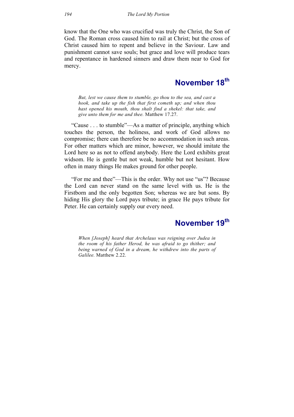know that the One who was crucified was truly the Christ, the Son of God. The Roman cross caused him to rail at Christ; but the cross of Christ caused him to repent and believe in the Saviour. Law and punishment cannot save souls; but grace and love will produce tears and repentance in hardened sinners and draw them near to God for mercy.

### **November 18th**

*But, lest we cause them to stumble, go thou to the sea, and cast a hook, and take up the fish that first cometh up; and when thou hast opened his mouth, thou shalt find a shekel: that take, and give unto them for me and thee.* Matthew 17.27.

"Cause . . . to stumble"—As a matter of principle, anything which touches the person, the holiness, and work of God allows no compromise; there can therefore be no accommodation in such areas. For other matters which are minor, however, we should imitate the Lord here so as not to offend anybody. Here the Lord exhibits great widsom. He is gentle but not weak, humble but not hesitant. How often in many things He makes ground for other people.

"For me and thee"—This is the order. Why not use "us"? Because the Lord can never stand on the same level with us. He is the Firstborn and the only begotten Son; whereas we are but sons. By hiding His glory the Lord pays tribute; in grace He pays tribute for Peter. He can certainly supply our every need.

# **November 19th**

*When [Joseph] heard that Archelaus was reigning over Judea in the room of his father Herod, he was afraid to go thither; and being warned of God in a dream, he withdrew into the parts of Galilee.* Matthew 2.22.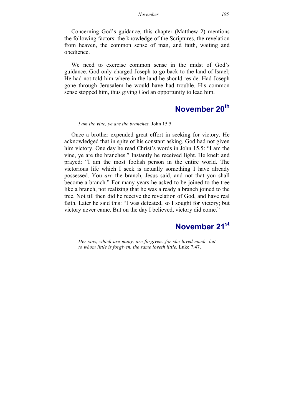Concerning God's guidance, this chapter (Matthew 2) mentions the following factors: the knowledge of the Scriptures, the revelation from heaven, the common sense of man, and faith, waiting and obedience.

We need to exercise common sense in the midst of God's guidance. God only charged Joseph to go back to the land of Israel; He had not told him where in the land he should reside. Had Joseph gone through Jerusalem he would have had trouble. His common sense stopped him, thus giving God an opportunity to lead him.

## **November 20<sup>th</sup>**

*I am the vine, ye are the branches.* John 15.5.

Once a brother expended great effort in seeking for victory. He acknowledged that in spite of his constant asking, God had not given him victory. One day he read Christ's words in John 15.5: "I am the vine, ye are the branches." Instantly he received light. He knelt and prayed: "I am the most foolish person in the entire world. The victorious life which I seek is actually something I have already possessed. You *are* the branch, Jesus said, and not that you shall become a branch." For many years he asked to be joined to the tree like a branch, not realizing that he was already a branch joined to the tree. Not till then did he receive the revelation of God, and have real faith. Later he said this: "I was defeated, so I sought for victory; but victory never came. But on the day I believed, victory did come."

### **November 21st**

*Her sins, which are many, are forgiven; for she loved much: but to whom little is forgiven, the same loveth little.* Luke 7.47.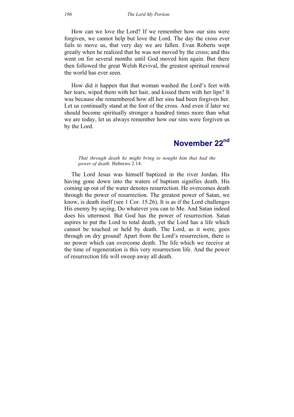How can we love the Lord? If we remember how our sins were forgiven, we cannot help but love the Lord. The day the cross ever fails to move us, that very day we are fallen. Evan Roberts wept greatly when he realized that he was not moved by the cross; and this went on for several months until God moved him again. But there then followed the great Welsh Revival, the greatest spiritual renewal the world has ever seen.

How did it happen that that woman washed the Lord's feet with her tears, wiped them with her hair, and kissed them with her lips? It was because she remembered how all her sins had been forgiven her. Let us continually stand at the foot of the cross. And even if later we should become spiritually stronger a hundred times more than what we are today, let us always remember how our sins were forgiven us by the Lord.

### **November 22nd**

#### *That through death he might bring to nought him that had the power of death.* Hebrews 2.14.

The Lord Jesus was himself baptized in the river Jordan. His having gone down into the waters of baptism signifies death. His coming up out of the water denotes resurrection. He overcomes death through the power of resurrection. The greatest power of Satan, we know, is death itself (see 1 Cor. 15.26). It is as if the Lord challenges His enemy by saying, Do whatever you can to Me. And Satan indeed does his uttermost. But God has the power of resurrection. Satan aspires to put the Lord to total death, yet the Lord has a life which cannot be touched or held by death. The Lord, as it were, goes through on dry ground! Apart from the Lord's resurrection, there is no power which can overcome death. The life which we receive at the time of regeneration is this very resurrection life. And the power of resurrection life will sweep away all death.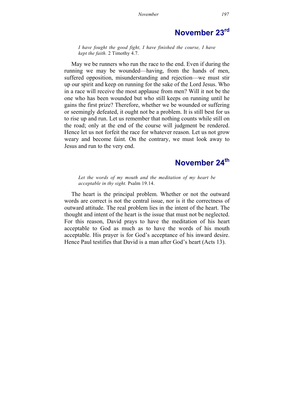# **November 23rd**

*I have fought the good fight, I have finished the course, I have kept the faith.* 2 Timothy 4.7.

May we be runners who run the race to the end. Even if during the running we may be wounded—having, from the hands of men, suffered opposition, misunderstanding and rejection—we must stir up our spirit and keep on running for the sake of the Lord Jesus. Who in a race will receive the most applause from men? Will it not be the one who has been wounded but who still keeps on running until he gains the first prize? Therefore, whether we be wounded or suffering or seemingly defeated, it ought not be a problem. It is still best for us to rise up and run. Let us remember that nothing counts while still on the road; only at the end of the course will judgment be rendered. Hence let us not forfeit the race for whatever reason. Let us not grow weary and become faint. On the contrary, we must look away to Jesus and run to the very end.

# **November 24th**

*Let the words of my mouth and the meditation of my heart be acceptable in thy sight.* Psalm 19.14.

The heart is the principal problem. Whether or not the outward words are correct is not the central issue, nor is it the correctness of outward attitude. The real problem lies in the intent of the heart. The thought and intent of the heart is the issue that must not be neglected. For this reason, David prays to have the meditation of his heart acceptable to God as much as to have the words of his mouth acceptable. His prayer is for God's acceptance of his inward desire. Hence Paul testifies that David is a man after God's heart (Acts 13).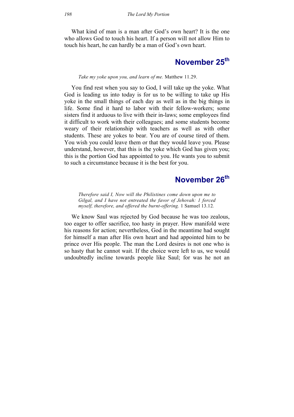What kind of man is a man after God's own heart? It is the one who allows God to touch his heart. If a person will not allow Him to touch his heart, he can hardly be a man of God's own heart.

### **November 25<sup>th</sup>**

#### *Take my yoke upon you, and learn of me.* Matthew 11.29.

You find rest when you say to God, I will take up the yoke. What God is leading us into today is for us to be willing to take up His yoke in the small things of each day as well as in the big things in life. Some find it hard to labor with their fellow-workers; some sisters find it arduous to live with their in-laws; some employees find it difficult to work with their colleagues; and some students become weary of their relationship with teachers as well as with other students. These are yokes to bear. You are of course tired of them. You wish you could leave them or that they would leave you. Please understand, however, that this is the yoke which God has given you; this is the portion God has appointed to you. He wants you to submit to such a circumstance because it is the best for you.

### **November 26<sup>th</sup>**

*Therefore said I, Now will the Philistines come down upon me to Gilgal, and I have not entreated the favor of Jehovah: 1 forced myself, therefore, and offered the burnt-offering.* 1 Samuel 13.12*.* 

We know Saul was rejected by God because he was too zealous, too eager to offer sacrifice, too hasty in prayer. How manifold were his reasons for action; nevertheless, God in the meantime had sought for himself a man after His own heart and had appointed him to be prince over His people. The man the Lord desires is not one who is so hasty that he cannot wait. If the choice were left to us, we would undoubtedly incline towards people like Saul; for was he not an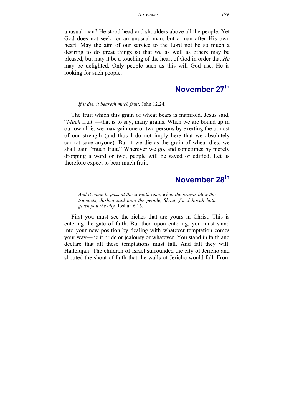unusual man? He stood head and shoulders above all the people. Yet God does not seek for an unusual man, but a man after His own heart. May the aim of our service to the Lord not be so much a desiring to do great things so that we as well as others may be pleased, but may it be a touching of the heart of God in order that *He*  may be delighted. Only people such as this will God use. He is looking for such people.

### **November 27th**

#### *If it die, it beareth much fruit.* John 12.24.

The fruit which this grain of wheat bears is manifold. Jesus said, "*Much* fruit"—that is to say, many grains. When we are bound up in our own life, we may gain one or two persons by exerting the utmost of our strength (and thus I do not imply here that we absolutely cannot save anyone). But if we die as the grain of wheat dies, we shall gain "much fruit." Wherever we go, and sometimes by merely dropping a word or two, people will be saved or edified. Let us therefore expect to bear much fruit.

### **November 28th**

*And it came to pass at the seventh time, when the priests blew the trumpets, Joshua said unto the people, Shout; for Jehovah hath given you the city.* Joshua 6.16.

First you must see the riches that are yours in Christ. This is entering the gate of faith. But then upon entering, you must stand into your new position by dealing with whatever temptation comes your way—be it pride or jealousy or whatever. You stand in faith and declare that all these temptations must fall. And fall they will. Hallelujah! The children of Israel surrounded the city of Jericho and shouted the shout of faith that the walls of Jericho would fall. From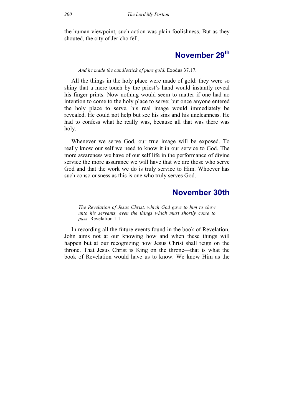the human viewpoint, such action was plain foolishness. But as they shouted, the city of Jericho fell.

# **November 29th**

#### *And he made the candlestick of pure gold.* Exodus 37.17.

All the things in the holy place were made of gold: they were so shiny that a mere touch by the priest's hand would instantly reveal his finger prints. Now nothing would seem to matter if one had no intention to come to the holy place to serve; but once anyone entered the holy place to serve, his real image would immediately be revealed. He could not help but see his sins and his uncleanness. He had to confess what he really was, because all that was there was holy.

Whenever we serve God, our true image will be exposed. To really know our self we need to know it in our service to God. The more awareness we have of our self life in the performance of divine service the more assurance we will have that we are those who serve God and that the work we do is truly service to Him. Whoever has such consciousness as this is one who truly serves God.

### **November 30th**

*The Revelation of Jesus Christ, which God gave to him to show unto his servants, even the things which must shortly come to pass.* Revelation 1.1.

In recording all the future events found in the book of Revelation, John aims not at our knowing how and when these things will happen but at our recognizing how Jesus Christ shall reign on the throne. That Jesus Christ is King on the throne—that is what the book of Revelation would have us to know. We know Him as the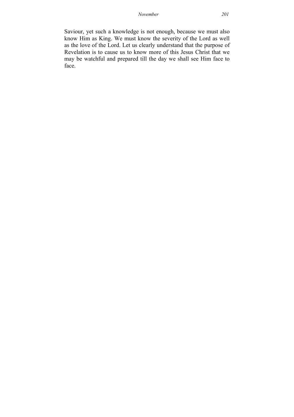Saviour, yet such a knowledge is not enough, because we must also know Him as King. We must know the severity of the Lord as well as the love of the Lord. Let us clearly understand that the purpose of Revelation is to cause us to know more of this Jesus Christ that we may be watchful and prepared till the day we shall see Him face to face.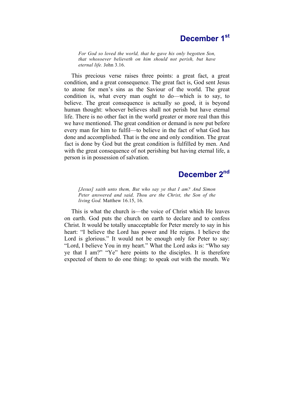# **December 1st**

*For God so loved the world, that he gave his only begotten Son, that whosoever believeth on him should not perish, but have eternal life.* John 3.16.

This precious verse raises three points: a great fact, a great condition, and a great consequence. The great fact is, God sent Jesus to atone for men's sins as the Saviour of the world. The great condition is, what every man ought to do—which is to say, to believe. The great consequence is actually so good, it is beyond human thought: whoever believes shall not perish but have eternal life. There is no other fact in the world greater or more real than this we have mentioned. The great condition or demand is now put before every man for him to fulfil—to believe in the fact of what God has done and accomplished. That is the one and only condition. The great fact is done by God but the great condition is fulfilled by men. And with the great consequence of not perishing but having eternal life, a person is in possession of salvation.

# **December 2nd**

*[Jesus] saith unto them, But who say ye that I am? And Simon Peter answered and said, Thou are the Christ, the Son of the living God.* Matthew 16.15, 16.

This is what the church is—the voice of Christ which He leaves on earth. God puts the church on earth to declare and to confess Christ. It would be totally unacceptable for Peter merely to say in his heart: "I believe the Lord has power and He reigns. I believe the Lord is glorious." It would not be enough only for Peter to say: "Lord, I believe You in my heart." What the Lord asks is: "Who say ye that I am?" "Ye" here points to the disciples. It is therefore expected of them to do one thing: to speak out with the mouth. We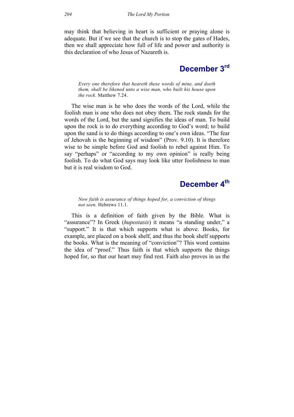may think that believing in heart is sufficient or praying alone is adequate. But if we see that the church is to stop the gates of Hades, then we shall appreciate how full of life and power and authority is this declaration of who Jesus of Nazareth is.

### **December 3rd**

*Every one therefore that heareth these words of mine, and doeth them, shall be likened unto a wise man, who built his house upon the rock.* Matthew 7.24.

The wise man is he who does the words of the Lord, while the foolish man is one who does not obey them. The rock stands for the words of the Lord, but the sand signifies the ideas of man. To build upon the rock is to do everything according to God's word; to build upon the sand is to do things according to one's own ideas. "The fear of Jehovah is the beginning of wisdom" (Prov. 9.10). It is therefore wise to be simple before God and foolish to rebel against Him. To say "perhaps" or "according to my own opinion" is really being foolish. To do what God says may look like utter foolishness to man but it is real wisdom to God.

## **December 4<sup>th</sup>**

*Now faith is assurance of things hoped for, a conviction of things not seen.* Hebrews 11.1.

This is a definition of faith given by the Bible. What is "assurance"? In Greek (*hupostasis*) it means "a standing under," a "support." It is that which supports what is above. Books, for example, are placed on a book shelf, and thus the book shelf supports the books. What is the meaning of "conviction"? This word contains the idea of "proof." Thus faith is that which supports the things hoped for, so that our heart may find rest. Faith also proves in us the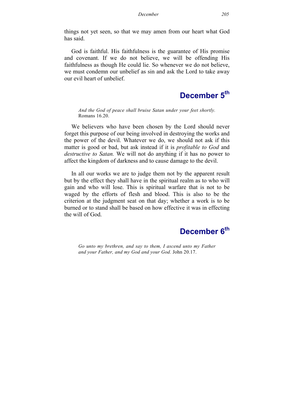things not yet seen, so that we may amen from our heart what God has said.

God is faithful. His faithfulness is the guarantee of His promise and covenant. If we do not believe, we will be offending His faithfulness as though He could lie. So whenever we do not believe, we must condemn our unbelief as sin and ask the Lord to take away our evil heart of unbelief.

## **December 5<sup>th</sup>**

*And the God of peace shall bruise Satan under your feet shortly.*  Romans 16.20.

We believers who have been chosen by the Lord should never forget this purpose of our being involved in destroying the works and the power of the devil. Whatever we do, we should not ask if this matter is good or bad, but ask instead if it is *profitable to God* and *destructive to Satan.* We will not do anything if it has no power to affect the kingdom of darkness and to cause damage to the devil.

In all our works we are to judge them not by the apparent result but by the effect they shall have in the spiritual realm as to who will gain and who will lose. This is spiritual warfare that is not to be waged by the efforts of flesh and blood. This is also to be the criterion at the judgment seat on that day; whether a work is to be burned or to stand shall be based on how effective it was in effecting the will of God.

### **December 6<sup>th</sup>**

*Go unto my brethren, and say to them, I ascend unto my Father and your Father, and my God and your God.* John 20.17.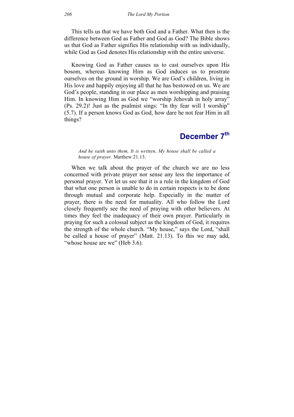This tells us that we have both God and a Father. What then is the difference between God as Father and God as God? The Bible shows us that God as Father signifies His relationship with us individually, while God as God denotes His relationship with the entire universe.

Knowing God as Father causes us to cast ourselves upon His bosom, whereas knowing Him as God induces us to prostrate ourselves on the ground in worship. We are God's children, living in His love and happily enjoying all that he has bestowed on us. We are God's people, standing in our place as men worshipping and praising Him. In knowing Him as God we "worship Jehovah in holy array" (Ps. 29.2)! Just as the psalmist sings: "In thy fear will I worship" (5.7). If a person knows God as God, how dare he not fear Him in all things?

# **December 7<sup>th</sup>**

#### *And he saith unto them, It is written, My house shall be called a house of prayer.* Matthew 21.13.

When we talk about the prayer of the church we are no less concerned with private prayer nor sense any less the importance of personal prayer. Yet let us see that it is a rule in the kingdom of God that what one person is unable to do in certain respects is to be done through mutual and corporate help. Especially in the matter of prayer, there is the need for mutuality. All who follow the Lord closely frequently see the need of praying with other believers. At times they feel the inadequacy of their own prayer. Particularly in praying for such a colossal subject as the kingdom of God, it requires the strength of the whole church. "My house," says the Lord, "shall be called a house of prayer" (Matt. 21.13). To this we may add, "whose house are we" (Heb 3.6).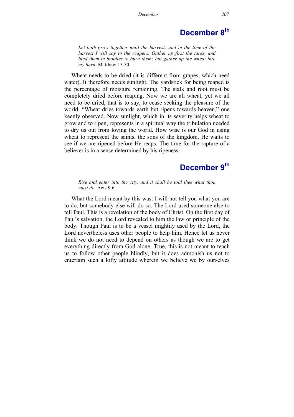# **December 8th**

*Let both grow together until the harvest: and in the time of the harvest I will say to the reapers, Gather up first the tares, and bind them in bundles to burn them; but gather up the wheat into my barn.* Matthew 13.30.

Wheat needs to be dried (it is different from grapes, which need water). It therefore needs sunlight. The yardstick for being reaped is the percentage of moisture remaining. The stalk and root must be completely dried before reaping. Now we are all wheat, yet we all need to be dried, that is to say, to cease seeking the pleasure of the world. "Wheat dries towards earth but ripens towards heaven," one keenly observed. Now sunlight, which in its severity helps wheat to grow and to ripen, represents in a spiritual way the tribulation needed to dry us out from loving the world. How wise is our God in using wheat to represent the saints, the sons of the kingdom. He waits to see if we are ripened before He reaps. The time for the rapture of a believer is in a sense determined by his ripeness.

### **December 9th**

*Rise and enter into the city, and it shall be told thee what thou must do.* Acts 9.6.

What the Lord meant by this was: I will not tell you what you are to do, but somebody else will do so. The Lord used someone else to tell Paul. This is a revelation of the body of Christ. On the first day of Paul's salvation, the Lord revealed to him the law or principle of the body. Though Paul is to be a vessel mightily used by the Lord, the Lord nevertheless uses other people to help him. Hence let us never think we do not need to depend on others as though we are to get everything directly from God alone. True, this is not meant to teach us to follow other people blindly, but it does admonish us not to entertain such a lofty attitude wherein we believe we by ourselves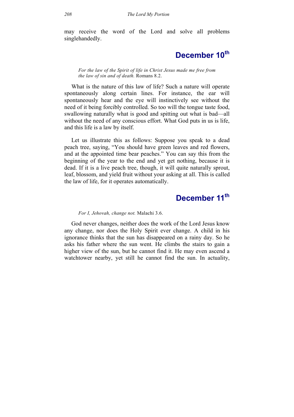may receive the word of the Lord and solve all problems singlehandedly.

## **December 10th**

*For the law of the Spirit of life in Christ Jesus made me free from the law of sin and of death.* Romans 8.2.

What is the nature of this law of life? Such a nature will operate spontaneously along certain lines. For instance, the ear will spontaneously hear and the eye will instinctively see without the need of it being forcibly controlled. So too will the tongue taste food, swallowing naturally what is good and spitting out what is bad—all without the need of any conscious effort. What God puts in us is life, and this life is a law by itself.

Let us illustrate this as follows: Suppose you speak to a dead peach tree, saying, "You should have green leaves and red flowers, and at the appointed time bear peaches." You can say this from the beginning of the year to the end and yet get nothing, because it is dead. If it is a live peach tree, though, it will quite naturally sprout, leaf, blossom, and yield fruit without your asking at all. This is called the law of life, for it operates automatically.

# **December 11th**

#### *For I, Jehovah, change not.* Malachi 3.6.

God never changes, neither does the work of the Lord Jesus know any change, nor does the Holy Spirit ever change. A child in his ignorance thinks that the sun has disappeared on a rainy day. So he asks his father where the sun went. He climbs the stairs to gain a higher view of the sun, but he cannot find it. He may even ascend a watchtower nearby, yet still he cannot find the sun. In actuality,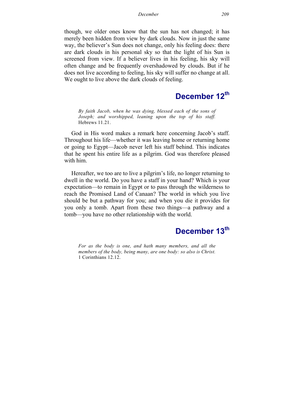though, we older ones know that the sun has not changed; it has merely been hidden from view by dark clouds. Now in just the same way, the believer's Sun does not change, only his feeling does: there are dark clouds in his personal sky so that the light of his Sun is screened from view. If a believer lives in his feeling, his sky will often change and be frequently overshadowed by clouds. But if he does not live according to feeling, his sky will suffer no change at all. We ought to live above the dark clouds of feeling.

### **December 12th**

*By faith Jacob, when he was dying, blessed each of the sons of Joseph; and worshipped, leaning upon the top of his staff.*  Hebrews 11.21.

God in His word makes a remark here concerning Jacob's staff. Throughout his life—whether it was leaving home or returning home or going to Egypt—Jacob never left his staff behind. This indicates that he spent his entire life as a pilgrim. God was therefore pleased with him.

Hereafter, we too are to live a pilgrim's life, no longer returning to dwell in the world. Do you have a staff in your hand? Which is your expectation—to remain in Egypt or to pass through the wilderness to reach the Promised Land of Canaan? The world in which you live should be but a pathway for you; and when you die it provides for you only a tomb. Apart from these two things—a pathway and a tomb—you have no other relationship with the world.

# December 13<sup>th</sup>

*For as the body is one, and hath many members, and all the members of the body, being many, are one body: so also is Christ.*  1 Corinthians 12.12.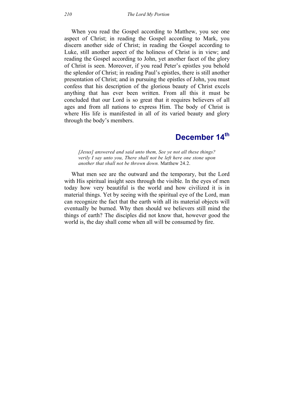When you read the Gospel according to Matthew, you see one aspect of Christ; in reading the Gospel according to Mark, you discern another side of Christ; in reading the Gospel according to Luke, still another aspect of the holiness of Christ is in view; and reading the Gospel according to John, yet another facet of the glory of Christ is seen. Moreover, if you read Peter's epistles you behold the splendor of Christ; in reading Paul's epistles, there is still another presentation of Christ; and in pursuing the epistles of John, you must confess that his description of the glorious beauty of Christ excels anything that has ever been written. From all this it must be concluded that our Lord is so great that it requires believers of all ages and from all nations to express Him. The body of Christ is where His life is manifested in all of its varied beauty and glory through the body's members.

## **December 14th**

*[Jesus] answered and said unto them, See ye not all these things? verily I say unto you, There shall not be left here one stone upon another that shall not be thrown down.* Matthew 24.2.

What men see are the outward and the temporary, but the Lord with His spiritual insight sees through the visible. In the eyes of men today how very beautiful is the world and how civilized it is in material things. Yet by seeing with the spiritual eye of the Lord, man can recognize the fact that the earth with all its material objects will eventually be burned. Why then should we believers still mind the things of earth? The disciples did not know that, however good the world is, the day shall come when all will be consumed by fire.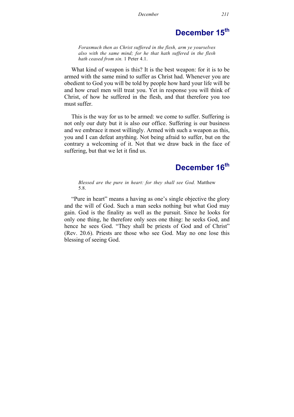# **December 15th**

*Forasmuch then as Christ suffered in the flesh, arm ye yourselves also with the same mind; for he that hath suffered in the flesh hath ceased from sin.* 1 Peter 4.1.

What kind of weapon is this? It is the best weapon: for it is to be armed with the same mind to suffer as Christ had. Whenever you are obedient to God you will be told by people how hard your life will be and how cruel men will treat you. Yet in response you will think of Christ, of how he suffered in the flesh, and that therefore you too must suffer.

This is the way for us to be armed: we come to suffer. Suffering is not only our duty but it is also our office. Suffering is our business and we embrace it most willingly. Armed with such a weapon as this, you and I can defeat anything. Not being afraid to suffer, but on the contrary a welcoming of it. Not that we draw back in the face of suffering, but that we let it find us.

## **December 16th**

*Blessed are the pure in heart: for they shall see God.* Matthew 5.8.

"Pure in heart" means a having as one's single objective the glory and the will of God. Such a man seeks nothing but what God may gain. God is the finality as well as the pursuit. Since he looks for only one thing, he therefore only sees one thing: he seeks God, and hence he sees God. "They shall be priests of God and of Christ" (Rev. 20.6). Priests are those who see God. May no one lose this blessing of seeing God.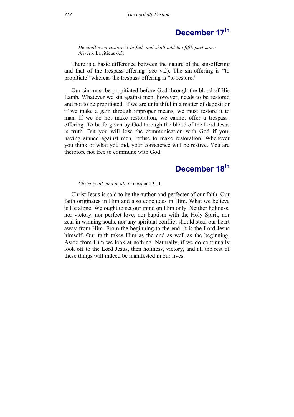# **December 17th**

*He shall even restore it in full, and shall add the fifth part more thereto.* Leviticus 6.5.

There is a basic difference between the nature of the sin-offering and that of the trespass-offering (see v.2). The sin-offering is "to propitiate" whereas the trespass-offering is "to restore."

Our sin must be propitiated before God through the blood of His Lamb. Whatever we sin against men, however, needs to be restored and not to be propitiated. If we are unfaithful in a matter of deposit or if we make a gain through improper means, we must restore it to man. If we do not make restoration, we cannot offer a trespassoffering. To be forgiven by God through the blood of the Lord Jesus is truth. But you will lose the communication with God if you, having sinned against men, refuse to make restoration. Whenever you think of what you did, your conscience will be restive. You are therefore not free to commune with God.

## **December 18th**

*Christ is all, and in all.* Colossians 3.11.

Christ Jesus is said to be the author and perfecter of our faith. Our faith originates in Him and also concludes in Him. What we believe is He alone. We ought to set our mind on Him only. Neither holiness, nor victory, nor perfect love, nor baptism with the Holy Spirit, nor zeal in winning souls, nor any spiritual conflict should steal our heart away from Him. From the beginning to the end, it is the Lord Jesus himself. Our faith takes Him as the end as well as the beginning. Aside from Him we look at nothing. Naturally, if we do continually look off to the Lord Jesus, then holiness, victory, and all the rest of these things will indeed be manifested in our lives.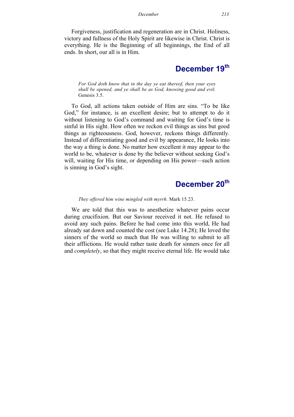*December 213* 

Forgiveness, justification and regeneration are in Christ. Holiness, victory and fullness of the Holy Spirit are likewise in Christ. Christ is everything. He is the Beginning of all beginnings, the End of all ends. In short, our all is in Him.

## **December 19th**

*For God doth know that in the day ye eat thereof, then your eyes shall be opened, and ye shall be as God, knowing good and evil.*  Genesis 3.5.

To God, all actions taken outside of Him are sins. "To be like God," for instance, is an excellent desire; but to attempt to do it without listening to God's command and waiting for God's time is sinful in His sight. How often we reckon evil things as sins but good things as righteousness. God, however, reckons things differently. Instead of differentiating good and evil by appearance, He looks into the way a thing is done. No matter how excellent it may appear to the world to be, whatever is done by the believer without seeking God's will, waiting for His time, or depending on His power—such action is sinning in God's sight.

### **December 20th**

#### *They offered him wine mingled with myrrh.* Mark 15.23.

We are told that this was to anesthetize whatever pains occur during crucifixion. But our Saviour received it not. He refused to avoid any such pains. Before he had come into this world, He had already sat down and counted the cost (see Luke 14.28); He loved the sinners of the world so much that He was willing to submit to all their afflictions. He would rather taste death for sinners once for all and *completely*, so that they might receive eternal life. He would take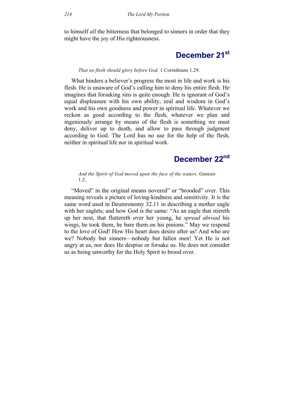to himself *all* the bitterness that belonged to sinners in order that they might have the joy of His righteousness.

# **December 21st**

#### *That no flesh should glory before God.* 1 Corinthians 1.29.

What hinders a believer's progress the most in life and work is his flesh. He is unaware of God's calling him to deny his entire flesh. He imagines that forsaking sins is quite enough. He is ignorant of God's equal displeasure with his own ability, zeal and wisdom in God's work and his own goodness and power in spiritual life. Whatever we reckon as good according to the flesh, whatever we plan and ingeniously arrange by means of the flesh is something we must deny, deliver up to death, and allow to pass through judgment according to God. The Lord has no use for the help of the flesh, neither in spiritual life nor in spiritual work.

# **December 22nd**

#### *And the Spirit of God moved upon the face of the waters.* Genesis 1.2.

"Moved" in the original means novered" or "brooded" over. This meaning reveals a picture of loving-kindness and sensitivity. It is the same word used in Deuteronomy 32.11 in describing a mother eagle with her eaglets; and how God is the same: "As an eagle that stirreth up her nest, that fluttereth over her young, he *spread abroad* his wings, he took them, he bare them on his pinions." May we respond to the love of God! How His heart does desire after us! And who are we? Nobody but sinners—nobody but fallen men! Yet He is not angry at us, nor does He despise or forsake us. He does not consider us as being unworthy for the Holy Spirit to brood over.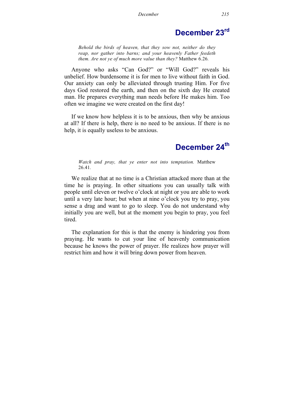# **December 23rd**

*Behold the birds of heaven, that they sow not, neither do they reap, nor gather into barns; and your heavenly Father feedeth them. Are not ye of much more value than they?* Matthew 6.26*.* 

Anyone who asks "Can God?" or "Will God?" reveals his unbelief. How burdensome it is for men to live without faith in God. Our anxiety can only be alleviated through trusting Him. For five days God restored the earth, and then on the sixth day He created man. He prepares everything man needs before He makes him. Too often we imagine we were created on the first day!

If we know how helpless it is to be anxious, then why be anxious at all? If there is help, there is no need to be anxious. If there is no help, it is equally useless to be anxious.

# **December 24th**

*Watch and pray, that ye enter not into temptation.* Matthew 26.41*.* 

We realize that at no time is a Christian attacked more than at the time he is praying. In other situations you can usually talk with people until eleven or twelve o'clock at night or you are able to work until a very late hour; but when at nine o'clock you try to pray, you sense a drag and want to go to sleep. You do not understand why initially you are well, but at the moment you begin to pray, you feel tired.

The explanation for this is that the enemy is hindering you from praying. He wants to cut your line of heavenly communication because he knows the power of prayer. He realizes how prayer will restrict him and how it will bring down power from heaven.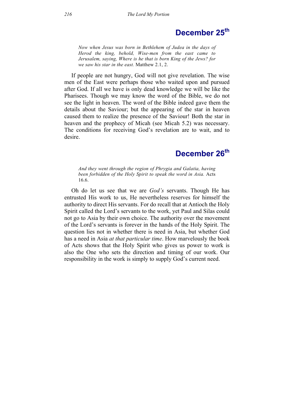# **December 25th**

*Now when Jesus was born in Bethlehem of Judea in the days of Herod the king, behold, Wise-men from the east came to Jerusalem, saying, Where is he that is born King of the Jews? for we saw his star in the east.* Matthew 2.1, 2.

If people are not hungry, God will not give revelation. The wise men of the East were perhaps those who waited upon and pursued after God. If all we have is only dead knowledge we will be like the Pharisees. Though we may know the word of the Bible, we do not see the light in heaven. The word of the Bible indeed gave them the details about the Saviour; but the appearing of the star in heaven caused them to realize the presence of the Saviour! Both the star in heaven and the prophecy of Micah (see Micah 5.2) was necessary. The conditions for receiving God's revelation are to wait, and to desire.

### **December 26th**

*And they went through the region of Phrygia and Galatia, having been forbidden of the Holy Spirit to speak the word in Asia.* Acts 16.6.

Oh do let us see that we are *God's* servants. Though He has entrusted His work to us, He nevertheless reserves for himself the authority to direct His servants. For do recall that at Antioch the Holy Spirit called the Lord's servants to the work, yet Paul and Silas could not go to Asia by their own choice. The authority over the movement of the Lord's servants is forever in the hands of the Holy Spirit. The question lies not in whether there is need in Asia, but whether God has a need in Asia *at that particular time*. How marvelously the book of Acts shows that the Holy Spirit who gives us power to work is also the One who sets the direction and timing of our work. Our responsibility in the work is simply to supply God's current need.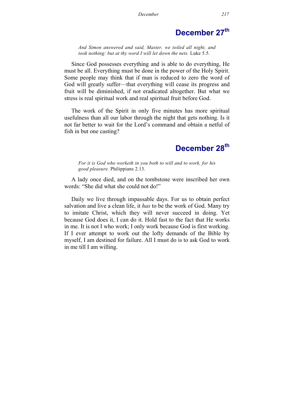## **December 27th**

*And Simon answered and said, Master, we toiled all night, and took nothing: but at thy word I will let down the nets.* Luke 5.5.

Since God possesses everything and is able to do everything, He must be all. Everything must be done in the power of the Holy Spirit. Some people may think that if man is reduced to zero the word of God will greatly suffer—that everything will cease its progress and fruit will be diminished, if not eradicated altogether. But what we stress is real spiritual work and real spiritual fruit before God.

The work of the Spirit in only five minutes has more spiritual usefulness than all our labor through the night that gets nothing. Is it not far better to wait for the Lord's command and obtain a netful of fish in but one casting?

#### **December 28th**

*For it is God who worketh in you both to will and to work, for his good pleasure.* Philippians 2.13.

A lady once died, and on the tombstone were inscribed her own words: "She did what she could not do!"

Daily we live through impassable days. For us to obtain perfect salvation and live a clean life, it *has* to be the work of God. Many try to imitate Christ, which they will never succeed in doing. Yet because God does it, I can do it. Hold fast to the fact that He works in me. It is not I who work; I only work because God is first working. If I ever attempt to work out the lofty demands of the Bible by myself, I am destined for failure. All I must do is to ask God to work in me till I am willing.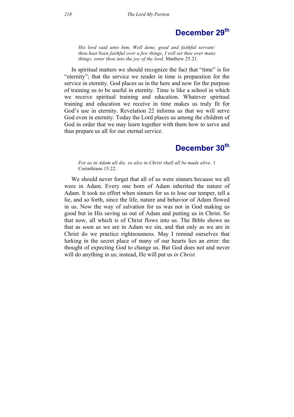# **December 29th**

*His lord said unto him, Well done, good and faithful servant: thou hast been faithful over a few things, I will set thee over many things; enter thou into the joy of thy lord.* Matthew 25.21*.* 

In spiritual matters we should recognize the fact that "time" is for "eternity"; that the service we render in time is preparation for the service in eternity. God places us in the here and now for the purpose of training us to be useful in eternity. Time is like a school in which we receive spiritual training and education. Whatever spiritual training and education we receive in time makes us truly fit for God's use in eternity. Revelation 22 informs us that we will serve God even in eternity. Today the Lord places us among the children of God in order that we may learn together with them how to serve and thus prepare us all for our eternal service.

#### **December 30th**

#### *For as in Adam all die, so also in Christ shall all be made alive.* 1 Corinthians 15.22.

We should never forget that all of us were sinners because we all were in Adam. Every one born of Adam inherited the nature of Adam. It took no effort when sinners for us to lose our temper, tell a lie, and so forth, since the life, nature and behavior of Adam flowed in us. Now the way of salvation for us was not in God making us good but in His saving us out of Adam and putting us in Christ. So that now, all which is of Christ flows into us. The Bible shows us that as soon as we are in Adam we sin, and that only as we are in Christ do we practice righteousness. May I remind ourselves that lurking in the secret place of many of our hearts lies an error: the thought of expecting God to change us. But God does not and never will do anything in us; instead, He will put us *in Christ.*